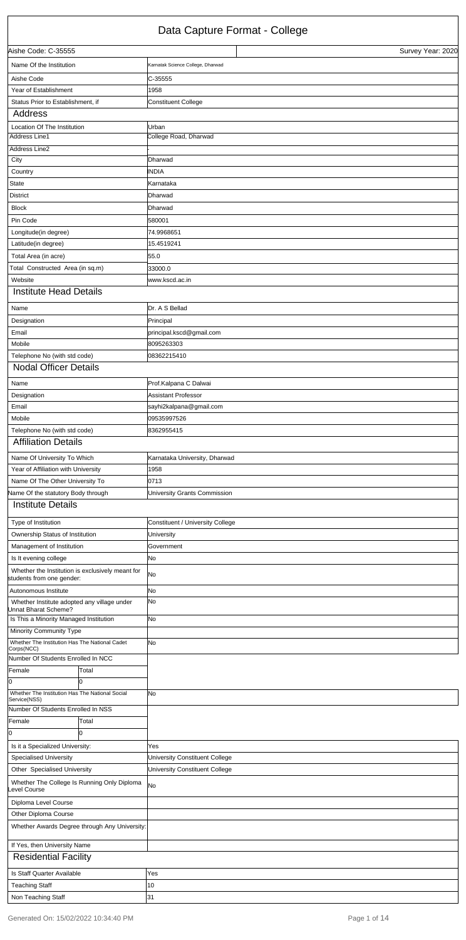## Data Capture Format - College

| Aishe Code: C-35555                                                           |       |                                   | Survey Year: 2020 |
|-------------------------------------------------------------------------------|-------|-----------------------------------|-------------------|
| Name Of the Institution                                                       |       | Karnatak Science College, Dharwad |                   |
| Aishe Code                                                                    |       | C-35555                           |                   |
| Year of Establishment                                                         |       | 1958                              |                   |
| Status Prior to Establishment, if                                             |       | <b>Constituent College</b>        |                   |
| Address                                                                       |       |                                   |                   |
| Location Of The Institution                                                   |       | Urban                             |                   |
| Address Line1                                                                 |       | College Road, Dharwad             |                   |
| Address Line2                                                                 |       |                                   |                   |
| City                                                                          |       | Dharwad                           |                   |
| Country                                                                       |       | INDIA                             |                   |
| State                                                                         |       | Karnataka                         |                   |
| <b>District</b>                                                               |       | Dharwad                           |                   |
| <b>Block</b>                                                                  |       | Dharwad                           |                   |
| Pin Code                                                                      |       | 580001                            |                   |
| Longitude(in degree)                                                          |       | 74.9968651                        |                   |
| Latitude(in degree)                                                           |       | 15.4519241                        |                   |
| Total Area (in acre)                                                          |       | 55.0                              |                   |
| Total Constructed Area (in sq.m)                                              |       | 33000.0                           |                   |
| Website                                                                       |       | www.kscd.ac.in                    |                   |
| <b>Institute Head Details</b>                                                 |       |                                   |                   |
| Name                                                                          |       | Dr. A S Bellad                    |                   |
| Designation                                                                   |       | Principal                         |                   |
| Email                                                                         |       | principal.kscd@gmail.com          |                   |
| Mobile                                                                        |       | 8095263303                        |                   |
| Telephone No (with std code)                                                  |       | 08362215410                       |                   |
| <b>Nodal Officer Details</b>                                                  |       |                                   |                   |
| Name                                                                          |       | Prof.Kalpana C Dalwai             |                   |
| Designation                                                                   |       | Assistant Professor               |                   |
| Email                                                                         |       | sayhi2kalpana@gmail.com           |                   |
| Mobile                                                                        |       | 09535997526                       |                   |
| Telephone No (with std code)                                                  |       | 8362955415                        |                   |
| <b>Affiliation Details</b>                                                    |       |                                   |                   |
| Name Of University To Which                                                   |       | Karnataka University, Dharwad     |                   |
| Year of Affiliation with University                                           |       | 1958                              |                   |
| Name Of The Other University To                                               |       | 0713                              |                   |
| Vame Of the statutory Body through                                            |       | University Grants Commission      |                   |
| Institute Details                                                             |       |                                   |                   |
| Type of Institution                                                           |       | Constituent / University College  |                   |
| Ownership Status of Institution                                               |       | University                        |                   |
| Management of Institution                                                     |       | Government                        |                   |
| Is It evening college                                                         |       | No.                               |                   |
| Whether the Institution is exclusively meant for<br>students from one gender: |       | lNo                               |                   |
| Autonomous Institute                                                          |       | No                                |                   |
| Whether Institute adopted any village under<br>Jnnat Bharat Scheme?           |       | lNo                               |                   |
| Is This a Minority Managed Institution                                        |       | No                                |                   |
| Minority Community Type                                                       |       |                                   |                   |
| Whether The Institution Has The National Cadet<br>Corps(NCC)                  |       | lNo                               |                   |
| Number Of Students Enrolled In NCC                                            |       |                                   |                   |
| Female                                                                        | Total |                                   |                   |
| 0                                                                             | Iо    |                                   |                   |
| Whether The Institution Has The National Social                               |       | lNo                               |                   |
| Service(NSS)                                                                  |       |                                   |                   |

| Number Of Students Enrolled In NSS |                                               |                                |
|------------------------------------|-----------------------------------------------|--------------------------------|
| Female                             | Total                                         |                                |
| 10                                 |                                               |                                |
| Is it a Specialized University:    |                                               | Yes                            |
| <b>Specialised University</b>      |                                               | University Constituent College |
| Other Specialised University       |                                               | University Constituent College |
| evel Course                        | Whether The College Is Running Only Diploma   | <b>No</b>                      |
| Diploma Level Course               |                                               |                                |
| Other Diploma Course               |                                               |                                |
|                                    | Whether Awards Degree through Any University: |                                |
| If Yes, then University Name       |                                               |                                |
| <b>Residential Facility</b>        |                                               |                                |
| Is Staff Quarter Available         |                                               | Yes                            |
| <b>Teaching Staff</b>              |                                               | 10                             |
| Non Teaching Staff                 |                                               | 131                            |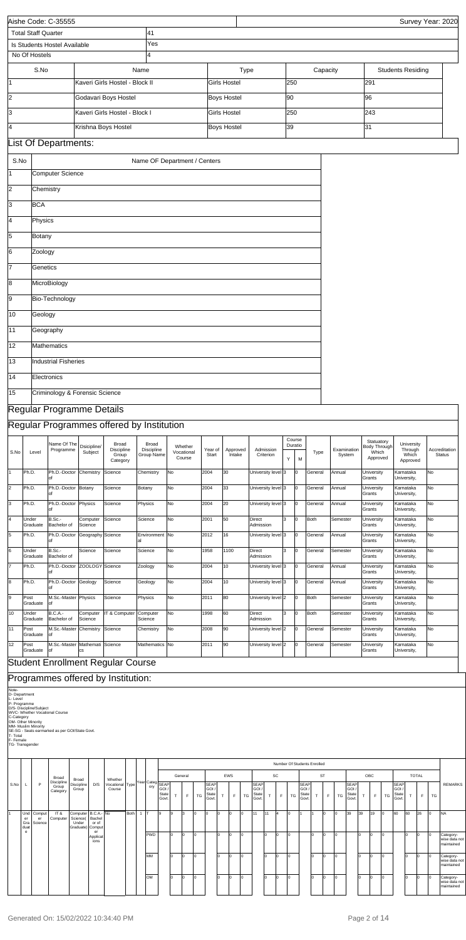| 41<br><b>Total Staff Quarter</b><br>Yes<br>Is Students Hostel Available<br>l4<br>No Of Hostels<br>S.No<br>Name<br>Capacity<br><b>Students Residing</b><br>Type<br>291<br>l1<br>Kaveri Girls Hostel - Block II<br><b>Girls Hostel</b><br>250<br>$\overline{2}$<br>Godavari Boys Hostel<br><b>Boys Hostel</b><br>90<br>96<br>3<br>Kaveri Girls Hostel - Block I<br><b>Girls Hostel</b><br>250<br>243<br>4<br>Krishna Boys Hostel<br>39<br>31<br><b>Boys Hostel</b><br>List Of Departments: |                                |
|------------------------------------------------------------------------------------------------------------------------------------------------------------------------------------------------------------------------------------------------------------------------------------------------------------------------------------------------------------------------------------------------------------------------------------------------------------------------------------------|--------------------------------|
|                                                                                                                                                                                                                                                                                                                                                                                                                                                                                          |                                |
|                                                                                                                                                                                                                                                                                                                                                                                                                                                                                          |                                |
|                                                                                                                                                                                                                                                                                                                                                                                                                                                                                          |                                |
|                                                                                                                                                                                                                                                                                                                                                                                                                                                                                          |                                |
|                                                                                                                                                                                                                                                                                                                                                                                                                                                                                          |                                |
|                                                                                                                                                                                                                                                                                                                                                                                                                                                                                          |                                |
|                                                                                                                                                                                                                                                                                                                                                                                                                                                                                          |                                |
|                                                                                                                                                                                                                                                                                                                                                                                                                                                                                          |                                |
|                                                                                                                                                                                                                                                                                                                                                                                                                                                                                          |                                |
|                                                                                                                                                                                                                                                                                                                                                                                                                                                                                          |                                |
| S.No<br>Name OF Department / Centers                                                                                                                                                                                                                                                                                                                                                                                                                                                     |                                |
| 1<br><b>Computer Science</b>                                                                                                                                                                                                                                                                                                                                                                                                                                                             |                                |
| 2<br>Chemistry                                                                                                                                                                                                                                                                                                                                                                                                                                                                           |                                |
| 3<br><b>BCA</b>                                                                                                                                                                                                                                                                                                                                                                                                                                                                          |                                |
| 4<br>Physics                                                                                                                                                                                                                                                                                                                                                                                                                                                                             |                                |
| 5<br>Botany                                                                                                                                                                                                                                                                                                                                                                                                                                                                              |                                |
|                                                                                                                                                                                                                                                                                                                                                                                                                                                                                          |                                |
| 6 <br>Zoology                                                                                                                                                                                                                                                                                                                                                                                                                                                                            |                                |
| 17<br>Genetics                                                                                                                                                                                                                                                                                                                                                                                                                                                                           |                                |
| 8<br>MicroBiology                                                                                                                                                                                                                                                                                                                                                                                                                                                                        |                                |
| 9<br>Bio-Technology                                                                                                                                                                                                                                                                                                                                                                                                                                                                      |                                |
| 10<br>Geology                                                                                                                                                                                                                                                                                                                                                                                                                                                                            |                                |
|                                                                                                                                                                                                                                                                                                                                                                                                                                                                                          |                                |
| Geography<br>11                                                                                                                                                                                                                                                                                                                                                                                                                                                                          |                                |
| 12<br>Mathematics                                                                                                                                                                                                                                                                                                                                                                                                                                                                        |                                |
| 13<br>Industrial Fisheries                                                                                                                                                                                                                                                                                                                                                                                                                                                               |                                |
| $\sqrt{14}$<br>Electronics                                                                                                                                                                                                                                                                                                                                                                                                                                                               |                                |
| 15<br>Criminology & Forensic Science                                                                                                                                                                                                                                                                                                                                                                                                                                                     |                                |
|                                                                                                                                                                                                                                                                                                                                                                                                                                                                                          |                                |
| Regular Programme Details                                                                                                                                                                                                                                                                                                                                                                                                                                                                |                                |
| Regular Programmes offered by Institution                                                                                                                                                                                                                                                                                                                                                                                                                                                |                                |
| Course<br>Statuatory<br>Name Of The<br>Broad<br>Broad<br>University<br>Duratio<br>Dsicipline/<br>Whether<br>Body Through<br>Programme<br>Discipline<br>Discipline<br>Admission<br>Examination<br>Through<br>Year of<br>Approved<br>S.No<br>Subject<br>Vocational<br>Which<br>Level<br>Type<br>Group Name<br>Intake<br>Which<br>Group<br>Start<br>Criterion<br>System<br>Course<br>Approved<br>Υ<br>M<br>Category<br>Approved                                                             | Accreditation<br><b>Status</b> |
| Ph.D.<br>2004<br>30<br>University level 3<br>1<br>Ph.D.-Doctor<br>Chemistry<br>Science<br>Chemistry<br>No<br>Iо<br>General<br>Annual<br>University<br>Karnataka<br>Grants<br>University,                                                                                                                                                                                                                                                                                                 | No                             |
| $\overline{2}$<br>No<br>33<br>Ph.D.<br>Ph.D.-Doctor Botany<br>Science<br>2004<br>University level 3<br>l0<br>General<br>Annual<br>Botany<br>University<br>Karnataka<br>Grants<br>University,<br>lof                                                                                                                                                                                                                                                                                      | No                             |
| 3<br>Ph.D.<br>Ph.D.-Doctor Physics<br>Science<br>No<br>2004<br>20<br>University level 3<br>Iо<br>Physics<br>General<br>Annual<br>University<br>Karnataka                                                                                                                                                                                                                                                                                                                                 | No                             |
| Grants<br>University,<br>4<br>3<br>B.Sc.-<br>50<br>Computer<br>Science<br>Science<br>No<br>2001<br>Direct<br>Iо<br><b>Both</b><br>Under<br>Semester<br>University<br>Karnataka                                                                                                                                                                                                                                                                                                           | No                             |
| Graduate<br>Bachelor of<br>Science<br>Admission<br>Grants<br>University,                                                                                                                                                                                                                                                                                                                                                                                                                 |                                |
| 5<br>16<br>Ph.D.<br>Ph.D.-Doctor<br>Geography Science<br>Environment No<br>2012<br>University level 3<br>Iо<br>General<br>Annual<br>University<br>Karnataka<br>Grants<br>University,<br>lof<br>lal                                                                                                                                                                                                                                                                                       | No                             |
| 6<br>B.Sc.-<br>Science<br>No<br>1958<br>1100<br>3<br>Iо<br>Science<br>Science<br>Direct<br>General<br>Semester<br>University<br>Karnataka<br>Under<br>Bachelor of<br>Admission<br>Grants<br>Graduate<br>University,                                                                                                                                                                                                                                                                      | No                             |
| 7<br>Ph.D.<br>ZOOLOGY Science<br>No<br>2004<br>10<br>University level 3<br>Ph.D.-Doctor<br>Zoology<br>Iо<br>General<br>Annual<br>University<br>Karnataka<br>Grants<br>University,<br>lof                                                                                                                                                                                                                                                                                                 | No                             |
| 8<br>10<br>Ph.D.<br>Ph.D.-Doctor Geology<br>Science<br>No<br>2004<br>University level 3<br>Iо<br>General<br>Annual<br>Geology<br>University<br>Karnataka                                                                                                                                                                                                                                                                                                                                 | No                             |
| Grants<br>University,<br>lof<br>g<br>M.Sc.-Master Physics<br>Physics<br>No<br>2011<br>80<br>University level 2<br>Iо<br>Post<br>Science<br>Both<br>Semester<br>University<br>Karnataka                                                                                                                                                                                                                                                                                                   | No                             |
| Grants<br>Graduate<br>lof<br>University,                                                                                                                                                                                                                                                                                                                                                                                                                                                 |                                |
| 3<br>10<br><b>B.C.A.-</b><br>60<br>Computer<br>IT & Computer<br>Computer<br>No<br>1998<br>Direct<br>Iо<br><b>Both</b><br>Under<br>Semester<br><b>University</b><br>Karnataka<br>Graduate<br>Bachelor of<br>Science<br>Science<br>Admission<br>Grants<br>University,                                                                                                                                                                                                                      | No                             |
| 11<br>M.Sc.-Master Chemistry<br>Post<br>Science<br>No<br>2008<br>90<br>University level 2<br>Iо<br>General<br>Semester<br>Chemistry<br>University<br>Karnataka<br>Graduate<br>lof<br>Grants<br>University,                                                                                                                                                                                                                                                                               | No                             |
| 12<br>M.Sc.-Master Mathemati Science<br>2011<br>90<br>Post<br>Mathematics No<br>University level 2<br>Iо<br>General<br>Semester<br>University<br>Karnataka<br>Graduate<br>lof<br>Grants<br>University,<br><b>cs</b>                                                                                                                                                                                                                                                                      | No                             |
| <b>Student Enrollment Regular Course</b>                                                                                                                                                                                                                                                                                                                                                                                                                                                 |                                |
|                                                                                                                                                                                                                                                                                                                                                                                                                                                                                          |                                |
| Programmes offered by Institution:<br>Note-                                                                                                                                                                                                                                                                                                                                                                                                                                              |                                |
| D- Department<br>L- Level                                                                                                                                                                                                                                                                                                                                                                                                                                                                |                                |
| P- Programme<br>D/S- Discipline/Subject<br>WVC- Whether Vocational Course                                                                                                                                                                                                                                                                                                                                                                                                                |                                |
| C-Category<br>OM- Other Minority<br>MM- Muslim Minority                                                                                                                                                                                                                                                                                                                                                                                                                                  |                                |
| SE-SG - Seats earmarked as per GOI/State Govt.<br>T-Total<br>F- Female<br>TG-Transgender                                                                                                                                                                                                                                                                                                                                                                                                 |                                |

- 
- 
- 

- 
- 

|      |                          |                         |                                 |                                                                |                        |                           |      |       |                        |                      |              |         |           |                                        |    |     |    |                                             |    |    | Number Of Students Enrolled |                                                    |    |           |     |                                       |    |     |    |                                        |     |              |                |                                          |
|------|--------------------------|-------------------------|---------------------------------|----------------------------------------------------------------|------------------------|---------------------------|------|-------|------------------------|----------------------|--------------|---------|-----------|----------------------------------------|----|-----|----|---------------------------------------------|----|----|-----------------------------|----------------------------------------------------|----|-----------|-----|---------------------------------------|----|-----|----|----------------------------------------|-----|--------------|----------------|------------------------------------------|
|      |                          |                         | Broad                           | Broad                                                          |                        | Whether                   |      |       |                        |                      |              | General |           |                                        |    | EWS |    |                                             |    | SC |                             |                                                    |    | <b>ST</b> |     |                                       |    | OBC |    |                                        |     | <b>TOTAL</b> |                |                                          |
| S.No | L.                       | P                       | Discipline<br>Group<br>Category | <b>Discipline</b><br>Group                                     | D/S                    | Vocational Type<br>Course |      |       | Year Categ SEAP<br>ory | GOI<br>State<br>Govt | $\mathbf{r}$ | E       | <b>TG</b> | <b>SEAP</b><br>GOI /<br>State<br>Govt. | T  | F.  | TG | <b>SEAP</b><br><b>GOI</b><br>State<br>Govt. | T. | F. | TG                          | <b>SEAP</b><br><b>GOI</b><br><b>State</b><br>Govt. |    | F.        | TG  | <b>SEAP</b><br>GOI/<br>State<br>Govt. | T  | F.  | TG | <b>SEAP</b><br>GOI /<br>State<br>Govt. |     | F            | TG             | <b>REMARKS</b>                           |
|      | Und<br>er<br>Gra<br>duat | Comput<br>er<br>Science | IT&<br>Computer                 | Computer   B.C.A.- No<br>Science(<br>Under<br>Graduate) Comput | Bachel<br>or of        |                           | Both | $1$ T |                        | l9.                  | 9            | 13      | 0         | I0                                     |    |     | Iо | 11                                          | 11 | 14 | I0.                         |                                                    | 11 | l0.       | Iо  | 39                                    | 39 | 19  | I٥ | 60                                     | l60 | 26           | l0             | <b>NA</b>                                |
|      | $\mathbf{e}$             |                         |                                 |                                                                | er<br>Applicat<br>ions |                           |      |       | <b>PWD</b>             |                      | I٥           | 10      | 0         |                                        |    |     | 10 |                                             | l٥ | ю  | I0.                         |                                                    | l٥ |           |     |                                       | I٥ | ю   | I٥ |                                        |     | 0            | ю              | Category-<br>wise data not<br>maintained |
|      |                          |                         |                                 |                                                                |                        |                           |      |       | <b>MM</b>              |                      | lo           |         | l0.       |                                        |    |     | l0 |                                             | l٥ | Iо |                             |                                                    | I٥ |           |     |                                       | I٥ |     |    |                                        | l٥  | l0.          | $\overline{0}$ | Category-<br>wise data not<br>maintained |
|      |                          |                         |                                 |                                                                |                        |                           |      |       | <b>OM</b>              |                      | I٥           | I0      | 0         |                                        | 10 |     | 0  |                                             | l٥ | ю  | ю                           |                                                    | l٥ |           | lo. |                                       | I٥ | 10  | I٥ |                                        | I٥  | Iо           | $\overline{0}$ | Category-<br>wise data not<br>maintained |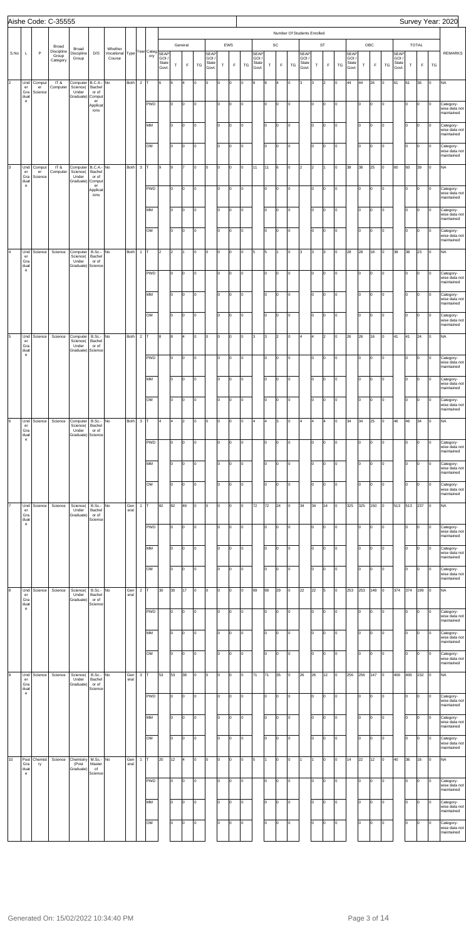|             |                                                           |                         | Aishe Code: C-35555             |                                                    |                                      |                                      |             |                |                        |                        |                |                |                |                                 |                    |           |    |                                 |             |             |                             |                                |        |                |         |                                       |            |             |         |                                 |     |              |                      | Survey Year: 2020                                      |
|-------------|-----------------------------------------------------------|-------------------------|---------------------------------|----------------------------------------------------|--------------------------------------|--------------------------------------|-------------|----------------|------------------------|------------------------|----------------|----------------|----------------|---------------------------------|--------------------|-----------|----|---------------------------------|-------------|-------------|-----------------------------|--------------------------------|--------|----------------|---------|---------------------------------------|------------|-------------|---------|---------------------------------|-----|--------------|----------------------|--------------------------------------------------------|
|             |                                                           | Broad                   |                                 |                                                    |                                      |                                      |             |                |                        |                        |                | General        |                |                                 |                    | EWS       |    |                                 |             | SC          | Number Of Students Enrolled |                                |        | ST             |         |                                       |            | OBC         |         |                                 |     | <b>TOTAL</b> |                      |                                                        |
| S.No        | L                                                         | $\mathsf{P}$            | Discipline<br>Group<br>Category | Broad<br>Discipline<br>Group                       | D/S                                  | Whether<br>Vocational Type<br>Course |             |                | Year Categ SEAP<br>ory | GOI/<br>State<br>Govt. | $\top$         | F              | TG             | SEAP<br>GOI /<br>State<br>Govt. | $\mathsf T$        | F         | TG | SEAF<br>GOI /<br>State<br>Govt. | $\mathsf T$ | $\mathsf F$ | TG                          | SEAP<br>GOI/<br>State<br>Govt. | $\top$ | $\mathsf F$    | TG      | <b>SEAP</b><br>GOI/<br>State<br>Govt. | $\top$     | $\mathsf F$ | TG      | SEAP<br>GOI /<br>State<br>Govt. | T   | F            | TG                   | <b>REMARKS</b>                                         |
| $ 2\rangle$ | Und<br>$\mathsf{er}\,$<br>Gra                             | Comput<br>er<br>Science | IT&<br>Computer                 | Computer B.C.A.- No<br>Science(<br>Under           | Bachel<br>or of                      |                                      | Both        | $2$ T          |                        | l6                     | 6              | $\overline{4}$ | lо             | O                               | O                  | 0         | lо | 8                               | 8           | 4           | O                           | l3                             | Iз     | $\overline{2}$ | lo.     | 44                                    | 44         | 26          | O       | 61                              | 61  | 36           | Iо                   | <b>NA</b>                                              |
|             | duat<br>$\mathbf{e}$                                      |                         |                                 | Graduate) Comput                                   | er<br>Applicat<br>ions               |                                      |             |                | <b>PWD</b>             |                        | Iо             | o              | lо             |                                 | I٥                 | 0         | Iо |                                 | I٥          | Iо          | O                           |                                | Iо     | O              | O       |                                       | Iо         | l0          | O       |                                 | Iо  | O            | $\overline{0}$       | Category-<br>wise data not                             |
|             |                                                           |                         |                                 |                                                    |                                      |                                      |             |                | MM                     |                        | lо             | 0              | Iо             |                                 | I٥                 | 0         | lо |                                 | I٥          | lо          | O                           |                                | Iо     | 0              | Iо      |                                       | lо         | l0          | O       |                                 | I٥  | O            | Iо                   | maintained<br>Category-<br>wise data not<br>maintained |
|             |                                                           |                         |                                 |                                                    |                                      |                                      |             |                | OM                     |                        | Iо             | lo.            | Iо             |                                 | I٥                 | lo.       | lо |                                 | I٥          | lо          | O                           |                                | Iо     | O              | O       |                                       | lo         | l0          | O       |                                 | lo  | 0            | $\overline{0}$       | Category-<br>wise data not<br>maintained               |
| 3           | Und<br>$\mathop{\text{er}}$                               | Comput<br>er            | IT&<br>Computer                 | Computer   B.C.A.- No<br>Science(                  | Bachel                               |                                      | Both        | $3$ T          |                        | l9                     | 9              | 17             | Iо             | O                               | O                  | lo.       | lо | 11                              | 11          | 6           | O                           | $\overline{2}$                 | 2      | 11             | O       | 38                                    | 38         | 25          | O       | 60                              | 60  | 39           | $\overline{0}$       | <b>NA</b>                                              |
|             | Gra<br>duat<br>$\mathbf{e}$                               | Science                 |                                 | Under<br>Graduate) Comput                          | or of<br>er<br>Applicat<br>ions      |                                      |             |                | <b>PWD</b>             |                        | Iо             | lo.            | lо             |                                 | I٥                 | $\circ$   | Iо |                                 | lo.         | Iо          | O                           |                                | Iо     | O              | O       |                                       | Iо         | l0          | O       |                                 | Iо  | O            | $\overline{0}$       | Category-<br>wise data not<br>maintained               |
|             |                                                           |                         |                                 |                                                    |                                      |                                      |             |                | MM                     |                        | Iо             | 0              | 0              |                                 | I٥                 | lo.       | lо |                                 | I٥          | lо          | O                           |                                | Iо     | 0              | Iо      |                                       | lо         | Iо          | O       |                                 | I٥  | O            | Iо                   | Category-<br>wise data not<br>maintained               |
|             |                                                           |                         |                                 |                                                    |                                      |                                      |             |                | OM                     |                        | Iо             | lo.            | Iо             |                                 | I٥                 | lo.       | lо |                                 | I٥          | O           | O                           |                                | Iо     | O              | O       |                                       | lo         | lo.         | O       |                                 | I٥  | O            | $\overline{0}$       | Category-<br>wise data not<br>maintained               |
| l4          | Und<br>er<br>Gra<br>duat<br>$\mathbf{e}$                  | Science                 | Science                         | Computer<br>Science(<br>Under<br>Graduate) Science | B.Sc.-<br>Bachel<br>or of            | No                                   | Both        | $\mathbf{1}$   |                        | $\vert$ 2              | $\overline{2}$ | 11             | Iо             | O                               | O                  | 0         | lо | 5                               | 5           | I1.         | O                           | l3                             | Iз     | 3              | O       | 28                                    | 28         | 18          | O       | 38                              | 38  | 23           | Iо                   | <b>NA</b>                                              |
|             |                                                           |                         |                                 |                                                    |                                      |                                      |             |                | <b>PWD</b>             |                        | lо             | O              | $\overline{0}$ |                                 | I٥                 | 0         | Iо |                                 | lo.         | lо          | O                           |                                | Iо     | O              | O       |                                       | Iо         | O           | O       |                                 | Iо  | O            | $\overline{0}$       | Category-<br>wise data not<br>maintained               |
|             |                                                           |                         |                                 |                                                    |                                      |                                      |             |                | MM                     |                        | Iо             | O              | Iо             |                                 | I٥                 | 0         | lо |                                 | I٥          | lо          | O                           |                                | Iо     | O              | Iо      |                                       | lo         | lo.         | O       |                                 | lo. | O            | Iо                   | Category-<br>wise data not<br>maintained               |
|             |                                                           |                         |                                 |                                                    |                                      |                                      |             |                | OM                     |                        | lo             | lo.            | Iо             |                                 | lo.                | lo.       | lо |                                 | I٥          | lо          | O                           |                                | Iо     | O              | O       |                                       | lo         | lo.         | O       |                                 | lo. | 0            | Iо                   | Category-<br>wise data not<br>maintained               |
| 5           | Und<br>er<br>Gra<br>duat                                  | Science                 | Science                         | Computer<br>Science(<br>Under<br>Graduate) Science | B.Sc.-<br>Bachel<br>or of            | No                                   | Both        | $2 \mathsf{T}$ |                        | 8                      | 8              | 4              | $\vert$ 0      | O                               | o                  | lo.       | lо | 3                               | 3           | 2           | O                           | 4                              | 4      | $\overline{2}$ | O       | 26                                    | 26         | 16          | O       | 41                              | 41  | 24           | $\overline{0}$       | <b>NA</b>                                              |
|             | $\mathbf{e}$                                              |                         |                                 |                                                    |                                      |                                      |             |                | <b>PWD</b>             |                        | lо             | O              | 0              |                                 | I٥                 | $\circ$   | Iо |                                 | lo.         | O           | O                           |                                | Iо     | O              | O       |                                       | Iо         | O           | O       |                                 | Iо  | O            | 0                    | Category-<br>wise data not<br>maintained               |
|             |                                                           |                         |                                 |                                                    |                                      |                                      |             |                | MM                     |                        | I٥             | lo.            | Iо             |                                 | lo.                | 0         | Iо |                                 | I٥          | Iо          | O                           |                                | lо     | O              | O       |                                       | lo.        | lo.         | O       |                                 | I٥  | O            | lo                   | Category-<br>wise data not<br>maintained               |
|             |                                                           |                         |                                 |                                                    |                                      |                                      |             |                | OM                     |                        | I٥             | o              | Iо             |                                 | I٥                 | l0        | Iо |                                 | I٥          | Iо          | lo.                         |                                | Iо     | lo.            | o       |                                       | lo.        | lo          | l0      |                                 | lo. | O            | lo                   | Category-<br>wise data not<br>maintained               |
| 6           | Und<br>er<br>Gra<br>duat                                  | Science                 | Science                         | Computer<br>Science(<br>Under<br>Graduate) Science | B.Sc.-<br>Bachel<br>or of            | No                                   | Both        | $3 \mid T$     |                        | l4                     | 4              | 2              | Iо             | O                               | O                  | 0         | Iо | l4.                             | 4           | l3          | O                           | 4                              | 4      | 4              | Iо      | 34                                    | 34         | 25          | O       | 46                              | 46  | 34           | Iо                   | <b>NA</b>                                              |
|             | $\mathbf{e}$                                              |                         |                                 |                                                    |                                      |                                      |             |                | <b>PWD</b>             |                        | Iо             | O              | Iо             |                                 | I٥                 | 0         | Iо |                                 | I٥          | Iо          | O                           |                                | Iо     | l0.            | 0       |                                       | lo.        | lo.         | O       |                                 | I٥  | O            | Iо                   | Category-<br>wise data not<br>maintained               |
|             |                                                           |                         |                                 |                                                    |                                      |                                      |             |                | MM                     |                        | I٥             | O              | O              |                                 | I٥                 | l0        | Iо |                                 | lo.         | Iо          | lo.                         |                                | Iо     | 0              | lo.     |                                       | lo.        | lo.         | O       |                                 | lo  | O            | Iо                   | Category-<br>wise data not<br>maintained               |
|             |                                                           |                         |                                 |                                                    |                                      |                                      |             |                | OM                     |                        | I٥             | o              | o              |                                 | I٥                 | 0         | Iо |                                 | I٥          | Iо          | lo.                         |                                | Iо     | lo.            | O       |                                       | Iо         | lo.         | l0      |                                 | lo. | O            | Iо                   | Category-<br>wise data not<br>maintained               |
| l7          | Und<br>$\mathsf{er}\,$<br>Gra<br>duat                     | Science                 | Science                         | Science(<br>Under<br>Graduate)                     | B.Sc.-<br>Bachel<br>or of<br>Science | No                                   | Gen<br>eral | $\mathbf{1}$   |                        | 82                     | 82             | 49             | Iо             | O                               | O                  | 0         | Iо | 72                              | 72          | 24          | lo.                         | 34                             | 34     | 14             | $\circ$ | 325                                   | 325        | 150         | O       | 513                             | 513 | 237          | $\mathsf{I}^{\circ}$ | <b>NA</b>                                              |
|             | $\mathsf{e}% _{0}\left( \mathsf{e}\right)$                |                         |                                 |                                                    |                                      |                                      |             |                | <b>PWD</b>             |                        | Iо             | o              | O              |                                 | I٥                 | 0         | Iо |                                 | I٥          | Iо          | O                           |                                | Iо     | lo.            | 0       |                                       | lo.        | l0          | O       |                                 | I٥  | O            | Iо                   | Category-<br>wise data not<br>maintained               |
|             |                                                           |                         |                                 |                                                    |                                      |                                      |             |                | MM                     |                        | I٥             | O              | O              |                                 | I٥                 | ln.       | Iо |                                 | I٥          | Iо          | lo.                         |                                | Iо     | l0.            | lo.     |                                       | lo.        | lo.         | O       |                                 | I٥  | O            | I٥                   | Category-<br>wise data not<br>maintained               |
|             |                                                           |                         |                                 |                                                    |                                      |                                      |             |                | OM                     |                        | lо             | o              | O              |                                 | I٥                 | 0         | Iо |                                 | I٥          | Iо          | lo.                         |                                | Iо     | lo.            | O       |                                       | Iо         | lo.         | l0      |                                 | lo  | O            | Iо                   | Category-<br>wise data not<br>maintained               |
| 8           | Und<br>$\mathsf{er}\,$                                    | Science                 | Science                         | Science(<br>Under                                  | B.Sc.-<br>Bachel                     | No                                   | Gen<br>eral | $\overline{2}$ |                        | 30                     | 30             | 17             | Iо             | O                               | O                  | 0         | Iо | 69                              | 69          | 29          | lo.                         | 22                             | 22     | 5              | lo.     | 253                                   | 253        | 148         | 0       | 374                             | 374 | 199          | Iо                   | <b>NA</b>                                              |
|             | Gra<br>duat<br>$\mathsf{e}% _{0}\left( \mathsf{e}\right)$ |                         |                                 | Graduate)                                          | or of<br>Science                     |                                      |             |                | <b>PWD</b>             |                        | Iо             | o              | Iо             |                                 | I٥                 | 0         | Iо |                                 | I٥          | Iо          | l0.                         |                                | Iо     | lo.            | O       |                                       | lo.        | lo.         | O       |                                 | I٥  | O            | Iо                   | Category-<br>wise data not                             |
|             |                                                           |                         |                                 |                                                    |                                      |                                      |             |                | MM                     |                        | I٥             | O              | Iо             |                                 | I٥                 | l0        | Iо |                                 | I٥          | Iо          | lo.                         |                                | Iо     | l0.            | lo.     |                                       | lo.        | lo.         | O       |                                 | I٥  | O            | I٥                   | maintained<br>Category-<br>wise data not<br>maintained |
|             |                                                           |                         |                                 |                                                    |                                      |                                      |             |                | OM                     |                        | lо             | o              | O              |                                 | I٥                 | 0         | Iо |                                 | I٥          | Iо          | lo.                         |                                | Iо     | lo.            | o       |                                       | lо         | lo          | l0      |                                 | lo  | O            | Iо                   | Category-<br>wise data not<br>maintained               |
| l9          | Und<br>er                                                 | Science                 | Science                         | Science(<br>Under                                  | B.Sc.-<br>Bachel                     | No                                   | Gen<br>eral | $\mathbf 3$    |                        | 53                     | 53             | 38             | Iо             | l0                              | O                  | 0         | Iо | 71                              | 71          | 35          | lo.                         | 26                             | 26     | 12             | lo.     | 256                                   | 256        | 147         | O       | 406                             | 406 | 232          | <b>l</b> o           | <b>NA</b>                                              |
|             | Gra<br>duat<br>$\mathsf{e}% _{0}\left( \mathsf{e}\right)$ |                         |                                 | Graduate)                                          | or of<br>Science                     |                                      |             |                | <b>PWD</b>             |                        | Iо             | o              | Iо             |                                 | I٥                 | 0         | Iо |                                 | I٥          | Iо          | O                           |                                | Iо     | lo.            | Iо      |                                       | lo.        | lo.         | O       |                                 | I٥  | O            | Iо                   | Category-<br>wise data not                             |
|             |                                                           |                         |                                 |                                                    |                                      |                                      |             |                | MM                     |                        | $\boxed{0}$    | $\vert$ 0      | $\vert$ 0      |                                 | $\overline{\circ}$ | $\vert$ 0 | O  |                                 | I٥          | lо          | O                           |                                | lо     | O              | Iо      |                                       | $\sqrt{2}$ | O           | $\circ$ |                                 | lo. | ю            | Iо                   | maintained<br>Category-<br>wise data not               |
|             |                                                           |                         |                                 |                                                    |                                      |                                      |             |                | OM                     |                        | Iо             | lo.            | Iо             |                                 | lo.                | lo.       | lо |                                 | I٥          | lо          | 0                           |                                | lo.    | O              | O       |                                       | lo         | lo.         | O       |                                 | Iо  | 0            | Iо                   | maintained<br>Category-<br>wise data not<br>maintained |
| 10          | Post<br>Gra<br>duat                                       | Chemist<br>ry           | Science                         | Chemistry<br>(Post<br>Graduate)                    | $M.Sc.-$<br>Master<br>of             | No                                   | Gen<br>eral | $\mathbf{1}$   |                        | 20                     | 12             | 4              | Iо             | O                               | O                  | 0         | Iо | 5                               |             | Iо          | l0.                         |                                | I1.    | Iо             | O       | 14                                    | 22         | 12          | O       | 40                              | 36  | 16           | Iо                   | <b>NA</b>                                              |
|             | $\mathbf{e}$                                              |                         |                                 |                                                    | Science                              |                                      |             |                | <b>PWD</b>             |                        | Iо             | O              | O              |                                 | I٥                 | 0         | Iо |                                 | I٥          | Iо          | O                           |                                | lо     | lo.            | 0       |                                       | lo.        | l0          | O       |                                 | I٥  | O            | Iо                   | Category-<br>wise data not                             |
|             |                                                           |                         |                                 |                                                    |                                      |                                      |             |                | MM                     |                        | lo             | O              | Iо             |                                 | I٥                 | 0         | lо |                                 | I٥          | Iо          | O                           |                                | Iо     | 0              | lo.     |                                       | lo         | l0          | O       |                                 | I٥  | O            | Iо                   | maintained<br>Category-<br>wise data not               |
|             |                                                           |                         |                                 |                                                    |                                      |                                      |             |                | OM                     |                        | Iо             | lo.            | Iо             |                                 | I٥                 | 0         | lо |                                 | I٥          | lо          | O                           |                                | Iо     | lo.            | lo.     |                                       | lo         | l0          | O       |                                 | lo. | O            | Iо                   | maintained<br>Category-<br>wise data not               |
|             |                                                           |                         |                                 |                                                    |                                      |                                      |             |                |                        |                        |                |                |                |                                 |                    |           |    |                                 |             |             |                             |                                |        |                |         |                                       |            |             |         |                                 |     |              |                      | maintained                                             |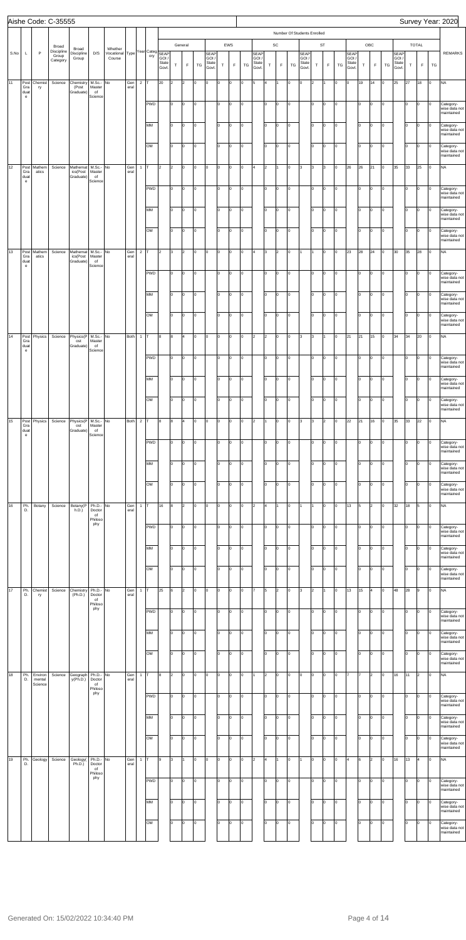|      |                                                                   |                              | Aishe Code: C-35555             |                                   |                                      |                                 |             |                |                             |                        |                      |                           |        |                                 |            |                    |         |                                 |                |                |           |                                |                |                      |                |                                       |             |                    |        |                                |                |                             |                | Survey Year: 2020                                      |
|------|-------------------------------------------------------------------|------------------------------|---------------------------------|-----------------------------------|--------------------------------------|---------------------------------|-------------|----------------|-----------------------------|------------------------|----------------------|---------------------------|--------|---------------------------------|------------|--------------------|---------|---------------------------------|----------------|----------------|-----------|--------------------------------|----------------|----------------------|----------------|---------------------------------------|-------------|--------------------|--------|--------------------------------|----------------|-----------------------------|----------------|--------------------------------------------------------|
|      |                                                                   |                              | Broad                           |                                   |                                      |                                 |             |                |                             |                        |                      |                           |        |                                 |            |                    |         |                                 |                |                |           | Number Of Students Enrolled    |                |                      |                |                                       |             |                    |        |                                |                |                             |                |                                                        |
| S.No | L                                                                 | $\mathsf{P}$                 | Discipline<br>Group<br>Category | Broad<br>Discipline<br>Group      | D/S                                  | Whether<br>Vocational<br>Course |             |                | Type Year Categ SEAP<br>ory | GOI,<br>State<br>Govt. | T                    | General<br>F              | TG     | SEAP<br>GOI /<br>State<br>Govt. | $\top$     | EWS<br>$\mathsf F$ | TG      | SEAP<br>GOI /<br>State<br>Govt. | $\top$         | SC<br>F        | TG        | SEAP<br>GOI/<br>State<br>Govt. | $\top$         | <b>ST</b><br>F       | TG             | <b>SEAP</b><br>GOI/<br>State<br>Govt. | $\top$      | OBC<br>$\mathsf F$ | TG     | SEAP<br>GOI/<br>State<br>Govt. | T              | <b>TOTAL</b><br>$\mathsf F$ | TG             | <b>REMARKS</b>                                         |
| 11   | Post<br>Gra<br>duat                                               | Chemist<br>ry                | Science                         | Chemistry<br>(Post<br>Graduate)   | M.Sc.- No<br>Master<br>of            |                                 | Gen<br>eral | 2 $\vert$ T    |                             | 20                     | $\vert$ <sub>2</sub> | $\vert$ 2                 | 0      | 0                               | lо         | o                  | O       | 5                               | 4              |                | Iо        | 0                              | 2              | 1                    | $\overline{0}$ | O                                     | 19          | 14                 | Iо     | 25                             | 27             | 18                          | $\vert$ 0      | <b>NA</b>                                              |
|      | $\mathsf{e}% _{0}\left( \mathsf{e}\right)$                        |                              |                                 |                                   | Science                              |                                 |             |                | <b>PWD</b>                  |                        | I٥                   | O                         | O      |                                 | Iо         | $\Omega$           | O       |                                 | I٥             | O              | Iо        |                                | I٥             | lо                   | O              |                                       | lo.         | Iо                 | Iо     |                                | Iо             | 0                           | O              | Category-<br>wise data not                             |
|      |                                                                   |                              |                                 |                                   |                                      |                                 |             |                | MM                          |                        | I٥                   | O                         | l0     |                                 | lо         | $\Omega$           | O       |                                 | I٥             | O              | Iо        |                                | I٥             | $\circ$              | $\vert$ 0      |                                       | lo          | Iо                 | O      |                                | Iо             | O                           | Iо             | maintained<br>Category-<br>wise data not<br>maintained |
|      |                                                                   |                              |                                 |                                   |                                      |                                 |             |                | OM                          |                        | I٥                   | O                         | O      |                                 | lo         | lo.                | O       |                                 | I٥             | O              | Iо        |                                | I٥             | $\vert$ 0            | O              |                                       | lo          | Iо                 | o      |                                | Iо             | 0                           | lo             | Category-<br>wise data not<br>maintained               |
| 12   | Post<br>Gra<br>duat                                               | Mathem<br>atics              | Science                         | Mathemat<br>ics(Post<br>Graduate) | M.Sc.- No<br>Master<br>of            |                                 | Gen<br>eral | $\mathbf{1}$   | Iт                          | 2                      | 2                    | O                         | 0      | $\overline{0}$                  | lо         | lo.                | O       | 4                               | $\overline{2}$ | Ι1             | Iо        | l3                             | 3              | $\vert$ 3            | $\circ$        | 26                                    | 26          | 21                 | o      | 35                             | 33             | 25                          | Iо             | <b>NA</b>                                              |
|      | $\mathsf{e}% _{0}\left( \mathsf{e}\right)$                        |                              |                                 |                                   | Science                              |                                 |             |                | <b>PWD</b>                  |                        | I٥                   | o                         | O      |                                 | Iо         | $\Omega$           | O       |                                 | I٥             | O              | Iо        |                                | lo.            | $\vert$ 0            | O              |                                       | lo          | Iо                 | o      |                                | Iо             | O                           | O              | Category-<br>wise data not<br>maintained               |
|      |                                                                   |                              |                                 |                                   |                                      |                                 |             |                | MM                          |                        | I٥                   | O                         | 0      |                                 | lо         | lo.                | O       |                                 | I٥             | O              | Iо        |                                | I٥             | $\circ$              | $\vert$ 0      |                                       | lо          | Iо                 | O      |                                | Iо             | O                           | Iо             | Category-<br>wise data not<br>maintained               |
|      |                                                                   |                              |                                 |                                   |                                      |                                 |             |                | OM                          |                        | I٥                   | O                         | O      |                                 | lo         | lo.                | O       |                                 | I٥             | O              | Iо        |                                | I٥             | $\vert$ 0            | O              |                                       | lo          | Iо                 | o      |                                | Iо             | O                           | O              | Category-<br>wise data not<br>maintained               |
| 13   | Post<br>Gra<br>duat<br>$\mathsf{e}% _{0}\left( \mathsf{e}\right)$ | Mathem<br>atics              | Science                         | Mathemat<br>ics(Post<br>Graduate) | M.Sc.- No<br>Master<br>of<br>Science |                                 | Gen<br>eral | $\overline{c}$ | IT.<br><b>PWD</b>           | $\overline{2}$         | 3<br>lo.             | $\vert$ <sub>2</sub><br>o | 0<br>0 | O                               | lо<br>Iо   | O<br>lo.           | O<br>O  | 4                               | 3<br>lo.       | 2<br>O         | Iо<br>Iо  | 1                              | 11<br>lo.      | lо<br>$\vert$ 0      | O<br>O         | 23                                    | 28<br>lo    | 24<br>Iо           | o<br>o | 30                             | 35<br>Iо       | 28<br>0                     | Iо<br>Iо       | <b>NA</b>                                              |
|      |                                                                   |                              |                                 |                                   |                                      |                                 |             |                |                             |                        |                      |                           |        |                                 |            |                    |         |                                 |                |                |           |                                |                |                      |                |                                       |             |                    |        |                                |                |                             |                | Category-<br>wise data not<br>maintained               |
|      |                                                                   |                              |                                 |                                   |                                      |                                 |             |                | MM                          |                        | I٥                   | O                         | 0      |                                 | lо         | lo.                | O       |                                 | I٥             | O              | Iо        |                                | I٥             | $\circ$              | $\vert$ 0      |                                       | lo          | O                  | O      |                                | Iо             | O                           | Iо             | Category-<br>wise data not<br>maintained               |
|      |                                                                   |                              |                                 |                                   |                                      |                                 |             |                | OM                          |                        | lo.                  | O                         | O      |                                 | $\vert$ 0  | lo.                | O       |                                 | I٥             | O              | Iо        |                                | I٥             | $\vert$ 0            | $\vert$ 0      |                                       | lo          | Iо                 | o      |                                | Iо             | O                           | O              | Category-<br>wise data not<br>maintained               |
| 14   | Post<br>Gra<br>duat<br>$\mathbf{e}$                               | Physics                      | Science                         | Physics(P<br>ost<br>Graduate)     | M.Sc.- No<br>Master<br>of<br>Science |                                 | Both 1 T    |                |                             | 8                      | 8                    | $\overline{4}$            | O      | $\vert 0 \vert$                 | lо         | O                  | O       | $\vert$ <sub>2</sub>            | $\overline{2}$ | O              | $\circ$   | 3                              | 3              | I1.                  | $\circ$        | 21                                    | 21          | 15                 | o      | 34                             | 34             | 20                          | $\vert$ 0      | <b>NA</b>                                              |
|      |                                                                   |                              |                                 |                                   |                                      |                                 |             |                | <b>PWD</b>                  |                        | lo.                  | O                         | 0      |                                 | Iо         | lo.                | O       |                                 | lo.            | O              | Iо        |                                | lo.            | $\vert$ 0            | O              |                                       | Iо          | Iо                 | lо     |                                | Iо             | 0                           | $\overline{0}$ | Category-<br>wise data not<br>maintained               |
|      |                                                                   |                              |                                 |                                   |                                      |                                 |             |                | MM                          |                        | I٥                   | lo.                       | o      |                                 | lo.        | $\Omega$           | O       |                                 | I٥             | O              | Iо        |                                | I٥             | $\overline{0}$       | O              |                                       | lo.         | Iо                 | Iо     |                                | lо             | O                           | Iо             | Category-<br>wise data not<br>maintained               |
|      |                                                                   |                              |                                 |                                   |                                      |                                 |             |                | OM                          |                        | Iо                   | o                         | o      |                                 | lо         | $\Omega$           | O       |                                 | lo.            | O              | Iо        |                                | I٥             | Iо                   | lо             |                                       | lo          | Iо                 | Iо     |                                | lо             | O                           | Iо             | Category-<br>wise data not<br>maintained               |
| 15   | Post<br>Gra<br>duat<br>$\mathsf{e}% _{0}\left( \mathsf{e}\right)$ | Physics                      | Science                         | Physics(P<br>ost<br>Graduate)     | M.Sc.- No<br>Master<br>of<br>Science |                                 | Both 2 T    |                |                             | 8                      | 8                    | 4                         | 0      | O                               | O          | $\Omega$           | O       | 2                               |                | O              | Iо        | l3                             | 3              | $\vert$ <sub>2</sub> | O              | 22                                    | 21          | 16                 | lо     | 35                             | 33             | 22                          | Iо             | <b>NA</b>                                              |
|      |                                                                   |                              |                                 |                                   |                                      |                                 |             |                | <b>PWD</b>                  |                        | I٥                   | O                         | o      |                                 | I٥         | $\Omega$           | O       |                                 | I٥             | O              | Iо        |                                | I٥             | lо                   | O              |                                       | lo.         | Iо                 | Iо     |                                | Iо             | O                           | Iо             | Category-<br>wise data not<br>maintained               |
|      |                                                                   |                              |                                 |                                   |                                      |                                 |             |                | MM                          |                        | Iо                   | o                         | o      |                                 | lo.        | $\Omega$           | O       |                                 | I٥             | O              | Iо        |                                | lo.            | $\overline{0}$       | O              |                                       | I٥          | Iо                 | Iо     |                                | Iо             | O                           | I٥             | Category-<br>wise data not<br>maintained               |
|      |                                                                   |                              |                                 |                                   |                                      |                                 |             |                | OM                          |                        | Iо                   | O                         | o      |                                 | lо         | $\Omega$           | O       |                                 | I٥             | O              | lo.       |                                | I٥             | Iо                   | lо             |                                       | lo          | Iо                 | lo.    |                                | lо             | lo.                         | lo             | Category-<br>wise data not<br>maintained               |
| 16   | Ph.<br>D.                                                         | Botany                       | Science                         | Botany(P<br>h.D.)                 | Ph.D.- No<br>Doctor<br>of<br>Philoso |                                 | Gen<br>eral | $\mathbf{1}$   | Iт                          | 16                     | 8                    | $\vert$ 2                 | 0      | O                               | O          | 0                  | O       | 2                               | 4              |                | lo.       | 1                              | 1              | Iо                   | lo.            | 13                                    | 5           | 2                  | Iо     | 32                             | 18             | 5                           | Iо             | <b>NA</b>                                              |
|      |                                                                   |                              |                                 |                                   | phy                                  |                                 |             |                | <b>PWD</b>                  |                        | I٥                   | O                         | o      |                                 | I٥         | $\Omega$           | O       |                                 | I٥             | O              | Iо        |                                | I٥             | lо                   | O              |                                       | lo.         | Iо                 | Iо     |                                | Iо             | O                           | Iо             | Category-<br>wise data not<br>maintained               |
|      |                                                                   |                              |                                 |                                   |                                      |                                 |             |                | MM                          |                        | Iо                   | o                         | o      |                                 | lo.        | $\Omega$           | O       |                                 | I٥             | O              | lo.       |                                | lo.            | $\overline{0}$       | O              |                                       | lo          | Iо                 | Iо     |                                | Iо             | lo.                         | I٥             | Category-<br>wise data not<br>maintained               |
|      |                                                                   |                              |                                 |                                   |                                      |                                 |             |                | OM                          |                        | lo.                  | O                         | o      |                                 | lо         | $\Omega$           | O       |                                 | I٥             | O              | lo.       |                                | I٥             | Iо                   | Iо             |                                       | lo          | Iо                 | lo.    |                                | Iо             | lo.                         | lo             | Category-<br>wise data not<br>maintained               |
| 17   | Ph.<br>D.                                                         | Chemist<br>ry                | Science                         | Chemistry<br>(Ph.D.)              | Ph.D.- No<br>Doctor<br>of<br>Philoso |                                 | Gen<br>eral | $\mathbf{1}$   | Iт                          | 25                     | 6                    | $\vert$ 2                 | 0      | O                               | O          | 0                  | O       | 17                              | 5              | $\overline{2}$ | lo.       | l3                             | $\overline{2}$ | I1.                  | O              | 13                                    | 15          | 4                  | Iо     | 48                             | 28             | l9                          | Iо             | <b>NA</b>                                              |
|      |                                                                   |                              |                                 |                                   | phy                                  |                                 |             |                | <b>PWD</b>                  |                        | I٥                   | O                         | O      |                                 | lo.        | $\Omega$           | O       |                                 | I٥             | O              | Iо        |                                | I٥             | lо                   | O              |                                       | lo.         | Iо                 | Iо     |                                | Iо             | O                           | Iо             | Category-<br>wise data not<br>maintained               |
|      |                                                                   |                              |                                 |                                   |                                      |                                 |             |                | MM                          |                        | Iо                   | o                         | o      |                                 | lo.        | $\Omega$           | O       |                                 | I٥             | O              | lo.       |                                | lo.            | $\overline{0}$       | O              |                                       | I٥          | Iо                 | Iо     |                                | Iо             | lo.                         | I٥             | Category-<br>wise data not<br>maintained               |
|      |                                                                   |                              |                                 |                                   |                                      |                                 |             |                | OM                          |                        | lo.                  | O                         | o      |                                 | lo         | $\Omega$           | O       |                                 | I٥             | O              | lо        |                                | I٥             | Iо                   | Iо             |                                       | lo          | Iо                 | Iо     |                                | Iо             | O                           | lo             | Category-<br>wise data not<br>maintained               |
| 18   | Ph.<br>D.                                                         | Environ<br>mental<br>Science | Science                         | Geograph<br>y(Ph.D.)              | Ph.D.- No<br>Doctor<br>of            |                                 | Gen<br>eral | $\mathbf{1}$   | Iт                          | 8                      | 2                    | 0                         | l0     | O                               | O          | $\Omega$           | O       | 11                              | $\overline{2}$ | O              | Iо        | 0                              | O              | $\vert$ 0            | 0              |                                       |             | 2                  | Iо     | 16                             | 11             | $\overline{2}$              | Iо             | <b>NA</b>                                              |
|      |                                                                   |                              |                                 |                                   | Philoso<br>phy                       |                                 |             |                | <b>PWD</b>                  |                        | I٥                   | O                         | O      |                                 | Iо         | $\Omega$           | O       |                                 | I٥             | O              | Iо        |                                | I٥             | Iо                   | O              |                                       | lo.         | Iо                 | Iо     |                                | Iо             | O                           | lo             | Category-<br>wise data not<br>maintained               |
|      |                                                                   |                              |                                 |                                   |                                      |                                 |             |                | MM                          |                        | $\vert$ 0            | $\vert$ 0                 | Iо     |                                 | $\sqrt{0}$ | $\overline{0}$     | $\circ$ |                                 | lo.            | O              | $\vert$ 0 |                                | lo.            | $\vert$ 0            | $\vert$ 0      |                                       | $ 0\rangle$ | O                  | O      |                                | $\overline{0}$ | O                           | $\circ$        | Category-<br>wise data not<br>maintained               |
|      |                                                                   |                              |                                 |                                   |                                      |                                 |             |                | OM                          |                        | I٥                   | O                         | O      |                                 | lo         | lo.                | O       |                                 | I٥             | O              | Iо        |                                | I٥             | $\vert$ 0            | $\circ$        |                                       | lo          | Iо                 | o      |                                | Iо             | 0                           | Iо             | Category-<br>wise data not<br>maintained               |
| 19   | Ph.<br>D.                                                         | Geology                      | Science                         | Geology(<br>Ph.D.)                | Ph.D.- No<br>Doctor<br>of<br>Philoso |                                 | Gen<br>eral | $\mathbf{1}$   | Iт                          | 9                      | l3                   | 11                        | O      | O                               | O          | $\Omega$           | l0      | 2                               | 4              |                | lo.       | 1                              | O              | Iо                   | lo.            | 4                                     | l6          | I2                 | Iо     | 16                             | 13             | 4                           | Iо             | <b>NA</b>                                              |
|      |                                                                   |                              |                                 |                                   | phy                                  |                                 |             |                | <b>PWD</b>                  |                        | lо                   | O                         | 0      |                                 | I٥         | $\Omega$           | O       |                                 | I٥             | O              | Iо        |                                | I٥             | 0                    | 0              |                                       | lo.         | Iо                 | Iо     |                                | Iо             | O                           | Iо             | Category-<br>wise data not<br>maintained               |
|      |                                                                   |                              |                                 |                                   |                                      |                                 |             |                | MM                          |                        | I٥                   | l0                        | 0      |                                 | lo         | $\Omega$           | O       |                                 | I٥             | O              | Iо        |                                | I٥             | $\overline{0}$       | 0              |                                       | lo          | Iо                 | Iо     |                                | Iо             | lo.                         | lo.            | Category-<br>wise data not<br>maintained               |
|      |                                                                   |                              |                                 |                                   |                                      |                                 |             |                | OM                          |                        | I٥                   | O                         | 0      |                                 | lо         | lo.                | O       |                                 | I٥             | O              | Iо        |                                | I٥             | lо                   | O              |                                       | lo          | Iо                 | lo.    |                                | Iо             | O                           | Iо             | Category-<br>wise data not<br>maintained               |
|      |                                                                   |                              |                                 |                                   |                                      |                                 |             |                |                             |                        |                      |                           |        |                                 |            |                    |         |                                 |                |                |           |                                |                |                      |                |                                       |             |                    |        |                                |                |                             |                |                                                        |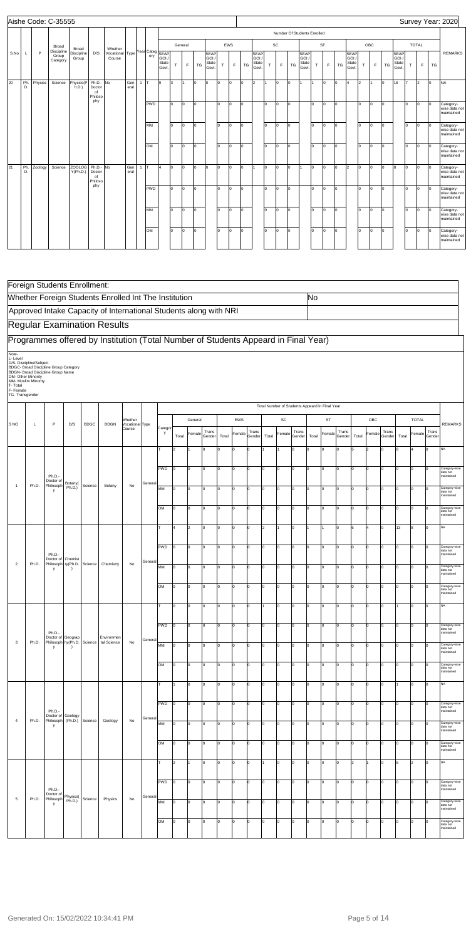|      |           |         | Aishe Code: C-35555             |                           |                                      |                           |             |       |                   |                         |     |         |     |                                        |              |     |     |                                        |     |          |            |                                                   |                |           |     |                                        |     |     |     |                                        |     |                      |     | Survey Year: 2020                        |
|------|-----------|---------|---------------------------------|---------------------------|--------------------------------------|---------------------------|-------------|-------|-------------------|-------------------------|-----|---------|-----|----------------------------------------|--------------|-----|-----|----------------------------------------|-----|----------|------------|---------------------------------------------------|----------------|-----------|-----|----------------------------------------|-----|-----|-----|----------------------------------------|-----|----------------------|-----|------------------------------------------|
|      |           |         |                                 |                           |                                      |                           |             |       |                   |                         |     |         |     |                                        |              |     |     |                                        |     |          |            | Number Of Students Enrolled                       |                |           |     |                                        |     |     |     |                                        |     |                      |     |                                          |
|      |           |         | Broad                           | Broad                     |                                      | Whether                   |             |       |                   |                         |     | General |     |                                        |              | EWS |     |                                        |     | SC       |            |                                                   |                | <b>ST</b> |     |                                        |     | OBC |     |                                        |     | <b>TOTAL</b>         |     |                                          |
| S.No |           | P       | Discipline<br>Group<br>Category | Discipline<br>Group       | D/S                                  | Vocational Type<br>Course |             |       | Year Categ<br>ory | GOI /<br>State<br>Govt. | T   | F       | TG  | <b>SEAP</b><br>GOI /<br>State<br>Govt. | $\mathsf{T}$ | E   | TG  | <b>SEAP</b><br>GOI /<br>State<br>Govt. | T.  | F        | TG         | <b>SEAP</b><br>GOI <sub>1</sub><br>State<br>Govt. | T.             | E         | TG  | <b>SEAP</b><br>GOI /<br>State<br>Govt. | T   | F.  | TG  | <b>SEAP</b><br>GOI /<br>State<br>Govt. | T.  | F                    | TG  | <b>REMARKS</b>                           |
| 20   | Ph.<br>D. | Physics | Science                         | Physics(P<br>h.D.         | Ph.D.- No<br>Doctor<br>of<br>Philoso |                           | Gen<br>eral | $1$ T |                   | l9                      | l3  | 1       | lo. | lo.                                    | lo.          | Iо  | l0. | $\vert$ 2                              |     | lo.      | Iо         |                                                   |                | lo.       | lo. | 4                                      | l2  |     | lo. | 16                                     | 17  | l2                   | lo. | <b>NA</b>                                |
|      |           |         |                                 |                           | phy                                  |                           |             |       | <b>PWD</b>        |                         | lo. | lo.     | lo. |                                        | lo.          | Iо  | l0. |                                        | lo. | Iо       | Iо         |                                                   | lo.            | lo.       | lo. |                                        | lo. | Io. | Iо  |                                        | lo  | lo.                  | Iо  | Category-<br>wise data not<br>maintained |
|      |           |         |                                 |                           |                                      |                           |             |       | MM                |                         | lo. | lo.     | lo. |                                        | lo.          | Iо  | l0. |                                        | lo. | Iо       | Iо         |                                                   | lo.            | lo.       | lo. |                                        | I٥  | Io. | Iо  |                                        | lo. | lo.                  | Iо  | Category-<br>wise data not<br>maintained |
|      |           |         |                                 |                           |                                      |                           |             |       | OM                |                         | lo. | lo.     | lo. |                                        | lo.          | Iо  | l0. |                                        | lo  | $\Omega$ | Io.        |                                                   | I٥             | Io.       | lo. |                                        | I٥  | I٥  | lo. |                                        | lo. | $\mathsf{I}^{\circ}$ | Iо  | Category-<br>wise data not<br>maintained |
| 21   | Ph.<br>D. | Zoology | Science                         | <b>ZOOLOG</b><br>Y(Ph.D.) | Ph.D.- No<br>Doctor<br>of<br>Philoso |                           | Gen<br>eral | $1$ T |                   | l4                      | lo. | lo.     | lo  | lo.                                    | Io.          | Iо  | l0. | I1.                                    | lo. | lo.      | <b>l</b> o | 11.                                               | $\overline{0}$ | lo.       | lo. | $\vert$ <sub>2</sub>                   | lo. | In. | Iо  | l8.                                    | lo. | $\mathsf{I}^{\circ}$ | Iо  | Category-<br>wise data not<br>maintained |
|      |           |         |                                 |                           | phy                                  |                           |             |       | <b>PWD</b>        |                         | lo. | lo.     | lo. |                                        | lo.          | Iо  | l0. |                                        | lo. | Iо       | lo.        |                                                   | I٥             | lo.       | lo. |                                        | I٥  | Io. | Iо  |                                        | lo  | lo.                  | Iо  | Category-<br>wise data not<br>maintained |
|      |           |         |                                 |                           |                                      |                           |             |       | <b>MM</b>         |                         | I٥  | lo.     | lo. |                                        | lo.          | Iо  | In. |                                        | lo. | l0       | Iо         |                                                   | lo.            | lo.       | lo. |                                        | lo  | I٥  | Iо  |                                        | lo  | lo.                  | Iо  | Category-<br>wise data not<br>maintained |
|      |           |         |                                 |                           |                                      |                           |             |       | OM                |                         | lo. | lo.     | lo. |                                        | lo.          | Iо  | lo. |                                        | lo. | Iо       | Iо         |                                                   | lo.            | lo.       | lo. |                                        | lo. | lo. | Iо  |                                        | lo. | lo.                  | Iо  | Category-<br>wise data not<br>maintained |

|                                                             |                                                                      | Foreign Students Enrollment:                                                      |                      |             |                                                                                    |                                      |        |            |       |             |        |       |                |        |       |              |                                                |       |             |             |       |                |             |       |                |                |                                         |
|-------------------------------------------------------------|----------------------------------------------------------------------|-----------------------------------------------------------------------------------|----------------------|-------------|------------------------------------------------------------------------------------|--------------------------------------|--------|------------|-------|-------------|--------|-------|----------------|--------|-------|--------------|------------------------------------------------|-------|-------------|-------------|-------|----------------|-------------|-------|----------------|----------------|-----------------------------------------|
|                                                             |                                                                      |                                                                                   |                      |             | Whether Foreign Students Enrolled Int The Institution                              |                                      |        |            |       |             |        |       |                |        |       |              |                                                | No    |             |             |       |                |             |       |                |                |                                         |
|                                                             |                                                                      |                                                                                   |                      |             | Approved Intake Capacity of International Students along with NRI                  |                                      |        |            |       |             |        |       |                |        |       |              |                                                |       |             |             |       |                |             |       |                |                |                                         |
|                                                             |                                                                      |                                                                                   |                      |             | <b>Regular Examination Results</b>                                                 |                                      |        |            |       |             |        |       |                |        |       |              |                                                |       |             |             |       |                |             |       |                |                |                                         |
|                                                             |                                                                      |                                                                                   |                      |             | Programmes offered by Institution (Total Number of Students Appeard in Final Year) |                                      |        |            |       |             |        |       |                |        |       |              |                                                |       |             |             |       |                |             |       |                |                |                                         |
| Note-<br>L-Level<br>T- Total<br>F- Female<br>TG-Transgender | D/S- Discipline/Subject<br>OM- Other Minority<br>MM- Muslim Minority | BDGC- Broad Discipline Group Category<br><b>BDGN- Broad Discipline Group Name</b> |                      |             |                                                                                    |                                      |        |            |       |             |        |       |                |        |       |              |                                                |       |             |             |       |                |             |       |                |                |                                         |
|                                                             |                                                                      |                                                                                   |                      |             |                                                                                    |                                      |        |            |       |             |        |       |                |        |       |              | Total Number of Students Appeard in Final Year |       |             |             |       |                |             |       |                |                |                                         |
| S <sub>NO</sub>                                             | L                                                                    | P                                                                                 | D/S                  | <b>BDGC</b> | <b>BDGN</b>                                                                        | Whether<br>Vocational Type<br>Course |        | Catego     |       | General     | Trans  |       | EWS            | Trans  |       | SC           | Trans                                          |       | <b>ST</b>   | Trans       |       | OBC            | Trans       |       | <b>TOTAL</b>   | Trans          | <b>REMARKS</b>                          |
|                                                             |                                                                      |                                                                                   |                      |             |                                                                                    |                                      |        | y          | Total | Female      | Gender | Total | Female         | Gender | Total | Female       | Gender                                         | Total | Female      | Gender      | Total | Female         | Gender      | Total | Female         | Gender         |                                         |
|                                                             |                                                                      |                                                                                   |                      |             |                                                                                    |                                      |        |            | l2    |             | O      |       | O              | l0     |       |              | Iо                                             | l0.   |             | $\mathbf 0$ |       | $\overline{2}$ | 0           | l8    | $\overline{4}$ | 0              | NA                                      |
|                                                             |                                                                      | Ph.D.                                                                             |                      |             |                                                                                    |                                      |        | <b>PWD</b> | I٥    | 0           | lo.    | Ιo    | O              | l0     | lo.   | $\mathbf 0$  | Iо                                             | I٥    | $\Omega$    | I٥          | I٥    | $\overline{0}$ | $\mathbf 0$ | Ιo    | 0              | <sup>n</sup>   | Category-wise<br>data not<br>maintained |
| $\mathbf{1}$                                                | Ph.D.                                                                | Doctor of<br>Philosoph<br>y                                                       | Botany(<br>Ph.D.)    | Science     | Botany                                                                             | No                                   | Genera | MM         | lо    | l0          | Iо     | I٥    | lo             | Iо     | Iо    | O            | Iо                                             | I٥    | $\Omega$    | I٥          | I٥    | 0              | Iо          | Iо    | 0              | <sup>0</sup>   | Category-wise<br>data not<br>maintained |
|                                                             |                                                                      |                                                                                   |                      |             |                                                                                    |                                      |        | OM         | I٥    | lo          | Iо     | Iо    | lo             | O      | Iо    | lo           | Iо                                             | I٥    | $\Omega$    | Iо          | I٥    | 0              | Iо          | Iо    | O              | n              | Category-wis<br>data not<br>maintained  |
|                                                             |                                                                      |                                                                                   |                      |             |                                                                                    |                                      |        |            | 4     | 2           | Iо     | l٥    | lo             | O      | 2     |              | Iо                                             |       |             | I٥          | l6    | $\overline{a}$ | lо          | 13    | 8              | lo.            | NA                                      |
|                                                             |                                                                      |                                                                                   |                      |             |                                                                                    |                                      |        | PWD        | l٥    | 0           | Iо     | Iо    | lo             | Iо     | O     | $\mathbf 0$  | Iо                                             | I٥    | $\Omega$    | I٥          | I٥    | 0              | Iо          | lо    | 0              | <sup>0</sup>   | Category-wise<br>data not<br>maintainec |
| $\overline{2}$                                              | Ph.D.                                                                | Ph.D.-<br>Doctor of<br>Philosoph ry(Ph.D.<br>у                                    | Chemist              | Science     | Chemistry                                                                          | No                                   | Genera | MM         | I٥    | lo          | 0      | Iо    | lo             | l0     | ۱n    | $\mathbf 0$  | Iо                                             | I٥    |             | Iо          | I٥    | $\Omega$       | Iо          | Iо    | O              |                | Category-wise<br>data not<br>maintaineo |
|                                                             |                                                                      |                                                                                   |                      |             |                                                                                    |                                      |        | OM         | lо    | $\mathbf 0$ | lo.    | Iо    | lo             | O      | o     | $\mathbf 0$  | Iо                                             | I٥    |             | I٥          | I٥    | $\overline{0}$ | 0           | Iо    | 0              |                | Category-wise<br>data not               |
|                                                             |                                                                      |                                                                                   |                      |             |                                                                                    |                                      |        | т          | lo    | 0           | Iо     | lо    | lo             | O      |       | 0            | Iо                                             | I٥    |             | I٥          | I٥    | 0              | 0           |       | 0              | $\Omega$       | maintained<br>NA                        |
|                                                             |                                                                      |                                                                                   |                      |             |                                                                                    |                                      |        | PWD        | Iо    | lo          | 0      | lо    | $\overline{0}$ | lо     | l0    | $\mathsf{o}$ | Iо                                             | I٥    | 0           | Iо          | I٥    | $\overline{0}$ | Iо          | lо    | $\overline{0}$ | 10             | Category-wise<br>data not               |
| 3                                                           | Ph.D.                                                                | Ph.D.-<br>Doctor of<br>Philosoph hy (Ph.D.<br>y                                   | Geograp<br>$\lambda$ | Science     | Environmen<br>tal Science                                                          | No                                   | Genera | MM         | Iо    | lo          | Iо     | Iо    | lo             | I٥     | I٥    | o            | Iо                                             | I٥    | 0           | Iо          | I٥    | $\overline{0}$ | Iо          | Iо    | O              | 0              | maintained<br>Category-wise<br>data not |
|                                                             |                                                                      |                                                                                   |                      |             |                                                                                    |                                      |        | OM         | lo    | 0           | Iо     | 10    | O              | Iо     | o     | $\mathbf 0$  | Iо                                             | I٥    | $\Omega$    | Iо          | I٥    | 0              | Iо          | Iо    | 0              | Iо             | maintained<br>Category-wise             |
|                                                             |                                                                      |                                                                                   |                      |             |                                                                                    |                                      |        | т          |       | l0          | Iо     | Iо    | lo             | I٥     | o     | $\mathsf{o}$ | Iо                                             | I٥    | $\Omega$    | Iо          | lо    | $\overline{0}$ | Iо          |       | O              | Iо             | data not<br>maintained<br><b>NA</b>     |
|                                                             |                                                                      |                                                                                   |                      |             |                                                                                    |                                      |        | PWD        | Iо    | $\mathbf 0$ | lo.    | Iо    | lo             | Iо     | o     | $\mathsf{o}$ | Ιo                                             | I٥    | 0           | I٥          | lо    | $\overline{0}$ | I٥          | Iо    | 0              | Iо             | Category-wise                           |
| 4                                                           | Ph.D.                                                                | Ph.D.-<br>Doctor of<br>Philosoph                                                  | Geology<br>(Ph.D.)   | Science     | Geology                                                                            | No                                   | Genera | MM         | 10    | l0          | Iо     | 10    | lo             | I٥     | Iо    | O            | Iо                                             | I٥    | $\Omega$    | I٥          | I٥    | 0              | Iо          | Iо    | 0              | $\overline{0}$ | data not<br>maintained<br>Category-wise |
|                                                             |                                                                      | у                                                                                 |                      |             |                                                                                    |                                      |        |            |       |             |        |       |                |        |       |              |                                                |       |             |             |       |                |             |       |                |                | data not<br>maintained                  |
|                                                             |                                                                      |                                                                                   |                      |             |                                                                                    |                                      |        | OM         | lо    | l0          | Iо     | Iо    | lo             | I٥     | Iо    | $\mathsf{o}$ | Iо                                             | I٥    | $\mathbf 0$ | Iо          | lо    | $\overline{0}$ | Iо          | Iо    | $\overline{0}$ | Iо             | Category-wise<br>data not<br>maintained |
|                                                             |                                                                      |                                                                                   |                      |             |                                                                                    |                                      |        | т          | 2     |             | lo.    | I٥    | lo             | Iо     | 1     | 0            | Iо                                             | I٥    | $\Omega$    | Iо          | 2     |                | lо          | l5    | $\overline{2}$ | lо             | NA                                      |
|                                                             |                                                                      | Ph.D.-<br>Doctor of                                                               | Physics(             |             |                                                                                    |                                      | Genera | PWD        | 10    | 0           | Iо     | Ιo    | lo             | I٥     | O     | $\mathbf 0$  | Iо                                             | I٥    | $\Omega$    | Iо          | I٥    | 0              | Iо          | Iо    | 0              | lо             | Category-wise<br>data not<br>maintained |
| $\overline{5}$                                              | Ph.D.                                                                | Philosoph<br>у                                                                    | Ph.D.)               | Science     | Physics                                                                            | No                                   |        | MM         | Iо    | lo          | Iо     | Iо    | lo             | Iо     | 0     | O            | Iо                                             | I٥    | $\Omega$    | Iо          | lо    | 0              | lо          | Iо    | O              | Iо             | Category-wise<br>data not<br>maintained |
|                                                             |                                                                      |                                                                                   |                      |             |                                                                                    |                                      |        | OM         | lо    | 0           | lo.    | I٥    | O              | l0     | lo.   | $\mathbf 0$  | Iо                                             | I٥    | $\Omega$    | Iо          | I٥    | $\overline{0}$ | $\mathbf 0$ | Iо    | 0              | Iо             | Category-wise<br>data not<br>maintained |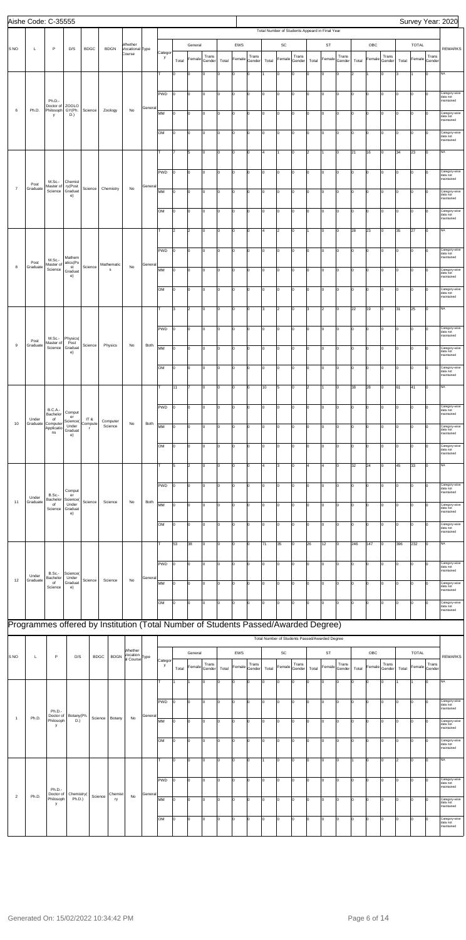|                 | Aishe Code: C-35555                                                                |                                |                               |                |                       |                                                                 |    |         |             |                |                      |                 |             |          |                 |       |                     |                 |             |                                                      |                 |            |                |                 |             |              |                        | Survey Year: 2020                       |
|-----------------|------------------------------------------------------------------------------------|--------------------------------|-------------------------------|----------------|-----------------------|-----------------------------------------------------------------|----|---------|-------------|----------------|----------------------|-----------------|-------------|----------|-----------------|-------|---------------------|-----------------|-------------|------------------------------------------------------|-----------------|------------|----------------|-----------------|-------------|--------------|------------------------|-----------------------------------------|
|                 |                                                                                    |                                |                               |                |                       | Whether                                                         |    |         |             |                | General              |                 |             | EWS      |                 |       | SC                  |                 |             | Total Number of Students Appeard in Final Year<br>ST |                 |            | OBC            |                 |             | <b>TOTAL</b> |                        |                                         |
| S <sub>NO</sub> | L                                                                                  | P                              | D/S                           | <b>BDGC</b>    | <b>BDGN</b>           | Vocational Type<br>Course                                       |    |         | Catego<br>у |                | Female               | Trans           |             | Female   | Trans           |       | Female              | Trans           |             | Female                                               | Trans           |            | Female         | Trans           |             |              | Trans<br>Female Gender | <b>REMARKS</b>                          |
|                 |                                                                                    |                                |                               |                |                       |                                                                 |    |         | T           | Total<br>l0    | O                    | Gender<br>0     | Total<br>١o | O        | Gender<br>Iо    | Total | 0                   | Gender<br>I٥    | Total<br>I٥ | 0                                                    | Gender<br>O     | Total<br>2 |                | Gender<br>O     | Total<br>l3 |              | $\mathbf 0$            | <b>NA</b>                               |
|                 |                                                                                    |                                |                               |                |                       |                                                                 |    |         |             |                |                      |                 |             |          |                 |       |                     |                 |             |                                                      |                 |            |                |                 |             |              |                        |                                         |
|                 |                                                                                    | Ph.D.-                         |                               |                |                       |                                                                 |    |         | PWD         | I٥             | lo                   | Iо              | Iо          | l0       | Iо              | lo    | 0                   | Iо              | Iо          | lо                                                   | Iо              | Iо         | 0              | Iо              | lo.         | 0            | Iо                     | Category-wise<br>data not<br>maintained |
| $\,6$           | Ph.D.                                                                              | Doctor of<br>Philosoph<br>у    | <b>ZOOLO</b><br>GY(Ph.<br>D.) | Science        | Zoology               | No                                                              |    | Genera  | MM          | lo             | 0                    | Iо              | Iо          | O        | Iо              | I٥    | 0                   | lо              | Iо          | 0                                                    | Iо              | Iо         | $\mathbf 0$    | I٥              | I٥          | 0            | Iо                     | Category-wise<br>data not               |
|                 |                                                                                    |                                |                               |                |                       |                                                                 |    |         | <b>OM</b>   | I٥             | O                    | Iо              | I٥          | lo       | Iо              | I٥    | $\mathbf 0$         | Iо              | Iо          | 0                                                    | Iо              | Iо         | $\overline{0}$ | 0               | I٥          | l0           | 0                      | maintained<br>Category-wise             |
|                 |                                                                                    |                                |                               |                |                       |                                                                 |    |         |             |                |                      |                 |             |          |                 |       |                     |                 |             |                                                      |                 |            |                |                 |             |              |                        | data not<br>maintained                  |
|                 |                                                                                    |                                |                               |                |                       |                                                                 |    |         | т           |                | 5                    | Iо              | Iо          | 0        | Iо              | 4     | 1                   | Iо              | 2           | 1                                                    | Iо              | 21         | 16             | I٥              | 34          | 23           | Iо                     | <b>NA</b>                               |
|                 |                                                                                    |                                |                               |                |                       |                                                                 |    |         | PWD         | Iо             | 0                    | Iо              | I٥          | O        | Iо              | I٥    | $\mathbf 0$         | lо              | Iо          | 0                                                    | $\Omega$        | lо         | 0              | O               | I٥          | 0            | Iо                     | Category-wise<br>data not               |
| $\overline{7}$  | Post<br>Graduate                                                                   | M.Sc.-<br>Master of<br>Science | Chemist<br>ry(Post<br>Graduat | Science        | Chemistry             | No                                                              |    | Genera  | MM          | O              | lo                   | Iо              | I٥          | lo       | Iо              | I٥    | 0                   | Iо              | I٥          | 0                                                    | Iо              | Iо         | $\overline{0}$ | 0               | I٥          | l0           | 0                      | maintained<br>Category-wise             |
|                 |                                                                                    |                                | e)                            |                |                       |                                                                 |    |         |             |                |                      |                 |             |          |                 |       |                     |                 |             |                                                      |                 |            |                |                 |             |              |                        | data not<br>maintained                  |
|                 |                                                                                    |                                |                               |                |                       |                                                                 |    |         | <b>OM</b>   | lo             | lo                   | Iо              | Iо          | lo.      | Iо              | lo    | 0                   | Iо              | Iо          | 0                                                    | Iо              | Iо         | 0              | I٥              | O           | 0            | Iо                     | Category-wise<br>data not<br>maintained |
|                 |                                                                                    |                                |                               |                |                       |                                                                 |    |         | т           | 2              | $\vert$ 2            | Iо              | Iо          | O        | Iо              | 4     | $\overline{2}$      | lо              | I1          | 0                                                    | Iо              | 28         | 23             | Iо              | 35          | 27           | Iо                     | <b>NA</b>                               |
|                 |                                                                                    |                                |                               |                |                       |                                                                 |    |         | PWD         | I٥             | O                    | Iо              | I٥          | lo       | Iо              | I٥    | 0                   | Iо              | I٥          | 0                                                    | Iо              | Iо         | $\overline{0}$ | 0               | I٥          | 0            | 0                      | Category-wise                           |
|                 | Post                                                                               | M.Sc.-<br>Master of            | Mathem<br>atics(Po            |                | Mathematic            |                                                                 |    | Genera  |             |                |                      |                 |             |          |                 |       |                     |                 |             |                                                      |                 |            |                |                 |             |              |                        | data not<br>maintained                  |
| 8               | Graduate                                                                           | Science                        | st<br>Graduat<br>e)           | Science        | s                     | No                                                              |    |         | MM          | Iо             | lo                   | Iо              | Iо          | l0       | Iо              | lo    | $\mathsf{o}$        | Iо              | Iо          | Iо                                                   | I٥              | Iо         | 0              | Iо              | lo.         | 0            | $\Omega$               | Category-wise<br>data not<br>maintained |
|                 |                                                                                    |                                |                               |                |                       |                                                                 |    |         | lом         | I٥             | 0                    | Iо              | I٥          | $\Omega$ | Iо              | lo.   | $\mathbf 0$         | lо              | Iо          | 0                                                    | $\Omega$        | lо         | 0              | $\mathbf 0$     | I٥          | 0            | Iо                     | Category-wise<br>data not               |
|                 |                                                                                    |                                |                               |                |                       |                                                                 |    |         | T           | 3              | $\vert$ <sub>2</sub> | Iо              | I٥          | O        | Iо              | 3     | $\overline{c}$      | Iо              | lз          | $\vert$ <sub>2</sub>                                 | Iо              | 22         | 19             | 0               | 31          | 25           | $\mathbf 0$            | maintained<br><b>NA</b>                 |
|                 |                                                                                    |                                |                               |                |                       |                                                                 |    |         |             |                |                      |                 |             |          |                 |       |                     |                 |             |                                                      |                 |            |                |                 |             |              |                        |                                         |
|                 |                                                                                    | M.Sc.-                         | Physics(                      |                |                       |                                                                 |    |         | PWD         | I٥             | lo                   | Iо              | Iо          | lo.      | Iо              | I٥    | o                   | Iо              | l0          | $ 0\rangle$                                          | lо              | Iо         | $\overline{0}$ | Iо              | I٥          | 0            | Iо                     | Category-wise<br>data not<br>maintained |
| 9               | Post<br>Graduate                                                                   | Master of<br>Science           | Post<br>Graduat<br>e)         | Science        | Physics               | No                                                              |    | Both    | MM          | Iо             | 0                    | Iо              | Iо          | 0        | Iо              | I٥    | 0                   | Iо              | Iо          | $ 0\rangle$                                          | Iо              | Iо         | $\mathbf 0$    | I٥              | I٥          | 0            | Iо                     | Category-wise<br>data not               |
|                 |                                                                                    |                                |                               |                |                       |                                                                 |    |         | OM          |                |                      |                 |             |          |                 |       |                     |                 |             |                                                      |                 |            |                |                 |             |              |                        | maintained<br>Category-wise             |
|                 |                                                                                    |                                |                               |                |                       |                                                                 |    |         |             |                |                      |                 |             |          |                 |       |                     |                 |             |                                                      |                 |            |                |                 |             |              |                        | data not<br>maintained                  |
|                 |                                                                                    |                                |                               |                |                       |                                                                 |    |         |             | 11             |                      | Iо              | Iо          | 0        | Iо              | 10    | 5                   | Iо              | 2           |                                                      | lo.             | 38         | 28             | lo.             | 61          | 41           | Iо                     | <b>NA</b>                               |
|                 |                                                                                    | <b>B.C.A.-</b>                 | Comput                        |                |                       |                                                                 |    |         | PWD         | I٥             | 0                    | 0               | Iо          | $\Omega$ | lo              | I٥    | $\mathbf 0$         | lо              | Iо          | 0                                                    | $\Omega$        | Iо         | $\Omega$       | 0               | lo          | 0            | <sup>0</sup>           | Category-wise<br>data not               |
| 10              | Under<br>Graduate                                                                  | Bachelor<br>of<br>Computer     | er<br>Science(<br>Under       | IT&<br>Compute | Computer<br>Science   | No                                                              |    | Both    | MM          | O              | O                    | Iо              | I٥          | O        | Iо              | I٥    | 0                   | Iо              | I٥          | O                                                    | Iо              | Iо         | $\overline{0}$ | 0               | I٥          | l0           | 0                      | maintained<br>Category-wise             |
|                 |                                                                                    | Applicatio<br>ns               | Graduat<br>e)                 | $\mathsf{r}$   |                       |                                                                 |    |         |             |                |                      |                 |             |          |                 |       |                     |                 |             |                                                      |                 |            |                |                 |             |              |                        | data not<br>maintained                  |
|                 |                                                                                    |                                |                               |                |                       |                                                                 |    |         | <b>OM</b>   | lo.            | lo                   | Iо              | Iо          | l0       | Iо              | lo    | o                   | Iо              | Iо          | lо                                                   | lo.             | Iо         | 0              | I٥              | O           | l0           | Iо                     | Category-wise<br>data not<br>maintained |
|                 |                                                                                    |                                |                               |                |                       |                                                                 |    |         | т           | 5              | $\vert$ 2            | Iо              | Iо          | O        | I٥              | ۱4.   | 3                   | lо              | 4           | 14                                                   | Iо              | 32         | 24             | I٥              | 45          | 33           | 0                      | <b>NA</b>                               |
|                 |                                                                                    |                                |                               |                |                       |                                                                 |    |         | PWD         | I٥             | O                    | Iо              | Iо          | lo       | Iо              | I٥    | 0                   | Iо              | Iо          | 0                                                    | lо              | Iо         | 0              | 0               | I٥          | l0           | 0                      | Category-wise                           |
|                 | Under                                                                              | <b>B.Sc.-</b><br>Bachelor      | Comput<br>er<br>Science(      |                |                       |                                                                 |    |         |             |                |                      |                 |             |          |                 |       |                     |                 |             |                                                      |                 |            |                |                 |             |              |                        | data not<br>maintained                  |
| 11              | Graduate                                                                           | of<br>Science                  | Under<br>Graduat<br>e)        | Science        | Science               | No                                                              |    | Both    | MM          | Iо             | 0                    | Iо              | Iо          | 0        | Iо              | I٥    | 0                   | Iо              | Iо          | 0                                                    | Iо              | Iо         | 0              | I٥              | lo          | 0            | <b>n</b>               | Category-wise<br>data not<br>maintained |
|                 |                                                                                    |                                |                               |                |                       |                                                                 |    |         | lом         | 0              | 0                    | Iо              | I٥          | $\Omega$ | I٥              | I٥    | 0                   | lо              | Iо          | 0                                                    | $\Omega$        | Iо         | O              | O               | I٥          | 0            | <sup>0</sup>           | Category-wise<br>data not               |
|                 |                                                                                    |                                |                               |                |                       |                                                                 |    |         | T           | 53             | 38                   | Iо              | I٥          | O        | Iо              | 71    | 35                  | Iо              | 26          | 12                                                   | Iо              | 246        | 147            | 0               | 396         | 232          | 0                      | maintained<br>NA                        |
|                 |                                                                                    |                                |                               |                |                       |                                                                 |    |         |             |                |                      |                 |             |          |                 |       |                     |                 |             |                                                      |                 |            |                |                 |             |              |                        |                                         |
|                 |                                                                                    | <b>B.Sc.-</b>                  | Science(                      |                |                       |                                                                 |    |         | PWD         | Iо             | lo                   | Iо              | lo.         | l0       | Iо              | I٥    | 0                   | Iо              | Iо          | lо                                                   | I٥              | Iо         | 0              | Iо              | O           | 0            | $\Omega$               | Category-wise<br>data not<br>maintained |
| 12              | Under<br>Graduate                                                                  | Bachelor<br>of<br>Science      | Under<br>Graduat<br>e)        | Science        | Science               | No                                                              |    | Genera  | MM          | lo             | 0                    | Iо              | I٥          | O        | I٥              | I٥    | 0                   | Iо              | Iо          | 0                                                    | Iо              | Iо         | 0              | 0               | I٥          | 0            | <sup>0</sup>           | Category-wise<br>data not               |
|                 |                                                                                    |                                |                               |                |                       |                                                                 |    |         | <b>OM</b>   | I٥             | O                    | 0               |             | O        | Iо              | I٥    |                     | Iо              | lo.         | $\vert$ 0                                            | Iо              | Iо         | 0              |                 | I٥          | 0            | <sup>0</sup>           | naintained<br>Category-wise             |
|                 |                                                                                    |                                |                               |                |                       |                                                                 |    |         |             |                |                      |                 | 10          |          |                 |       | 0                   |                 |             |                                                      |                 |            |                | 0               |             |              |                        | data not<br>maintained                  |
|                 | Programmes offered by Institution (Total Number of Students Passed/Awarded Degree) |                                |                               |                |                       |                                                                 |    |         |             |                |                      |                 |             |          |                 |       |                     |                 |             |                                                      |                 |            |                |                 |             |              |                        |                                         |
|                 |                                                                                    |                                |                               |                |                       |                                                                 |    |         |             |                |                      |                 |             |          |                 |       |                     |                 |             | Total Number of Students Passed/Awarded Degree       |                 |            |                |                 |             |              |                        |                                         |
| S <sub>NO</sub> | L                                                                                  | $\mathsf P$                    | D/S                           |                | <b>BDGC</b>           | Whether<br>Vocation<br><b>BDGN</b><br>al Course <sup>Type</sup> |    |         | Catego      |                | General              |                 |             | EWS      |                 |       | SC                  |                 |             | ST                                                   |                 |            | OBC            |                 |             | <b>TOTAL</b> |                        | <b>REMARKS</b>                          |
|                 |                                                                                    |                                |                               |                |                       |                                                                 |    |         | у           | Total          | Female               | Trans<br>Gender | Total       | Female   | Trans<br>Gender | Total | Female              | Trans<br>Gender | Total       | Female                                               | Trans<br>Gender | Total      | Female         | Trans<br>Gender | Total       |              | Trans<br>Female Gender |                                         |
|                 |                                                                                    |                                |                               |                |                       |                                                                 |    |         |             |                |                      | 0               | ۱n          | $\Omega$ | I٥              | l0.   | $\mathsf{O}\xspace$ | Iо              | Iо          | 0                                                    | lo              | Ιo         | $\Omega$       | O               |             |              | Iо                     | NA                                      |
|                 |                                                                                    |                                |                               |                |                       |                                                                 |    |         | PWD         | lo.            | 0                    | Iо              | I٥          | lo       | Iо              | I٥    | $\mathsf{O}\xspace$ | Iо              | Iо          | 0                                                    | Iо              | Iо         | 0              | 0               | I٥          | l0           | 0                      | Category-wise<br>data not               |
| $\overline{1}$  | Ph.D.                                                                              | Ph.D.-<br>Philosoph            | Doctor of Botany(Ph.<br>D.)   |                | Science   Botany   No |                                                                 |    | General | MM          | 10             | $ 0\rangle$          | 0               | $ 0\rangle$ | O        | $ 0\rangle$     | 10    | $ 0\rangle$         | $ 0\rangle$     | lо          | $ 0\rangle$                                          | lо              | lо         | 0              | $ 0\rangle$     | I٥          | 0            | $ 0\rangle$            | maintained<br>Category-wise             |
|                 |                                                                                    | y                              |                               |                |                       |                                                                 |    |         |             |                |                      |                 |             |          |                 |       |                     |                 |             |                                                      |                 |            |                |                 |             |              |                        | data not<br>maintained                  |
|                 |                                                                                    |                                |                               |                |                       |                                                                 |    |         | <b>OM</b>   | $\overline{0}$ | 0                    | Iо              | Iо          | 0        | Iо              | I٥    | 0                   | Iо              | Iо          | $ 0\rangle$                                          | Iо              | Iо         | 0              | I٥              | I٥          | 0            | 0                      | Category-wise<br>data not<br>maintained |
|                 |                                                                                    |                                |                               |                |                       |                                                                 |    |         | T           | I٥             | 0                    | Iо              | Iо          | lo       | Iо              | 1     | $\mathsf{O}\xspace$ | Iо              | lo.         | 0                                                    | Iо              | I1.        | $\overline{0}$ | 0               | 2           | l0           | $\mathbf 0$            | <b>NA</b>                               |
|                 |                                                                                    |                                |                               |                |                       |                                                                 |    |         | PWD         | $\overline{0}$ | 0                    | Iо              | Iо          | lo.      | Iо              | lo    | o                   | Iо              | Iо          | 0                                                    | Iо              | Iо         | 0              | Iо              | lo.         | 0            | Iо                     | Category-wise                           |
|                 |                                                                                    | Ph.D.-                         | Doctor of Chemistry(          |                |                       | Chemist                                                         |    | General |             |                |                      |                 |             |          |                 |       |                     |                 |             |                                                      |                 |            |                |                 |             |              |                        | data not<br>maintained                  |
| $\overline{2}$  | Ph.D.                                                                              | Philosoph<br>у                 | Ph.D.)                        |                | Science               | ry                                                              | No |         | MM          | lo             | lo                   | Iо              | Iо          | 0        | Iо              | I٥    | $\circ$             | Iо              | Iо          | $\overline{0}$                                       | Iо              | Iо         | $\mathbf 0$    | I٥              | Iо          | 0            | Iо                     | Category-wise<br>data not<br>maintained |
|                 |                                                                                    |                                |                               |                |                       |                                                                 |    |         | OM          | 0              | $\overline{0}$       | Iо              | 10          | lo       | Iо              | I٥    | $\mathsf{O}\xspace$ | Iо              | l0          | 0                                                    | Iо              | lо         | $\overline{0}$ | O               | Iо          | O            | 0                      | Category-wise<br>data not               |
|                 |                                                                                    |                                |                               |                |                       |                                                                 |    |         |             |                |                      |                 |             |          |                 |       |                     |                 |             |                                                      |                 |            |                |                 |             |              |                        | maintained                              |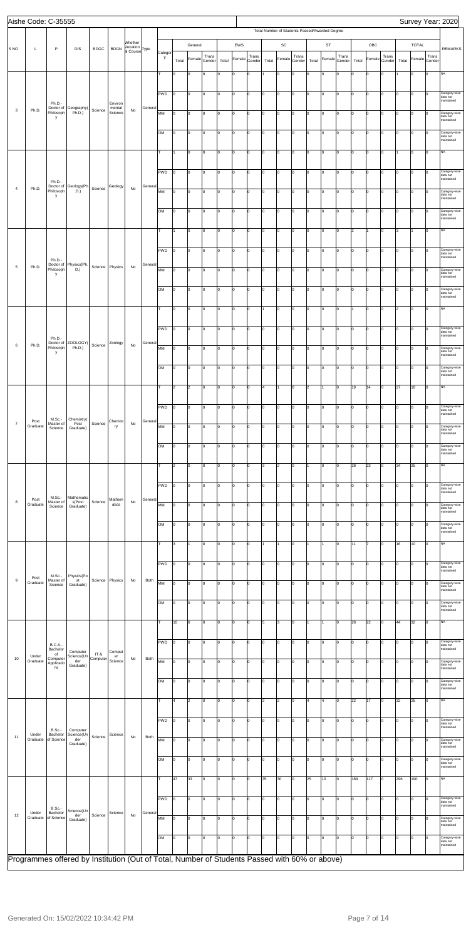|                | Aishe Code: C-35555 |                                         |                                                                                               |             |                              |                                       |         |              |       |                      |                 |       |        |                 |       |                |                 |       |                                                |                 |       |                |                 |       |                |                 | Survey Year: 2020                       |
|----------------|---------------------|-----------------------------------------|-----------------------------------------------------------------------------------------------|-------------|------------------------------|---------------------------------------|---------|--------------|-------|----------------------|-----------------|-------|--------|-----------------|-------|----------------|-----------------|-------|------------------------------------------------|-----------------|-------|----------------|-----------------|-------|----------------|-----------------|-----------------------------------------|
|                |                     |                                         |                                                                                               |             |                              |                                       |         |              |       |                      |                 |       |        |                 |       |                |                 |       | Total Number of Students Passed/Awarded Degree |                 |       |                |                 |       |                |                 |                                         |
| <b>SNO</b>     | L                   | $\mathsf P$                             | D/S                                                                                           | <b>BDGC</b> | <b>BDGN</b>                  | Whether<br>Vocation<br>al Course Type |         |              |       | General              |                 |       | EWS    |                 |       | $\mathsf{SC}$  |                 |       | ST                                             |                 |       | OBC            |                 |       | <b>TOTAL</b>   |                 | <b>REMARKS</b>                          |
|                |                     |                                         |                                                                                               |             |                              |                                       |         | Categor<br>y | Total | Female               | Trans<br>Gender | Total | Female | Trans<br>Gender | Total | Female         | Trans<br>Gender | Total | Female                                         | Trans<br>Gender | Total | Female         | Trans<br>Gender | Total | Female         | Trans<br>Gender |                                         |
|                |                     |                                         |                                                                                               |             |                              |                                       |         |              | I٥    | 0                    | lo              | I٥    | O      | $\mathbf 0$     |       | 0              | I٥              | l0.   | $\Omega$                                       | Iо              | lo.   | 0              | lo              |       | l0             | Iо              | <b>NA</b>                               |
|                |                     |                                         |                                                                                               |             |                              |                                       |         |              |       |                      |                 |       |        |                 |       |                |                 |       |                                                |                 |       |                |                 |       |                |                 |                                         |
|                |                     |                                         |                                                                                               |             |                              |                                       |         | PWD          | I٥    | O                    | Iо              | Iо    | 0      | I٥              | O     | O              | I٥              | I٥    | 0                                              | Iо              | I٥    | $\overline{0}$ | Iо              | I٥    | 0              | Iо              | Category-wise<br>data not<br>maintained |
| 3              | Ph.D.               | Ph.D.<br>Doctor of<br>Philosoph         | Geography(<br>Ph.D.)                                                                          | Science     | Environ<br>mental<br>Science | No                                    | General | MM           | O     | 0                    | lo.             | Iо    | O      | lо              | I٥    | O              | I٥              | 10    | 0                                              | Iо              | I٥    | $\overline{0}$ | Iо              | Iо    | 0              | I٥              | Category-wise                           |
|                |                     | у                                       |                                                                                               |             |                              |                                       |         |              |       |                      |                 |       |        |                 |       |                |                 |       |                                                |                 |       |                |                 |       |                |                 | data not<br>maintained                  |
|                |                     |                                         |                                                                                               |             |                              |                                       |         | lом          | I٥    | lo                   | Iо              | lо    | O      | lo.             | o     | O              | lo.             | Iо    | 0                                              | Iо              | I٥    | $\mathsf{O}$   | Iо              | Iо    | lo.            | Iо              | Category-wise<br>data not<br>maintained |
|                |                     |                                         |                                                                                               |             |                              |                                       |         | Iт           |       | O                    | Iо              | Iо    | 0      | Iо              | 0     | O              | I٥              | Iо    | 0                                              | Iо              | I٥    | $\overline{0}$ | Iо              |       | 0              | Iо              | <b>NA</b>                               |
|                |                     |                                         |                                                                                               |             |                              |                                       |         |              |       |                      |                 |       |        |                 |       |                |                 |       |                                                |                 |       |                |                 |       |                |                 |                                         |
|                |                     |                                         |                                                                                               |             |                              |                                       |         | PWD          | l0    | 0                    | Iо              | Iо    | O      | lо              | lo    | lo             | I٥              | I٥    | 0                                              | Iо              | I٥    | $\overline{0}$ | Iо              | Iо    | 0              | Iо              | Category-wise<br>data not               |
| $\overline{4}$ | Ph.D.               | Ph.D.-                                  | Doctor of Geology(Ph<br>Philosoph D.)                                                         | Science     | Geology                      | No                                    | General |              |       |                      |                 |       |        |                 |       |                |                 |       |                                                |                 |       |                |                 |       |                |                 | maintained                              |
|                |                     | Philosoph<br>у                          |                                                                                               |             |                              |                                       |         | MM           | I٥    | lo                   | I٥              | Iо    | O      | 0               | o     | O              | lo.             | I٥    | $\Omega$                                       | Iо              | I٥    | 0              | Iо              | I٥    | l0             | $\Omega$        | Category-wise<br>data not<br>maintained |
|                |                     |                                         |                                                                                               |             |                              |                                       |         | lом          | I٥    | lo                   | Iо              | Iо    | 0      | I٥              | o     | O              | I٥              | Iо    | 0                                              | Iо              | I٥    | $\overline{0}$ | Iо              | Iо    | 0              | $\Omega$        | Category-wise<br>data not               |
|                |                     |                                         |                                                                                               |             |                              |                                       |         |              |       |                      |                 |       |        |                 |       |                |                 |       |                                                |                 |       |                |                 |       |                |                 | maintained                              |
|                |                     |                                         |                                                                                               |             |                              |                                       |         | lτ           |       | $\overline{0}$       | I٥              | Iо    | O      | lо              | I٥    | O              | lo.             | Iо    | 0                                              | Iо              | 2     | $\overline{1}$ | Iо              | 3     | 11             | lо              | <b>NA</b>                               |
|                |                     |                                         |                                                                                               |             |                              |                                       |         | PWD          | I٥    | lo                   | Iо              | Iо    | O      | lo.             | I٥    | O              | lo.             | Iо    | 0                                              | Iо              | I٥    | $\mathsf{O}$   | Iо              | Iо    | l0             | Iо              | Category-wise                           |
|                |                     | Ph.D.                                   |                                                                                               |             |                              |                                       |         |              |       |                      |                 |       |        |                 |       |                |                 |       |                                                |                 |       |                |                 |       |                |                 | data not<br>maintained                  |
| $\overline{5}$ | Ph.D.               | Doctor of<br>Philosoph<br>у             | Physics(Ph.<br>D.)                                                                            | Science     | Physics                      | No                                    | General | MM           | I٥    | O                    | lo              | Iо    | 0      | Iо              | 0     | O              | I٥              | I٥    | 0                                              | Iо              | I٥    | 0              | Iо              | Iо    | 0              | $\Omega$        | Category-wise<br>data not<br>maintained |
|                |                     |                                         |                                                                                               |             |                              |                                       |         | lом          |       |                      | <sup>o</sup>    |       |        |                 | lo    |                |                 |       |                                                |                 | lo.   |                |                 |       |                |                 |                                         |
|                |                     |                                         |                                                                                               |             |                              |                                       |         |              | O     | O                    |                 | Iо    | O      | 0               |       | lo             | I٥              | l٥    | $\mathbf 0$                                    | Iо              |       | 0              | Iо              | Iо    | $\overline{0}$ | Iо              | Category-wise<br>data not<br>maintained |
|                |                     |                                         |                                                                                               |             |                              |                                       |         |              | I٥    | lo                   | I٥              | Iо    | O      | $\mathbf 0$     |       | O              | I٥              | I٥    | $\Omega$                                       | Iо              |       | $\mathbf 0$    | Iо              | 2     | lo.            | lо              | <b>NA</b>                               |
|                |                     |                                         |                                                                                               |             |                              |                                       |         |              |       |                      |                 |       |        |                 |       |                |                 |       |                                                |                 |       |                |                 |       |                |                 |                                         |
|                |                     | Ph.D.-                                  |                                                                                               |             |                              |                                       |         | PWD          | lо    | O                    | Iо              | Iо    | 0      | I٥              | o     | O              | I٥              | Iо    | 0                                              | Iо              | I٥    | $\overline{0}$ | Iо              | Iо    | l0             | Iо              | Category-wise<br>data not<br>maintained |
| 6              | Ph.D.               | Philosoph                               | Doctor of ZOOLOGY(<br>Ph.D.)                                                                  | Science     | Zoology                      | No                                    | General | MM           | l0    | $ 0\rangle$          | Iо              | lо    | O      | 0               | lо    | O              | lo.             | Iо    | 0                                              | Iо              | I٥    | 0              | Iо              | lo.   | 0              | Iо              | Category-wise                           |
|                |                     | у                                       |                                                                                               |             |                              |                                       |         |              |       |                      |                 |       |        |                 |       |                |                 |       |                                                |                 |       |                |                 |       |                |                 | data not<br>maintained                  |
|                |                     |                                         |                                                                                               |             |                              |                                       |         | OM           | 10    |                      |                 | ΙO    | 0      |                 |       |                |                 |       |                                                |                 | 10    |                | 0               | 10    |                | 10              | ategory-wise<br>data not<br>maintained  |
|                |                     |                                         |                                                                                               |             |                              |                                       |         | lΤ           | 2     | $\vert$ 2            | Iо              | Iо    | 0      | I٥              | 4     | 1              | I٥              | 2     |                                                | Iо              | 19    | 14             | Iо              | 27    | 18             | Iо              | <b>NA</b>                               |
|                |                     |                                         |                                                                                               |             |                              |                                       |         |              |       |                      |                 |       |        |                 |       |                |                 |       |                                                |                 |       |                |                 |       |                |                 |                                         |
|                |                     |                                         |                                                                                               |             |                              |                                       |         | PWD          | I٥    | 0                    | Iо              | Iо    | O      | 0               | O     | lo             | I٥              | l٥    | $\mathbf 0$                                    | Iо              | I٥    | 0              | Iо              | Iо    | 0              | I٥              | Category-wise<br>data not               |
| $\overline{7}$ | Post                | M.Sc.-<br>Master of                     | Chemistry(<br>Post                                                                            | Science     | Chemist                      | No                                    | General |              |       |                      |                 |       |        |                 |       |                |                 |       |                                                |                 |       |                |                 |       |                |                 | maintained                              |
|                | Graduate            | Science                                 | Graduate)                                                                                     |             | ry                           |                                       |         | MM           | I٥    | O                    | I٥              | Iо    | l0     | 0               | o     | O              | I٥              | lo.   | $\Omega$                                       | Iо              | lo    | $\mathbf 0$    | lo              | I٥    | lo.            | $\Omega$        | Category-wise<br>data not<br>maintained |
|                |                     |                                         |                                                                                               |             |                              |                                       |         | lом          | 0     | O                    | O               | Iо    | 0      | Iо              | O     | O              | I٥              | I٥    | 0                                              | Iо              | I٥    | 0              | Iо              | I٥    | 0              | $\Omega$        | Category-wise<br>data not               |
|                |                     |                                         |                                                                                               |             |                              |                                       |         |              |       |                      |                 |       |        |                 |       |                |                 |       |                                                |                 |       |                |                 |       |                |                 | maintained                              |
|                |                     |                                         |                                                                                               |             |                              |                                       |         | lт           | 2     | 0                    | lo.             | Iо    | O      | I٥              | lз    | $\overline{2}$ | I٥              | 11    | 0                                              | Iо              | 28    | 23             | Iо              | 34    | 25             | Iо              | <b>NA</b>                               |
|                |                     |                                         |                                                                                               |             |                              |                                       |         | PWD          | I٥    | O                    | I٥              | Iо    | O      | $\mathbf 0$     | o     | O              | lo.             | I٥    | $\Omega$                                       | Iо              | I٥    | 0              | Iо              | I٥    | l0             | Iо              | Category-wise<br>data not               |
| $\,$ 8         | Post                | $M.Sc.-$<br>Master of                   | Mathematic<br>s(Post                                                                          | Science     | Mathem                       | No                                    | General |              |       |                      |                 |       |        |                 |       |                |                 |       |                                                |                 |       |                |                 |       |                |                 | maintained                              |
|                | Graduate            | Science                                 | Graduate)                                                                                     |             | atics                        |                                       |         | MM           | I٥    | O                    | Iо              | I٥    | 0      | Iо              | 0     | O              | I٥              | I٥    | 0                                              | Iо              | lo    | 0              | Iо              | I٥    | 0              | $\Omega$        | Category-wise<br>data not<br>maintained |
|                |                     |                                         |                                                                                               |             |                              |                                       |         | lом          | I٥    | 0                    | I٥              | Iо    | O      | 0               | O     | lo             | I٥              | l٥    | 0                                              | Iо              | lo.   | 0              | Iо              | Iо    | 0              | l٥              | Category-wise<br>data not               |
|                |                     |                                         |                                                                                               |             |                              |                                       |         |              |       |                      |                 |       |        |                 |       |                |                 |       |                                                |                 |       |                |                 |       |                |                 | maintained                              |
|                |                     |                                         |                                                                                               |             |                              |                                       |         | lτ           | lз    |                      | I٥              | Iо    | O      | 0               |       |                | I٥              |       |                                                | Iо              | 11    |                | lo              | 16    | 10             | Iо              | <b>NA</b>                               |
|                |                     |                                         |                                                                                               |             |                              |                                       |         | PWD          | 0     | O                    | Iо              | Iо    | 0      | Iо              | O     | O              | I٥              | I٥    | $\mathbf 0$                                    | Iо              | I٥    | 0              | Iо              | I٥    | 0              | $\Omega$        | Category-wise                           |
|                | $\mathsf{Post}$     | M.Sc.-                                  | Physics(Po                                                                                    |             |                              |                                       |         |              |       |                      |                 |       |        |                 |       |                |                 |       |                                                |                 |       |                |                 |       |                |                 | data not<br>maintained                  |
| $\,9$          | Graduate            | Master of<br>Science                    | st<br>Graduate)                                                                               |             | Science Physics              | No                                    | Both    | MM           | O     | 10                   | Iо              | Iо    | O      | 10              | I٥    | O              | lo.             | 10    | 0                                              | Iо              | I٥    | $\mathbf 0$    | Iо              | lo.   | 0              | I٥              | Category-wise<br>data not<br>maintained |
|                |                     |                                         |                                                                                               |             |                              |                                       |         | lом          | I٥    | 0                    | I٥              | Iо    | O      | $\mathbf 0$     | I٥    | 0              | lo.             | Iо    | $\mathbf 0$                                    | Iо              | I٥    | 0              | Iо              | Iо    | l0             | Iо              | Category-wise                           |
|                |                     |                                         |                                                                                               |             |                              |                                       |         |              |       |                      |                 |       |        |                 |       |                |                 |       |                                                |                 |       |                |                 |       |                |                 | data not<br>maintained                  |
|                |                     |                                         |                                                                                               |             |                              |                                       |         |              | 10    | 6                    | O               | Iо    | 0      | Iо              | 5     | 3              | I٥              |       |                                                | Iо              | 28    | 22             | Iо              | 44    | 32             | Iо              | <b>NA</b>                               |
|                |                     |                                         |                                                                                               |             |                              |                                       |         | PWD          |       |                      | l0              |       | O      |                 | O     | lo             |                 | l0.   | $\Omega$                                       |                 | I٥    |                |                 |       |                | <b>n</b>        |                                         |
|                |                     | <b>B.C.A.-</b><br>Bachelor<br>of        | Computer                                                                                      | IT&         | Comput                       |                                       |         |              | I٥    | O                    |                 | Iо    |        | O               |       |                | I٥              |       |                                                | Iо              |       | 0              | Iо              | Iо    | 0              |                 | Category-wise<br>data not<br>maintained |
| 10             | Under<br>Graduate   | Computer<br>Applicatio                  | Science(Un<br>der<br>Graduate)                                                                | Computer    | er<br>Science                | No                                    | Both    | MM           | I٥    | O                    | I٥              | Iо    | O      | 0               | o     | O              | I٥              | lo.   | $\Omega$                                       | Iо              | lo    | $\mathbf 0$    | lo              | I٥    | l0             | $\Omega$        | Category-wise<br>data not               |
|                |                     | ns                                      |                                                                                               |             |                              |                                       |         |              |       |                      |                 |       |        |                 |       |                |                 |       |                                                |                 |       |                |                 |       |                |                 | maintained                              |
|                |                     |                                         |                                                                                               |             |                              |                                       |         | lом          | 0     | O                    | Iо              | Iо    | 0      | Iо              | O     | O              | I٥              | I٥    | 0                                              | Iо              | I٥    | 0              | Iо              | I٥    | 0              | $\Omega$        | Category-wise<br>data not<br>maintained |
|                |                     |                                         |                                                                                               |             |                              |                                       |         | lт           | 4     | $\vert$ <sub>2</sub> | Iо              | Iо    | O      | lо              | 2     | $\overline{2}$ | lo.             | 4     | $\overline{4}$                                 | Iо              | 22    | 17             | lо              | 32    | 25             | lо              | <b>NA</b>                               |
|                |                     |                                         |                                                                                               |             |                              |                                       |         |              |       |                      |                 |       |        |                 |       |                |                 |       |                                                |                 |       |                |                 |       |                |                 |                                         |
|                |                     |                                         |                                                                                               |             |                              |                                       |         | PWD          |       |                      |                 |       |        |                 |       |                |                 |       |                                                |                 |       |                |                 |       |                |                 | ategory<br>data not<br>maintained       |
| 11             | Under<br>Graduate   | <b>B.Sc.-</b><br>Bachelor<br>of Science | Computer<br>Science(Un<br>der                                                                 | Science     | Science                      | No                                    | Both    | MM           | I٥    | 0                    | Iо              | Iо    | 0      | I٥              | o     | O              | I٥              | Iо    | 0                                              | Iо              | lo    | 0              | Iо              | I٥    | 0              |                 | Category-wise                           |
|                |                     |                                         | Graduate)                                                                                     |             |                              |                                       |         |              |       |                      |                 |       |        |                 |       |                |                 |       |                                                |                 |       |                |                 |       |                |                 | data not<br>maintained                  |
|                |                     |                                         |                                                                                               |             |                              |                                       |         | <b>OM</b>    | lо    | 0                    | Iо              | Iо    | O      | 0               | lo    | O              | I٥              | I٥    | $\mathbf 0$                                    | Iо              | I٥    | 0              | Iо              | I٥    | 0              |                 | Category-wise<br>data not<br>maintainec |
|                |                     |                                         |                                                                                               |             |                              |                                       |         |              | 47    | 33                   | Iо              | Iо    | O      | $\mathbf 0$     | 35    | 30             | lo.             | 25    | 10                                             | Iо              | 189   | 117            | Iо              | 296   | 190            | Iо              | <b>NA</b>                               |
|                |                     |                                         |                                                                                               |             |                              |                                       |         |              |       |                      |                 |       |        |                 |       |                |                 |       |                                                |                 |       |                |                 |       |                |                 |                                         |
|                |                     |                                         |                                                                                               |             |                              |                                       |         | PWD          | Iо    | O                    | I٥              | Iо    | O      | I٥              | o     | o              | I٥              | I٥    | 0                                              | Iо              | I٥    | $\overline{0}$ | Iо              | Iо    | l0             | $\Omega$        | Category-wise<br>data not               |
| 12             | Under               | B.Sc.-<br>Bachelor                      | Science(Un<br>der                                                                             | Science     | Science                      | No                                    | General |              |       |                      |                 |       |        |                 |       |                |                 |       |                                                |                 |       |                |                 |       |                |                 | maintained                              |
|                | Graduate            | of Science                              | Graduate)                                                                                     |             |                              |                                       |         | MM           | lо    | 0                    | Iо              | Iо    | O      | lо              | I٥    | o              | I٥              | Iо    | O                                              | Iо              | lo    | $\mathsf{O}$   | lо              | lo.   | lo.            |                 | Category-wise<br>data not<br>maintained |
|                |                     |                                         |                                                                                               |             |                              |                                       |         | <b>OM</b>    | l0    | lo                   | Iо              | Iо    | O      | lo.             | lo.   | O              | lo.             | Iо    | $\mathbf 0$                                    | Iо              | I٥    | $\mathbf 0$    | Iо              | lo.   | lо             |                 | Category-wise<br>data not               |
|                |                     |                                         |                                                                                               |             |                              |                                       |         |              |       |                      |                 |       |        |                 |       |                |                 |       |                                                |                 |       |                |                 |       |                |                 | maintained                              |
|                |                     |                                         | Programmes offered by Institution (Out of Total, Number of Students Passed with 60% or above) |             |                              |                                       |         |              |       |                      |                 |       |        |                 |       |                |                 |       |                                                |                 |       |                |                 |       |                |                 |                                         |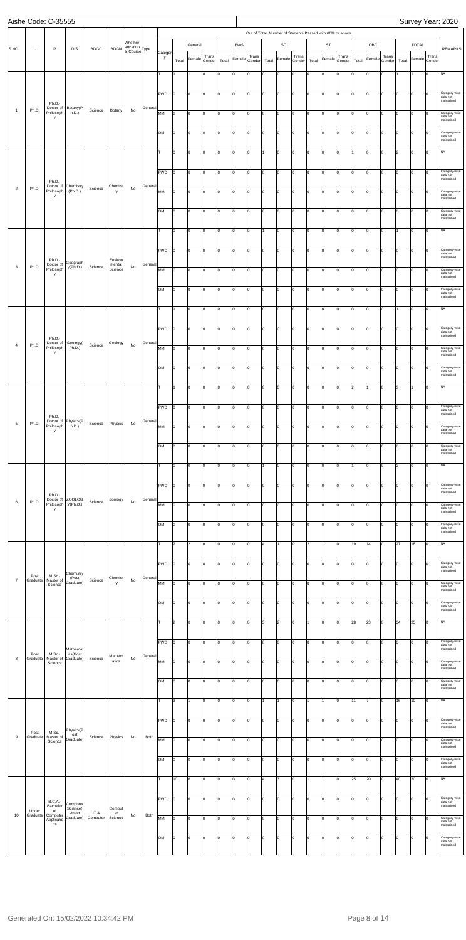|                |                   | Aishe Code: C-35555              |                               |             |                              |                            |         |            |                |                |        |       |                |             |       |                |                |       |                                                           |        |       |                |        |       |                |        | Survey Year: 2020                       |
|----------------|-------------------|----------------------------------|-------------------------------|-------------|------------------------------|----------------------------|---------|------------|----------------|----------------|--------|-------|----------------|-------------|-------|----------------|----------------|-------|-----------------------------------------------------------|--------|-------|----------------|--------|-------|----------------|--------|-----------------------------------------|
|                |                   |                                  |                               |             |                              |                            |         |            |                |                |        |       |                |             |       |                |                |       | Out of Total, Number of Students Passed with 60% or above |        |       |                |        |       |                |        |                                         |
|                |                   |                                  |                               |             |                              | Whether                    |         |            |                | General        |        |       | EWS            |             |       | SC             |                |       | ST                                                        |        |       | OBC            |        |       | <b>TOTAL</b>   |        |                                         |
| <b>SNO</b>     | L                 | P                                | D/S                           | <b>BDGC</b> | <b>BDGN</b>                  | Vocation<br>al Course Type |         | Categor    |                |                | Trans  |       |                | Trans       |       |                | Trans          |       |                                                           | Trans  |       |                | Trans  |       |                | Trans  | <b>REMARKS</b>                          |
|                |                   |                                  |                               |             |                              |                            |         | y          | Total          | Female         | Gender | Total | Female         | Gender      | Total | Female         | Gender         | Total | Female                                                    | Gender | Total | Female         | Gender | Total | Female         | Gender |                                         |
|                |                   |                                  |                               |             |                              |                            |         |            |                |                | Jо     | I٥    | $\mathbf 0$    | $\mathbf 0$ | lо    | $\mathsf{o}$   | l <sub>0</sub> | lo    | 0                                                         | I٥     | o     | O              | 0      |       |                | lо     | NA                                      |
|                |                   |                                  |                               |             |                              |                            |         |            |                |                |        |       |                |             |       |                |                |       |                                                           |        |       |                |        |       |                |        |                                         |
|                |                   |                                  |                               |             |                              |                            |         | PWD        | I٥             | 0              | Iо     | I٥    | 0              | 0           | Iо    | 0              | Iо             | I٥    | 0                                                         | I٥     | I٥    | O              | Iо     | Iо    | 0              | lо     | Category-wise<br>data not               |
| $\overline{1}$ | Ph.D.             | Ph.D.-<br>Doctor of              | Botany(P                      | Science     | Botany                       | No                         | General |            |                |                |        |       |                |             |       |                |                |       |                                                           |        |       |                |        |       |                |        | maintained                              |
|                |                   | Philosoph<br>у                   | h.D.)                         |             |                              |                            |         | MM         | I٥             | 0              | Iо     | l0    | O              | lо          | lо    | O              | Iо             | Iо    | 0                                                         | I٥     | lo.   | lо             | Iо     | Iо    | lo.            | lо     | Category-wise<br>data not<br>maintained |
|                |                   |                                  |                               |             |                              |                            |         |            |                |                |        |       |                |             |       |                |                |       |                                                           |        |       |                |        |       |                |        |                                         |
|                |                   |                                  |                               |             |                              |                            |         | OM         | Iо             | lо             | Iо     | l0    | O              | Iо          | Iо    | 0              | Iо             | I٥    | 0                                                         | I٥     | I٥    | lо             | Iо     | Iо    | lo             | lо     | Category-wise<br>data not<br>maintained |
|                |                   |                                  |                               |             |                              |                            |         |            | I٥             | 0              | Iо     | I٥    | 0              | 0           | 1     | 0              | Iо             | I٥    | 0                                                         | I٥     | 1     | 0              | Iо     | 2     | l0             | lо     | NA                                      |
|                |                   |                                  |                               |             |                              |                            |         |            |                |                |        |       |                |             |       |                |                |       |                                                           |        |       |                |        |       |                |        |                                         |
|                |                   |                                  |                               |             |                              |                            |         | PWD        | Iо             | 0              | Iо     | l0    | O              | lо          | Iо    | 0              | Iо             | I٥    | 0                                                         | I٥     | lo.   | lо             | Iо     | 10    | $\overline{0}$ | lо     | Category-wise                           |
|                |                   | Ph.D.-                           |                               |             |                              |                            |         |            |                |                |        |       |                |             |       |                |                |       |                                                           |        |       |                |        |       |                |        | data not<br>maintained                  |
| $\overline{2}$ | Ph.D.             | Doctor of<br>Philosoph           | Chemistry<br>(Ph.D.)          | Science     | Chemist<br>ry                | No                         | General | MM         | Iо             | lo             | Iо     | l0    | $\circ$        | Iо          | Iо    | O              | lo.            | lo    | O                                                         | I٥     | lo.   | lо             | Iо     | Iо    | lo             | lо     | Category-wise<br>data not               |
|                |                   | у                                |                               |             |                              |                            |         |            |                |                |        |       |                |             |       |                |                |       |                                                           |        |       |                |        |       |                |        | maintained                              |
|                |                   |                                  |                               |             |                              |                            |         | <b>OM</b>  | I٥             | 0              | Iо     | I٥    | 0              | 0           | Iо    | 0              | Iо             | I٥    | 0                                                         | I٥     | I٥    | 0              | Iо     | Iо    | l0             | lо     | Category-wise<br>data not               |
|                |                   |                                  |                               |             |                              |                            |         |            |                |                |        |       |                |             |       |                |                |       |                                                           |        |       |                |        |       |                |        | maintained                              |
|                |                   |                                  |                               |             |                              |                            |         | lτ.        | I٥             | 0              | Iо     | l0    | O              | Iо          | 11    | O              | Iо             | Iо    | 0                                                         | I٥     | lo.   | $\vert$ 0      | Iо     |       | lo.            | lо     | NA                                      |
|                |                   |                                  |                               |             |                              |                            |         |            |                |                |        |       |                |             |       |                |                |       |                                                           |        |       |                |        |       |                |        |                                         |
|                |                   |                                  |                               |             |                              |                            |         | PWD        | Iо             | lo             | Jо     | I٥    | O              | Iо          | Iо    | $\mathsf{o}$   | Iо             | I٥    | 0                                                         | I٥     | lo.   | lо             | Iо     | lo.   | lo             | lо     | Category-wise<br>data not<br>maintained |
| $\mathbf{3}$   | Ph.D.             | Ph.D.-<br>Doctor of<br>Philosoph | Geograph<br>y(Ph.D.)          | Science     | Environ<br>mental<br>Science | No                         | General | MM         |                |                |        |       |                |             |       |                |                |       |                                                           |        |       |                |        |       |                |        | Category-wise                           |
|                |                   | y                                |                               |             |                              |                            |         |            | Iо             | 0              | Iо     | I٥    | 0              | 0           | Iо    | 0              | Iо             | I٥    | 0                                                         | I٥     | I٥    | O              | Iо     | Iо    | l0             | lо     | data not<br>maintained                  |
|                |                   |                                  |                               |             |                              |                            |         | <b>OM</b>  | Iо             | 0              | Iо     | l0    | O              | Iо          | Iо    | 0              | Iо             | lo    | 0                                                         | I٥     | lo.   | lо             | Iо     | Iо    | Iо             | lо     | Category-wise                           |
|                |                   |                                  |                               |             |                              |                            |         |            |                |                |        |       |                |             |       |                |                |       |                                                           |        |       |                |        |       |                |        | data not<br>maintained                  |
|                |                   |                                  |                               |             |                              |                            |         | T          |                | $\mathsf{o}$   | Iо     | l0    | $\circ$        | O           | Iо    | O              | lo.            | l٥    | O                                                         | lo.    | I٥    | O              | Iо     |       | lо             | lо     | NA                                      |
|                |                   |                                  |                               |             |                              |                            |         |            |                |                |        |       |                |             |       |                |                |       |                                                           |        |       |                |        |       |                |        |                                         |
|                |                   |                                  |                               |             |                              |                            |         | PWD        | I٥             | 0              | Iо     | O     | 0              | Iо          | Iо    | 0              | Iо             | I٥    | 0                                                         | I٥     | I٥    | 0              | Iо     | Iо    | 0              | lо     | Category-wise<br>data not               |
|                |                   | Ph.D.-<br>Doctor of              | Geology(                      |             | Geology                      |                            | General |            |                |                |        |       |                |             |       |                |                |       |                                                           |        |       |                |        |       |                |        | maintained                              |
| $\overline{4}$ | Ph.D.             | Philosoph<br>у                   | Ph.D.)                        | Science     |                              | No                         |         | MM         | I٥             | lo             | lо     | l0    | O              | lо          | lо    | O              | Iо             | Iо    | 0                                                         | I٥     | Iо    | $\vert$ 0      | Iо     | Iо    | lo.            | lо     | Category-wise<br>data not<br>maintained |
|                |                   |                                  |                               |             |                              |                            |         |            |                |                |        |       |                |             |       |                |                |       |                                                           |        |       |                |        |       |                |        |                                         |
|                |                   |                                  |                               |             |                              |                            |         | OМ         | 10             | 10             | 10     |       | 0              |             | 10    | 10             |                |       | 10                                                        | 10     | 10    | 0              |        |       |                | JО     | Category-wise<br>data not<br>maintained |
|                |                   |                                  |                               |             |                              |                            |         | T          | 1              |                |        |       |                |             |       |                |                |       |                                                           |        |       |                |        |       | 1              | lо     | NA                                      |
|                |                   |                                  |                               |             |                              |                            |         |            |                | 0              | Iо     | I٥    | 0              | 0           | Iо    | 0              | Iо             | I٥    | 0                                                         | I٥     | 2     |                | Iо     | lз    |                |        |                                         |
|                |                   |                                  |                               |             |                              |                            |         | PWD        | lо             | 0              | Iо     | l0    | 0              | Iо          | Iо    | O              | Iо             | ١o    | 0                                                         | I٥     | 0     | 0              | Iо     | I٥    | O              | lо     | Category-wise                           |
|                |                   | Ph.D.-                           |                               |             |                              |                            |         |            |                |                |        |       |                |             |       |                |                |       |                                                           |        |       |                |        |       |                |        | data not<br>maintained                  |
| $\overline{5}$ | Ph.D.             | Doctor of<br>Philosoph           | Physics(P<br>h.D.)            | Science     | Physics                      | No                         | General | MM         | Iо             | $\mathbf 0$    | Iо     | I٥    | $\mathbf 0$    | $\mathbf 0$ | Iо    | O              | Iо             | lo.   | 0                                                         | I٥     | I٥    | $\overline{0}$ | 0      | lo.   | lo             | lо     | Category-wise                           |
|                |                   | y                                |                               |             |                              |                            |         |            |                |                |        |       |                |             |       |                |                |       |                                                           |        |       |                |        |       |                |        | data not<br>maintained                  |
|                |                   |                                  |                               |             |                              |                            |         | OM         | I٥             | $\Omega$       | Iо     | I٥    | 0              | 0           | Iо    | 0              | Iо             | ١o    | 0                                                         | I٥     | I٥    | 0              | Iо     | Iо    | 0              | lо     | Category-wise<br>data not               |
|                |                   |                                  |                               |             |                              |                            |         |            |                |                |        |       |                |             |       |                |                |       |                                                           |        |       |                |        |       |                |        | maintained                              |
|                |                   |                                  |                               |             |                              |                            |         | lτ         | I٥             | $\Omega$       | Iо     | l0    | $\overline{0}$ | Iо          | 11    | O              | Iо             | I٥    | 0                                                         | I٥     | 1     | lо             | Iо     | 2     | lo.            | lо     | NA                                      |
|                |                   |                                  |                               |             |                              |                            |         |            |                |                |        |       |                |             |       |                |                |       |                                                           |        |       |                |        |       |                |        |                                         |
|                |                   |                                  |                               |             |                              |                            |         | <b>PWD</b> | lo.            | 0              | Iо     | I٥    | O              | $\mathbf 0$ | Iо    | O              | lo.            | I٥    | 0                                                         | I٥     | I٥    | O              | Iо     | lo.   | lo             | lо     | Category-wise<br>data not<br>maintained |
| 6              | Ph.D.             | Ph.D.-<br>Doctor of              | <b>ZOOLOG</b><br>Y(Ph.D.)     | Science     | Zoology                      | No                         | General |            |                |                |        |       |                |             |       |                |                |       |                                                           |        |       |                |        |       |                |        |                                         |
|                |                   | Philosoph<br>y                   |                               |             |                              |                            |         | MM         | Iо             | 0              | Iо     | I٥    | 0              | 0           | I٥    | 0              | Iо             | I٥    | 0                                                         | I٥     | I٥    | 0              | Iо     | Iо    | O              | Iо     | Category-wise<br>data not<br>maintained |
|                |                   |                                  |                               |             |                              |                            |         | <b>OM</b>  | I٥             | $\Omega$       | Iо     | l0    | 0              | Iо          | Iо    | 0              | Iо             | I٥    | 0                                                         | I٥     | lo.   | lо             | Iо     | Iо    | 0              | lо     | Category-wise                           |
|                |                   |                                  |                               |             |                              |                            |         |            |                |                |        |       |                |             |       |                |                |       |                                                           |        |       |                |        |       |                |        | data not<br>maintained                  |
|                |                   |                                  |                               |             |                              |                            |         | lт         | 2              | $\overline{2}$ | Iо     | l0    | O              | 0           | 4     | $\mathbf{1}$   | lo.            | l2    |                                                           | I٥     | 19    | 14             | Iо     | 27    | 18             | lо     | NA                                      |
|                |                   |                                  |                               |             |                              |                            |         |            |                |                |        |       |                |             |       |                |                |       |                                                           |        |       |                |        |       |                |        |                                         |
|                |                   |                                  |                               |             |                              |                            |         | PWD        | lо             | 0              | Iо     | I٥    | 0              | 0           | Iо    | 0              | Iо             | I٥    | 0                                                         | I٥     | I٥    | 0              | Iо     | Iо    | 0              | lо     | Category-wise<br>data not               |
| $\overline{7}$ | Post              | M.Sc.-                           | Chemistry<br>(Post            |             | Chemist                      |                            | General |            |                |                |        |       |                |             |       |                |                |       |                                                           |        |       |                |        |       |                |        | maintained                              |
|                | Graduate          | Master of<br>Science             | Graduate)                     | Science     | ry                           | No                         |         | MM         | I٥             | 0              | Iо     | I٥    | $\overline{0}$ | Iо          | Iо    | O              | Iо             | Iо    | 0                                                         | I٥     | lo.   | $\vert$ 0      | Iо     | Iо    | lo.            | lо     | Category-wise<br>data not<br>maintained |
|                |                   |                                  |                               |             |                              |                            |         |            |                |                |        |       |                |             |       |                |                |       |                                                           |        |       |                |        |       |                |        |                                         |
|                |                   |                                  |                               |             |                              |                            |         | OM         | Iо             | 0              | Jо     | I٥    | O              | $\mathbf 0$ | lо    | O              | lo.            | o     | 0                                                         | lo.    | lo.   | $\circ$        | Iо     | Iо    | lo             | lо     | Category-wise<br>data not<br>maintained |
|                |                   |                                  |                               |             |                              |                            |         | т          | 2              | 0              | Iо     | I٥    | 0              | 0           | 3     | $\overline{2}$ | Iо             |       | 0                                                         | I٥     | 28    | 23             | Iо     | 34    | 25             | lо     | NA                                      |
|                |                   |                                  |                               |             |                              |                            |         |            |                |                |        |       |                |             |       |                |                |       |                                                           |        |       |                |        |       |                |        |                                         |
|                |                   |                                  |                               |             |                              |                            |         | PWD        | Iо             | 0              | Iо     | l0    | 0              | Iо          | Iо    | O              | Iо             | ١o    | 0                                                         | I٥     | lo.   | 0              | Iо     | I٥    | I٥             | lо     | Category-wise                           |
|                | Post              | M.Sc.-                           | Mathemat<br>ics(Post          |             |                              |                            |         |            |                |                |        |       |                |             |       |                |                |       |                                                           |        |       |                |        |       |                |        | data not<br>maintained                  |
| $^{\rm 8}$     | Graduate          | Master of<br>Science             | Graduate)                     | Science     | Mathem<br>atics              | No                         | General | MM         | Iо             | $\mathbf 0$    | Iо     | I٥    | O              | $\mathbf 0$ | Iо    | O              | lo.            | lo.   | 0                                                         | I٥     | I٥    | O              | 0      | lo.   | Iо             | lо     | Category-wise<br>data not               |
|                |                   |                                  |                               |             |                              |                            |         |            |                |                |        |       |                |             |       |                |                |       |                                                           |        |       |                |        |       |                |        | maintained                              |
|                |                   |                                  |                               |             |                              |                            |         | <b>OM</b>  | I٥             | 0              | Iо     | I٥    | 0              | 0           | Iо    | 0              | Iо             | ١o    | 0                                                         | I٥     | I٥    | 0              | Iо     | Iо    | l0             | lо     | Category-wise<br>data not               |
|                |                   |                                  |                               |             |                              |                            |         |            |                |                |        |       |                |             |       |                |                |       |                                                           |        |       |                |        |       |                |        | maintained                              |
|                |                   |                                  |                               |             |                              |                            |         | lτ.        | 3              | 1              | lо     | l0    | O              | lо          | 11    | $\mathbf{1}$   | Iо             | 1     | $\overline{1}$                                            | lo.    | 11    | 17             | Iо     | 16    | 10             | lо     | NA                                      |
|                |                   |                                  |                               |             |                              |                            |         |            |                |                |        |       |                |             |       |                |                |       |                                                           |        |       |                |        |       |                |        |                                         |
|                |                   |                                  |                               |             |                              |                            |         | PWD        | 10             | 10             | 10     | 10    | 10             | Ю           | 10    | 10             | 10             | 10    | 10                                                        | 10     | JО    | 10             | 10     |       | 10             | 10     | Category-wise<br>data not<br>maintained |
| $9\,$          | Post<br>Graduate  | M.Sc.-<br>Master of              | Physics(P<br>ost<br>Graduate) | Science     | Physics                      | No                         | Both    | MМ         | Iо             | 0              | Iо     | I٥    | 0              | 0           | Iо    | 0              | Iо             | I٥    | 0                                                         | I٥     | I٥    | 0              | Iо     | Iо    | l0             | lо     | Category-wise                           |
|                |                   | Science                          |                               |             |                              |                            |         |            |                |                |        |       |                |             |       |                |                |       |                                                           |        |       |                |        |       |                |        | data not<br>maintained                  |
|                |                   |                                  |                               |             |                              |                            |         | <b>OM</b>  | 10             | 0              | Iо     | l0    | $\overline{0}$ | Iо          | Iо    | O              | Iо             | I٥    | 0                                                         | I٥     | Iо    | lо             | Iо     | Iо    | lo             | lо     | Category-wise                           |
|                |                   |                                  |                               |             |                              |                            |         |            |                |                |        |       |                |             |       |                |                |       |                                                           |        |       |                |        |       |                |        | data not<br>maintained                  |
|                |                   |                                  |                               |             |                              |                            |         |            | 10             | 6              | Iо     | l0    | O              | $\mathbf 0$ | 4     | 3              | lo.            |       |                                                           | I٥     | 25    | 20             | Iо     | 40    | 30             | lо     | NA                                      |
|                |                   |                                  |                               |             |                              |                            |         |            |                |                |        |       |                |             |       |                |                |       |                                                           |        |       |                |        |       |                |        |                                         |
|                |                   | <b>B.C.A.-</b>                   | Computer                      |             |                              |                            |         | PWD        | $\overline{0}$ | 0              | Iо     | I٥    | 0              | 0           | Iо    | 0              | Iо             | I٥    | 0                                                         | I٥     | I٥    | 0              | Iо     | Iо    | l0             | lо     | Category-wise<br>data not               |
| 10             | Under<br>Graduate | Bachelor<br>of<br>Computer       | Science(<br>Under             | IT &        | Comput<br>er                 | No                         | Both    |            |                |                |        |       |                |             |       |                |                |       |                                                           |        |       |                |        |       |                |        | maintained                              |
|                |                   | Applicatio<br>ns                 | Graduate)                     | Computer    | Science                      |                            |         | MM         | Iо             | 0              | lо     | l0    | $\overline{0}$ | lо          | lо    | O              | Iо             | lo.   | 0                                                         | I٥     | Iо    | $\vert$ 0      | Iо     | Iо    | lo.            | lо     | Category-wise<br>data not<br>maintained |
|                |                   |                                  |                               |             |                              |                            |         | OM         | lо             | 0              | Iо     | I٥    | O              | $\mathbf 0$ | lо    | O              | Iо             | I٥    | 0                                                         | I٥     | lo.   | lo             | Iо     | lo.   | Iо             | lо     | Category-wise                           |
|                |                   |                                  |                               |             |                              |                            |         |            |                |                |        |       |                |             |       |                |                |       |                                                           |        |       |                |        |       |                |        | data not<br>maintained                  |
|                |                   |                                  |                               |             |                              |                            |         |            |                |                |        |       |                |             |       |                |                |       |                                                           |        |       |                |        |       |                |        |                                         |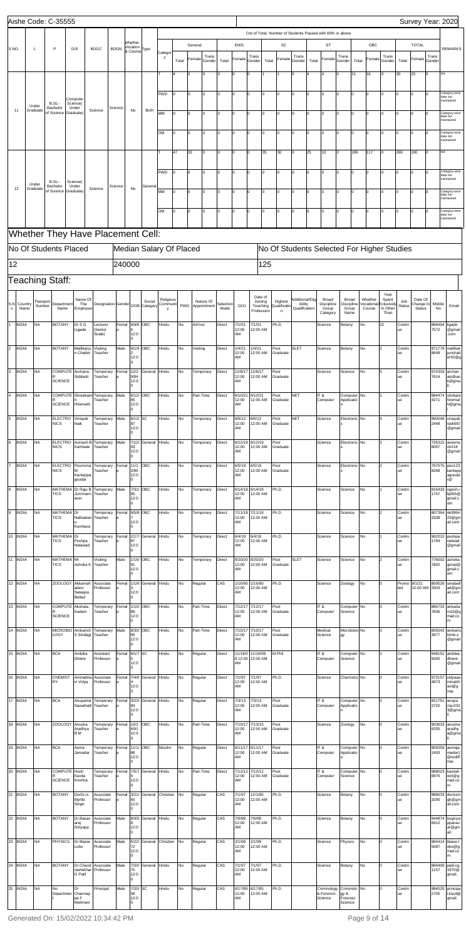|                 |              |                   | Aishe Code: C-35555              |                                |                                        |             |                                       |                     |                         |       |             |        |           |                                      |                        |       |                   |                            |       |                                                           |                           |       |                             |                     |               | Survey Year: 2020    |        |                                         |
|-----------------|--------------|-------------------|----------------------------------|--------------------------------|----------------------------------------|-------------|---------------------------------------|---------------------|-------------------------|-------|-------------|--------|-----------|--------------------------------------|------------------------|-------|-------------------|----------------------------|-------|-----------------------------------------------------------|---------------------------|-------|-----------------------------|---------------------|---------------|----------------------|--------|-----------------------------------------|
|                 |              |                   |                                  |                                |                                        |             |                                       |                     |                         |       |             |        |           |                                      |                        |       |                   |                            |       | Out of Total, Number of Students Passed with 60% or above |                           |       |                             |                     |               |                      |        |                                         |
|                 |              |                   |                                  |                                |                                        |             | Whether                               |                     |                         |       | General     |        |           | EWS                                  |                        |       | SC                |                            |       | ST                                                        |                           |       | OBC                         |                     |               | <b>TOTAL</b>         |        |                                         |
| S <sub>NO</sub> |              | L                 | $\mathsf{P}$                     | D/S                            | <b>BDGC</b>                            | <b>BDGN</b> | Vocation<br>al Course <sup>Type</sup> |                     | Categor                 |       |             | Trans  |           |                                      | Trans                  |       |                   | Trans                      |       |                                                           | Trans                     |       |                             | Trans               |               |                      | Trans  | <b>REMARKS</b>                          |
|                 |              |                   |                                  |                                |                                        |             |                                       |                     | y                       | Total | Female      | Gender | Total     | Female                               | Gender                 | Total | Female            | Gender                     | Total | Female                                                    | Gender                    | Total | Female                      | Gender              | Total         | Female               | Gender |                                         |
|                 |              |                   |                                  |                                |                                        |             |                                       |                     |                         | 2     | I٥          | ۱n     | 0         | 0                                    |                        |       |                   |                            |       |                                                           | Iо                        | 21    | 16                          | 0                   | 30            | 23<br>$\Omega$       | NA     |                                         |
|                 |              |                   |                                  |                                |                                        |             |                                       |                     |                         |       |             |        |           |                                      |                        |       |                   |                            |       |                                                           |                           |       |                             |                     |               |                      |        |                                         |
|                 |              |                   |                                  | Computer                       |                                        |             |                                       |                     | PWD<br>lo               | O     | I٥          | lo.    | 0         | $\overline{0}$                       |                        | lо    | 0                 | $\Omega$                   |       | $\Omega$                                                  | Iо<br>lо                  |       | $\mathbf 0$                 | $\Omega$            | 0             | O                    |        | Category-wise<br>data not               |
| 11              |              | Under<br>Graduate | <b>B.Sc.-</b><br>Bachelor        | Science(<br>Under              | Science                                | Science     | No                                    | Both                |                         |       |             |        |           |                                      |                        |       |                   |                            |       |                                                           |                           |       |                             |                     |               |                      |        | maintained                              |
|                 |              |                   | of Science                       | Graduate)                      |                                        |             |                                       |                     | <b>MM</b><br>Iо         | o     | Iо          | lo.    | 0         |                                      | 0                      | lо    | 0                 | Iо                         | Iо    | $\Omega$                                                  | Iо<br>lо                  |       | 0                           | I٥                  | 0             | I٥                   |        | Category-wise<br>data not<br>maintained |
|                 |              |                   |                                  |                                |                                        |             |                                       |                     |                         |       |             |        |           |                                      |                        |       |                   |                            |       |                                                           |                           |       |                             |                     |               |                      |        |                                         |
|                 |              |                   |                                  |                                |                                        |             |                                       |                     | OM<br>$\Omega$          | O     | I٥          | lo.    | 0         |                                      | 0                      | lо    | $\mathbf 0$       | lo.                        | l٥    | $\Omega$                                                  | Iо<br>lо                  |       | 0                           | 0                   | 0             | O                    |        | Category-wise<br>data not<br>maintained |
|                 |              |                   |                                  |                                |                                        |             |                                       |                     | 47                      | 33    | I٥          | ln.    | $\Omega$  | O                                    |                        | 35    | 30                | $\Omega$                   | 25    | 10                                                        | Iо                        | 189   | 117                         | Iо                  | 296           | 190<br>Iо            | NA     |                                         |
|                 |              |                   |                                  |                                |                                        |             |                                       |                     |                         |       |             |        |           |                                      |                        |       |                   |                            |       |                                                           |                           |       |                             |                     |               |                      |        |                                         |
|                 |              |                   |                                  |                                |                                        |             |                                       |                     | PWD<br>l٥               | l0    | lo.         | lo.    | 0         | l0                                   |                        | lo.   | O                 | lo.                        | Iо    | $\Omega$                                                  | I٥<br>Iо                  |       | $\overline{0}$              | Iо                  | $\Omega$      | I٥<br>$\Omega$       |        | Category-wise                           |
|                 |              | Under             | <b>B.Sc.-</b>                    | Science(                       |                                        |             |                                       |                     |                         |       |             |        |           |                                      |                        |       |                   |                            |       |                                                           |                           |       |                             |                     |               |                      |        | data not<br>maintained                  |
|                 | 12           | Graduate          | Bachelor<br>of Science Graduate) | Under                          | Science                                | Science     | No                                    | General             | MM<br>Iо                | o     | I٥          | lo.    | 0         | l0                                   |                        | Iо    | 0                 | lo.                        | I٥    | $\Omega$                                                  | Iо<br>Iо                  |       | 0                           | 0                   | o             | O                    |        | Category-wise<br>data not               |
|                 |              |                   |                                  |                                |                                        |             |                                       |                     |                         |       |             |        |           |                                      |                        |       |                   |                            |       |                                                           |                           |       |                             |                     |               |                      |        | maintaineo                              |
|                 |              |                   |                                  |                                |                                        |             |                                       |                     | OM<br>۱n                | lo    | Iо          | ln.    | $\Omega$  | $\Omega$                             |                        | 10    | 0                 | $\Omega$                   |       | O                                                         | I٥<br>I٥                  |       | 0                           |                     | $\Omega$      | lo                   |        | Category-wise<br>data not<br>maintained |
|                 |              |                   |                                  |                                |                                        |             |                                       |                     |                         |       |             |        |           |                                      |                        |       |                   |                            |       |                                                           |                           |       |                             |                     |               |                      |        |                                         |
|                 |              |                   |                                  |                                | Whether They Have Placement Cell:      |             |                                       |                     |                         |       |             |        |           |                                      |                        |       |                   |                            |       |                                                           |                           |       |                             |                     |               |                      |        |                                         |
|                 |              |                   | No Of Students Placed            |                                |                                        |             |                                       |                     | Median Salary Of Placed |       |             |        |           |                                      |                        |       |                   |                            |       | No Of Students Selected For Higher Studies                |                           |       |                             |                     |               |                      |        |                                         |
|                 |              |                   |                                  |                                |                                        |             |                                       |                     |                         |       |             |        |           |                                      |                        |       |                   |                            |       |                                                           |                           |       |                             |                     |               |                      |        |                                         |
| 12              |              |                   |                                  |                                |                                        | 240000      |                                       |                     |                         |       |             |        |           |                                      |                        | 125   |                   |                            |       |                                                           |                           |       |                             |                     |               |                      |        |                                         |
|                 |              |                   | Teaching Staff:                  |                                |                                        |             |                                       |                     |                         |       |             |        |           |                                      |                        |       |                   |                            |       |                                                           |                           |       |                             |                     |               |                      |        |                                         |
|                 |              |                   |                                  |                                |                                        |             |                                       |                     |                         |       |             |        |           |                                      |                        |       |                   |                            |       |                                                           |                           |       |                             | Year                |               |                      |        |                                         |
| S.N             | Country      | Passport          | Department                       | Name Of<br>The                 | Designation Gender DOB Category        |             |                                       | Social              | Religious<br>Communit   |       | Nature Of   |        | Selection |                                      | Date of<br>Joining     |       | Highest           | Additional/Elig<br>ibility |       | Broad<br>Discipline                                       | Broad<br>Discipline       |       | Whether<br><b>Vocationa</b> | Spent<br>:clusively | Job           | Date Of<br>Change In | Mobile |                                         |
| $\circ$         | Name         | Number            | Name                             | Employee                       |                                        |             |                                       |                     | v                       | PWD   | Appointment |        | Mode      | <b>DOJ</b>                           | Teaching<br>Profession |       | Qualificatio<br>n | Qualification              |       | Group<br>Category                                         | Group<br>Name             |       | Course                      | In Other<br>Than    | <b>Status</b> | Status               | No     | Email                                   |
|                 | <b>INDIA</b> | <b>NA</b>         | <b>BOTANY</b>                    | Dr S G                         | _ecturer                               |             | Femal 6/9/6 OBC                       |                     | Hindu                   | No    | Ad-hoc      |        | Direct    | 7/1/01                               | 7/1/01                 |       | Ph.D.             |                            |       | Science                                                   | Botany                    | No    |                             | 22                  | Contin        |                      | 888494 | ligade                                  |
|                 |              |                   |                                  | Ligade                         | (Senior<br>Scale)                      | e           | 12:0                                  |                     |                         |       |             |        |           | 12:00<br> AM                         | 12:00 AM               |       |                   |                            |       |                                                           |                           |       |                             |                     | ue            |                      | 7572   | @gmail<br>.com                          |
| $\overline{2}$  | <b>INDIA</b> | <b>NA</b>         | <b>BOTANY</b>                    | Mallikarju                     | Visiting                               | Male        | 6/1/9 OBC                             |                     | Hindu                   | No    | Visiting    |        | Direct    | 1/4/21                               | 1/4/21                 |       | Post              | <b>SLET</b>                |       | Science                                                   | Botany                    | No    |                             |                     | Contin        |                      |        | 971778 mallikar                         |
|                 |              |                   |                                  | n Chatter                      | Teacher                                |             | 12:0                                  |                     |                         |       |             |        |           | 12:00<br>AM                          | 12:00 AM               |       | Graduate          |                            |       |                                                           |                           |       |                             |                     | ue            |                      | 8648   | junchatt<br>er92@g                      |
|                 |              |                   |                                  |                                |                                        |             | m                                     |                     |                         |       |             |        |           |                                      |                        |       |                   |                            |       |                                                           |                           |       |                             |                     |               |                      |        |                                         |
| 3               | <b>INDIA</b> | <b>NA</b>         | <b>SCIENCE</b>                   | COMPUTE Archana<br>Siddanti    | Temporary<br>Teacher                   | e           | Femal 12/2<br>9/84<br>12:0            | General             | Hindu                   | No    | Temporary   |        | Direct    | 12/8/17<br>12:00<br>AM               | 12/8/17<br>12:00 AM    |       | Post<br>Graduate  |                            |       | Science                                                   | Science                   | No    |                             |                     | Contin<br>ue  |                      | 7614   | 974303 archan<br>asidhan<br>ti@gma      |
|                 |              |                   |                                  |                                |                                        |             |                                       |                     |                         |       |             |        |           |                                      |                        |       |                   |                            |       |                                                           |                           |       |                             |                     |               |                      |        | il.                                     |
|                 | 4 INDIA      | <b>NA</b>         |                                  |                                | COMPUTE Shreekant Temporary<br>Teacher | Male        | 6/12/ OBC<br>85                       |                     | Hindu                   | No    | Part-Time   |        | Direct    | 6/10/21<br>12:00                     | 6/10/21<br>12:00 AM    |       | Post<br>Graduate  | <b>NET</b>                 |       | IT &<br>Computer                                          | Computer No<br>Applicatio |       |                             |                     | Contin<br>ue  |                      | 4271   | 984474 shrikant<br>hiremat              |
|                 |              |                   | <b>SCIENCE</b>                   | Hiremath                       |                                        |             | 12:0                                  |                     |                         |       |             |        |           | AM                                   |                        |       |                   |                            |       |                                                           |                           |       |                             |                     |               |                      |        | h@gma                                   |
|                 | 5 INDIA      | <b>NA</b>         | <b>ELECTRO</b><br><b>NICS</b>    | Vinayak<br>Naik                | Temporary<br>Teacher                   | Male        | 6/12/SC<br>87                         |                     | Hindu                   | No    | Temporary   |        | Direct    | 6/6/12<br>12:00                      | 6/6/12<br>12:00 AM     |       | Post<br>Graduate  | <b>NET</b>                 |       | Science                                                   | Electronic No             |       |                             |                     | Contin<br>ue  |                      | 2448   | 990048 vinayak<br>naik687               |
|                 |              |                   |                                  |                                |                                        |             | 12:0                                  |                     |                         |       |             |        |           | AM                                   |                        |       |                   |                            |       |                                                           |                           |       |                             |                     |               |                      |        | @gmail                                  |
|                 | 6 INDIA      | <b>NA</b>         | <b>ELECTRO</b>                   |                                | Avinash B Temporary                    | Male        | 7/12/                                 | General             | Hindu                   | No    | Temporary   |        | Direct    | 6/12/19                              | 6/12/19                |       | Post              |                            |       | Science                                                   | Electronic No             |       |                             |                     | Contin        |                      |        | 735315 aveena                           |
|                 |              |                   | <b>NICS</b>                      | Kambale                        | Teacher                                |             | 93<br>12:0                            |                     |                         |       |             |        |           | 12:00<br>AM                          | 12:00 AM               |       | Graduate          |                            |       |                                                           |                           |       |                             |                     | ue            |                      | 8097   | sh218<br>@gmail                         |
|                 | 7 INDIA      | <b>NA</b>         | <b>ELECTRO</b>                   |                                | Poornima Temporary                     |             | Femal 11/1                            | ОВС                 | Hindu                   | No    | Temporary   |        | Direct    | 6/5/19                               | 6/5/19                 |       | Post              |                            |       | Science                                                   | Electronic No             |       |                             |                     | Contin        |                      |        | 797575 poo123                           |
|                 |              |                   | <b>NICS</b>                      | м<br>Kanteppa                  | Teacher                                | e           | 2/86<br>12:0                          |                     |                         |       |             |        |           | 12:00<br>AM                          | 12:00 AM               |       | Graduate          |                            |       |                                                           |                           |       |                             |                     | ue            |                      | 8288   | kantepp<br>agouda                       |
|                 |              | <b>NA</b>         |                                  | goudar                         | MATHEMA Dr Raju B Temporary            |             |                                       | OBC                 | Hindu                   |       |             |        |           |                                      | 6/14/18                |       |                   |                            |       |                                                           |                           |       |                             |                     |               |                      |        | r@                                      |
|                 | 8 INDIA      |                   | <b>TICS</b>                      | aver                           | Jummann Teacher                        | Male        | 7/31/<br>90<br>12:0                   |                     |                         | No    | Temporary   |        | Direct    | 6/14/18<br>12:00<br>AM               | 12:00 AM               |       | Ph.D.             |                            |       | Science                                                   | Science                   | No    |                             |                     | Contin<br>ue  |                      | 1767   | 916433 rajesh.r<br>bj065@<br>gmail.c    |
|                 |              |                   |                                  |                                |                                        |             |                                       |                     |                         |       |             |        |           |                                      |                        |       |                   |                            |       |                                                           |                           |       |                             |                     |               |                      |        | om                                      |
|                 | 9 INDIA      | <b>NA</b>         | MATHEMA Dr<br><b>TICS</b>        |                                | Temporary<br>Nafisaban Teacher         | е           | Femal 9/5/8 OBC                       |                     | Hindu                   | No    | Temporary   |        | Direct    | 7/11/18<br>12:00                     | 7/11/18<br>12:00 AM    |       | Ph.D.             |                            |       | Science                                                   | Science                   | No    |                             |                     | Contin<br>ue  |                      | 2338   | 807364 nk9964<br>23@gm                  |
|                 |              |                   |                                  | Kumbara                        |                                        |             | 12:0                                  |                     |                         |       |             |        |           | AM                                   |                        |       |                   |                            |       |                                                           |                           |       |                             |                     |               |                      |        | ail.com                                 |
|                 | 10 INDIA     | <b>NA</b>         | MATHEMA Dr<br><b>TICS</b>        | Pushpa                         | Temporary<br>Teacher                   | е           | Femal 2/17/<br>87                     | General             | Hindu                   | No    | Temporary   |        | Direct    | 6/4/18<br>12:00                      | 6/4/18<br>12:00 AM     |       | Ph.D.             |                            |       | Science                                                   | Science                   | No    |                             |                     | Contin<br>ue  |                      | 1784   | 962015 pushpa<br>nalwad                 |
|                 |              |                   |                                  | Nalawad                        |                                        |             | 12:0                                  |                     |                         |       |             |        |           | AM                                   |                        |       |                   |                            |       |                                                           |                           |       |                             |                     |               |                      |        | @gmail                                  |
|                 | 11 INDIA     | <b>NA</b>         | MATHEMA                          | Mr                             | Visiting                               | Male        | 1/16/ OBC                             |                     | Hindu                   | No    | Temporary   |        | Direct    | 8/20/20                              | 8/20/20                |       | Post              | <b>SLET</b>                |       | Science                                                   | Science                   | No    |                             |                     | Contin        |                      |        | 776002 ashoka                           |
|                 |              |                   | <b>TICS</b>                      |                                | Ashoka K Teacher                       |             | 91<br>12:0                            |                     |                         |       |             |        |           | 12:00<br>AM                          | 12:00 AM               |       | Graduate          |                            |       |                                                           |                           |       |                             |                     | ue            |                      | 7802   | gonal@<br>gmail.c<br>om                 |
|                 | 12 INDIA     | <b>NA</b>         | <b>ZOOLOGY</b>                   | Akkamah                        | Associate                              |             |                                       | Femal 1/1/6 General | Hindu                   | No    | Regular     |        | CAS       | 1/16/90 1/16/90                      |                        |       | Ph.D.             |                            |       | Science                                                   | Zoology                   | No    |                             |                     |               | Promo 9/1/21         | 809526 | umabell                                 |
|                 |              |                   |                                  | adevi<br>Satappa               | Professor                              | e           | 12:0                                  |                     |                         |       |             |        |           | 12:00<br>AM                          | 12:00 AM               |       |                   |                            |       |                                                           |                           |       |                             |                     | ted           | 12:00 AM 3303        |        | ad@gm<br>ail.com                        |
|                 | 13 INDIA     | <b>NA</b>         | COMPUTE Akshata                  | Bellad                         | Temporary                              |             | Femal 1/10/ OBC                       |                     | Hindu                   | No    | Part-Time   |        | Direct    | 7/12/17                              | 7/12/17                |       | Post              |                            |       | IT &                                                      | Computer No               |       |                             |                     | Contin        |                      |        | 886733 ankada                           |
|                 |              |                   | <b>SCIENCE</b>                   | Kadam                          | Teacher                                | е           | 89<br>12:0                            |                     |                         |       |             |        |           | 12:00<br>AM                          | 12:00 AM               |       | Graduate          |                            |       | Computer                                                  | Science                   |       |                             |                     | ue            |                      | 7836   | m10@g<br>mail.co                        |
|                 |              |                   |                                  |                                |                                        |             |                                       |                     |                         |       |             |        |           |                                      |                        |       |                   |                            |       |                                                           |                           |       |                             |                     |               |                      |        | m                                       |
|                 | 14 INDIA     | <b>NA</b>         | LOGY                             | MICROBIO Ambarish<br>S Sindagi | Temporary<br>Teacher                   | Male        | 8/30/ OBC<br>85                       |                     | Hindu                   | No    | Part-Time   |        | Direct    | 7/10/17<br>12:00                     | 7/10/17<br>12:00 AM    |       | Post<br>Graduate  |                            |       | Medical<br>Science                                        | Microbiolo No<br>gy       |       |                             |                     | Contin<br>ue  |                      | 3977   | 805042 ambaris<br>himb.s                |
|                 |              |                   |                                  |                                |                                        |             | 12:0                                  |                     |                         |       |             |        |           | AM                                   |                        |       |                   |                            |       |                                                           |                           |       |                             |                     |               |                      |        | @gmail                                  |
|                 | 15 INDIA     | <b>NA</b>         | <b>BCA</b>                       | Ambika<br>Dhane                | Assistant<br>Professor                 | е           | Femal 6/1/7 SC                        |                     | Hindu                   | No    | Regular     |        | Direct    | 11/19/0 11/19/08<br>8 12:00 12:00 AM |                        |       | M.Phil            |                            |       | IT&<br>Computer                                           | Computer No<br>Science    |       |                             |                     | Contin<br>ue  |                      | 9265   | 948151 ambika<br>dhane                  |
|                 |              |                   |                                  |                                |                                        |             | 12:0                                  |                     |                         |       |             |        |           | AM                                   |                        |       |                   |                            |       |                                                           |                           |       |                             |                     |               |                      |        | @gmail                                  |
|                 | 16 INDIA     | <b>NA</b>         | <b>CHEMIST</b><br>RY             | Aminabha<br>vi Vidya           | Associate<br>Professor                 | e           |                                       | Femal 7/4/6 General | Hindu                   | No    | Regular     |        | Direct    | 7/1/97<br>12:00                      | 7/1/97<br>12:00 AM     |       | Ph.D.             |                            |       | Science                                                   | Chemistry No              |       |                             |                     | Contin<br>ue  |                      | 4873   | 973157 vidyaaa<br>minabh                |
|                 |              |                   |                                  |                                |                                        |             | 12:0                                  |                     |                         |       |             |        |           | AM                                   |                        |       |                   |                            |       |                                                           |                           |       |                             |                     |               |                      |        | avi@g<br>mai                            |
|                 | 17 INDIA     | <b>NA</b>         | <b>BCA</b>                       | Saswihalli                     | Anupama Temporary<br>Teacher           |             | Femal 3/23/                           | General             | Hindu                   | No    | Regular     |        | Direct    | 7/3/13<br>12:00                      | 7/3/13<br>12:00 AM     |       | Post<br>Graduate  |                            |       | IT &<br>Computer                                          | Computer No<br>Applicatio |       |                             |                     | Contin<br>ue  |                      | 2720   | 821751 anupa<br>ma.032                  |

|    |              |           |                                 | Saswihalli   Teacher              |                                    | le.         | 184<br>12:0              |                     |           |            |           |               | 12:00<br>lam            | 12:00 AM            | Graduate         | Computer                             | Applicatio                                         |           | lue          | 12720                   | ma.032<br>3@gma                     |
|----|--------------|-----------|---------------------------------|-----------------------------------|------------------------------------|-------------|--------------------------|---------------------|-----------|------------|-----------|---------------|-------------------------|---------------------|------------------|--------------------------------------|----------------------------------------------------|-----------|--------------|-------------------------|-------------------------------------|
| 18 | <b>INDIA</b> | <b>NA</b> | ZOOLOGY Anusha                  | Aradhya<br><b>BM</b>              | Temporary<br>Teacher               | Femal       | 10/2 OBC<br>6/91<br>12:0 |                     | Hindu     | lNo.       | Part-Time | Direct        | 7/10/17<br>12:00<br>AM  | 7/13/15<br>12:00 AM | Post<br>Graduate | <b>Science</b>                       | Zoology                                            | <b>No</b> | Contin<br>ue | 903633<br>6335          | anusha<br>aradhy<br>a@gma           |
|    | 19 INDIA     | <b>NA</b> | <b>BCA</b>                      | Asma<br>Jamadar                   | Temporary<br>Teacher               | Femal<br>l۵ | 11/1/ OBC<br>88<br>12:0  |                     | Muslim    | lNo.       | Regular   | Direct        | 6/11/17<br>12:00<br>lam | 6/11/17<br>12:00 AM | Post<br>Graduate | IT&<br>Computer                      | Computer <sup>No</sup><br>Applicatio               |           | Contin<br>ue | 805059 asmaja<br>2493   | madar1<br>@rediff<br>mai            |
| 20 | <b>INDIA</b> | <b>NA</b> | COMPUTE Hooli<br><b>SCIENCE</b> | Kavita<br>Krishna                 | Temporary<br>Teacher               | Femal       | l6<br>12:0               | 7/5/7 General       | Hindu     | lNo.       | Part-Time | <b>Direct</b> | 7/12/12<br>12:00<br>lam | 7/12/12<br>12:00 AM | Post<br>Graduate | IT&<br>Computer                      | Computer No<br>Science                             |           | Contin<br>ue | 988023<br>6876          | kavitah<br>ooli@g<br>mail.co<br>m   |
| 21 | <b>INDIA</b> | <b>NA</b> | <b>BOTANY</b>                   | DorDr.is<br>Myrtle<br>Singh       | Associate<br>Professor             | Femal       | 65<br>12:0               | 3/21/ General       | Christian | lNo.       | Regular   | CAS           | 7/1/97<br>12:00<br>lam  | 12/1/95<br>12:00 AM | Ph.D.            | Science                              | Botany                                             | <b>No</b> | Contin<br>ue | 988033<br>3290          | dorissin<br>gh@gm<br>ail.com        |
| 22 | <b>INDIA</b> | <b>NA</b> | <b>BOTANY</b>                   | Dr.Basav<br>araj<br>Giriyapp      | Associate<br>Professor             | Male        | 12:0                     | 8/3/5 General       | Hindu     | lNo.       | Regular   | CAS           | 7/6/89<br>12:00<br>lam  | 7/6/89<br>12:00 AM  | Ph.D.            | <b>Science</b>                       | Botany                                             | No        | Contin<br>ue | 944874<br>6912          | bsgiriya<br>ppanav<br>ar@gm<br>ail. |
| 23 | <b>INDIA</b> | <b>NA</b> | <b>PHYSICS</b>                  | Dr Blaise<br>Lobo                 | Associate<br>Professor             | Male        | 5/22/<br>72<br>12:0      | General             | Christian | <b>INo</b> | Regular   | CAS           | 2/1/99<br>12:00<br>AM   | 2/1/99<br>12:00 AM  | Ph.D.            | Science                              | Physics                                            | <b>No</b> | Contin<br>ue | 98441<br>5087           | blaise.l<br>obo@g<br>mail.co<br>m   |
| 24 | <b>INDIA</b> | <b>NA</b> | <b>BOTANY</b>                   | Dr.Chand<br><b>G</b> Patil        | Associate<br>Irashekhar IProfessor | Male        | 70<br>12:0               | 7/20/ General Hindu |           | lNo.       | Regular   | CAS           | 7/1/97<br>12:00<br>AM   | 7/1/97<br>12:00 AM  | Ph.D.            | Science                              | Botany                                             | No        | Contin<br>ue | 984400 patil.cg<br>1157 | 1970@<br>gmail.                     |
| 25 | <b>INDIA</b> | <b>NA</b> | <b>No</b><br>Departmen          | Dr<br>Channap<br>pa F<br>Mulimani | Principal                          | Male        | 7/20/ SC<br>58<br>12:0   |                     | Hindu     | lNo.       | Regular   | CAS           | 6/17/85<br>12:00<br>AM  | 6/17/85<br>12:00 AM | Ph.D.            | Criminology<br>& Forensic<br>Science | Criminolo No<br>gy &<br>Forensic<br><b>Science</b> |           | Contin<br>ue | 984525<br>2705          | principa<br>.kscd@<br>gmail.        |

Generated On: 15/02/2022 10:34:42 PM each of the control of the Page 9 of 14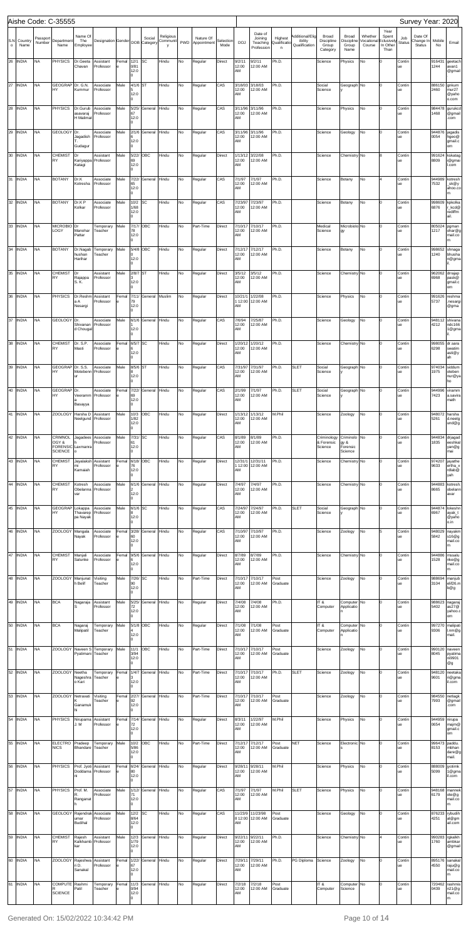|                |                 |                    | Aishe Code: C-35555                                     |                                      |                                                                   |            |                                 |                |                |    |                                           |                   |                        |                                              |                              |                                             |                                          |                                             |                                 |                                                |                      | Survey Year: 2020              |                       |                                          |
|----------------|-----------------|--------------------|---------------------------------------------------------|--------------------------------------|-------------------------------------------------------------------|------------|---------------------------------|----------------|----------------|----|-------------------------------------------|-------------------|------------------------|----------------------------------------------|------------------------------|---------------------------------------------|------------------------------------------|---------------------------------------------|---------------------------------|------------------------------------------------|----------------------|--------------------------------|-----------------------|------------------------------------------|
| S.N<br>$\circ$ | Country<br>Name | Passport<br>Number | Department<br>Name                                      | Name Of<br>The<br>Employee           | Designation Gender DOB Category                                   |            |                                 | Social         | Religious<br>V |    | Nature Of<br>Communit   PWD   Appointment | Selection<br>Mode | <b>DOJ</b>             | Date of<br>Joining<br>Teaching<br>Profession | Highest<br>Qualificatio<br>n | Additional/Elig<br>ibility<br>Qualification | Broad<br>Discipline<br>Group<br>Category | Broad<br>Discipline<br>Group<br>Name        | Whether<br>Vocational<br>Course | Year<br>Spent<br>clusively<br>In Other<br>Than | Job<br><b>Status</b> | Date Of<br>Change In<br>Status | Mobile<br>No          | Email                                    |
| 26             | <b>INDIA</b>    | <b>NA</b>          | <b>PHYSICS</b>                                          | Dr.Geeta<br>Chavan                   | Assistant<br>Professor                                            | Femal<br>e | 12/1<br>0/81<br>12:0<br>l0      | SC             | Hindu          | No | Regular                                   | Direct            | 9/2/11<br>12:00<br>AM  | 9/2/11<br>12:00 AM                           | Ph.D.                        |                                             | Science                                  | Physics                                     | No                              |                                                | Contir<br>ue         |                                | 916431<br>1244        | geetach<br>avan1<br>@gmail               |
| 27             | <b>INDIA</b>    | <b>NA</b>          | GEOGRAP Dr. G.N.<br>HY                                  | Kummur                               | Associate<br>Professor                                            | Male       | 4/1/6<br>12:0                   | ST             | Hindu          | No | Regular                                   | CAS               | 3/18/03<br>12:00<br>AM | 3/18/03<br>12:00 AM                          | Ph.D.                        |                                             | Social<br>Science                        | Geograph No                                 |                                 | I٥                                             | Contir<br>ue         |                                | 886150<br>2460        | gnkum<br>mur <sub>27</sub><br>@yaho      |
| 28             | <b>INDIA</b>    | <b>NA</b>          | <b>PHYSICS</b>                                          | Dr.Gurub<br>asavaraj<br>H Malimat    | Associate<br>Professor                                            | Male       | l0<br>5/25/<br>67<br>12:0<br>l0 | General Hindu  |                | No | Regular                                   | CAS               | 3/11/96<br>12:00<br>AM | 3/11/96<br>12:00 AM                          | Ph.D.                        |                                             | Science                                  | Physics                                     | No                              |                                                | Contir<br>ue         |                                | 984478<br>1468        | o.com<br>gurukco<br>@gmail<br>.com       |
| 29             | <b>INDIA</b>    | <b>NA</b>          | <b>GEOLOGY</b>                                          | Dr.<br>Jagadish<br>Gudagur           | Associate<br>Professor                                            | Male       | 2/1/6<br>16<br>12:0<br>l0       | General        | Hindu          | No | Regular                                   | CAS               | 3/11/96<br>12:00<br>AM | 3/11/96<br>12:00 AM                          | Ph.D.                        |                                             | Science                                  | Geology                                     | No                              | I٥                                             | Contir<br>ue         |                                | 944876<br>0054        | ljagadis<br>hgeo@<br>gmail.c<br>om       |
| 30             | <b>INDIA</b>    | <b>NA</b>          | <b>CHEMIST</b><br>RY                                    | Dr<br>Katagi                         | Assistant<br>Kariyappa Professor                                  | Male       | 5/22/<br>69<br>12:0             | OBC            | Hindu          | No | Regular                                   | Direct            | 1/13/12<br>12:00<br>AM | 3/22/08<br>12:00 AM                          | Ph.D.                        |                                             | Science                                  | Chemistry No                                |                                 |                                                | Contir<br>ue         |                                | 991624<br>8809        | kskatag<br>i@gmai<br>.com                |
| 31             | <b>INDIA</b>    | <b>NA</b>          | <b>BOTANY</b>                                           | Dr.K<br>Kotresha                     | Associate<br>Professor                                            | Male       | l0<br>7/22/<br>65<br>12:0<br>l0 | General        | Hindu          | No | Regular                                   | CAS               | 7/1/97<br>12:00<br>AM  | 7/1/97<br>12:00 AM                           | Ph.D.                        |                                             | Science                                  | Botany                                      | No                              |                                                | Contir<br>ue         |                                | 944989<br>7532        | kotresh<br>_sk@y<br>ahoo.co              |
| 32             | <b>INDIA</b>    | <b>NA</b>          | <b>BOTANY</b>                                           | Dr.K P<br>Kolkar                     | Associate<br>Professor                                            | Male       | 10/2<br>1/68<br>12:0<br>l0      | SC             | Hindu          | No | Regular                                   | CAS               | 7/23/97<br>12:00<br>AM | 7/23/97<br>12:00 AM                          | Ph.D.                        |                                             | Science                                  | Botany                                      | No                              |                                                | Contir<br>ue         |                                | 998609<br>6876        | kpkolka<br>Lkcd@<br>rediffm<br>ail.      |
| 33             | <b>INDIA</b>    | <b>NA</b>          | MICROBIO <sup>Dr</sup><br>LOGY                          | Manohar<br>Pattar                    | Temporary<br>Teacher                                              | Male       | 7/17/<br>78<br>12:0<br>l0       | OBC            | Hindu          | No | Part-Time                                 | Direct            | 7/10/1<br>12:00<br>AM  | 7/10/17<br>12:00 AM                          | Ph.D.                        |                                             | Medical<br>Science                       | Microbiolo <sup>No</sup><br>gy              |                                 |                                                | Contir<br>ue         |                                | 805024<br>1217        | pgman<br>ohar@g<br>mail.co<br>m.         |
|                | 34 INDIA        | <b>NA</b>          | <b>BOTANY</b>                                           | Dr.Nagab<br>hushan<br>Harihar        | Temporary<br>Teacher                                              | Male       | 5/4/8<br>I٥<br>12:0<br>l0       | OBC            | Hindu          | No | Regular                                   | Direct            | 7/12/17<br>12:00<br>AM | 7/12/17<br>12:00 AM                          | Ph.D.                        |                                             | Science                                  | Botany                                      | No                              |                                                | Contir<br>ue         |                                | 998652<br>1240        | shnaga<br>bhusha<br>n@gma                |
|                | 35 INDIA        | <b>NA</b>          | <b>CHEMIST</b><br>RY                                    | Dr<br>Rajappa<br>S. K.               | Assistant<br>Professor                                            | Male       | 2/8/7<br>12:0<br>l0             | ST             | Hindu          | No | Regular                                   | Direct            | 3/5/12<br>12:00<br>AM  | 3/5/12<br>12:00 AM                           | Ph.D.                        |                                             | Science                                  | Chemistry No                                |                                 |                                                | Contir<br>ue         |                                | 962062<br>6968        | drrajap<br>pask@<br>gmail.c<br>om        |
| 36             | <b>INDIA</b>    | <b>NA</b>          | <b>PHYSICS</b>                                          | Dr.Reshm<br>a A<br>Nesargi           | Assistant<br>Professor                                            | Femal      | 7/11/<br>79<br>12:0<br>l0       | General Muslim |                | No | Regular                                   | Direct            | 10/21/1<br>AM          | 1/22/08<br>1 12:00 12:00 AM                  | Ph.D.                        |                                             | Science                                  | Physics                                     | No                              |                                                | Contir<br>ue         |                                | 991626<br>5737        | reshma<br>nesargi.<br>@gma               |
| 37             | <b>INDIA</b>    | <b>NA</b>          | <b>GEOLOGY</b>                                          | Dr.<br>Shivanan<br>d Chougal         | Associate<br>Professor                                            | Male       | 6/1/6<br>12:0<br>l0             | General        | Hindu          | No | Regular                                   | CAS               | 7/6/94<br>12:00<br>AM  | 7/25/87<br>12:00 AM                          | Ph.D.                        |                                             | Science                                  | Geology                                     | No                              |                                                | Contir<br>ue         |                                | 948112<br>4212        | shivana<br>ndc166<br>1@gma               |
| 38             | <b>INDIA</b>    | <b>NA</b>          | <b>CHEMIST</b><br><b>RY</b>                             | Dr. S.P.<br>Masti                    | Associate<br>Professor                                            | Femal      | 6/5/7<br>16<br>12:0<br>l0       | SC             | Hindu          | No | Regular                                   | Direct            | 1/20/12<br>12:00<br>AM | 1/20/12<br>12:00 AM                          | Ph.D.                        |                                             | Science                                  | Chemistry No                                |                                 |                                                | Contir<br>ue         |                                | 998055<br>6298        | dr.sara<br>swatim<br>asti@y<br>ah        |
|                | 39 INDIA        | <b>NA</b>          | GEOGRAP Dr. S.S.<br>HY                                  | ur                                   | Associate Male<br>Motebenn Professor                              |            | 8/5/6 ST<br>8<br>12:0<br>l0     |                | Hindu          | No | Regular                                   | CAS               | 12:00<br>AM            | 7/31/97 7/31/97<br>12:00 AM                  | Ph.D.                        | <b>SLET</b>                                 | Social<br>Science                        | Geograph                                    |                                 |                                                | Contir<br>ue         |                                | 974034 siddum<br>1975 | oteben<br>nur@ya<br>ho                   |
| 40             | <b>INDIA</b>    | <b>NA</b>          | GEOGRAP Dr.<br>HY                                       | Basayya                              | Associate<br>Veeramm Professor                                    | Femal      | 7/22/<br>69<br>12:0<br>l0       | General        | Hindu          | No | Regular                                   | CAS               | 2/1/99<br>12:00<br>AM  | 7/1/97<br>12:00 AM                           | Ph.D.                        | <b>SLET</b>                                 | Social<br>Science                        | Geograph No                                 |                                 | I٥                                             | Contir<br>ue         |                                | 944996<br>7423        | viramm<br>a.savira<br>math               |
|                | 41 INDIA        | <b>NA</b>          | <b>ZOOLOGY</b>                                          | Harsha D<br>Neelgund                 | Assistant<br>Professor                                            | Male       | 10/3<br>1/82<br>12:0<br>l0      | ОВС            | Hindu          | No | Regular                                   | Direct            | 12:00<br>AM            | 1/13/12 1/13/12<br>12:00 AM                  | M.Phil                       |                                             | Science                                  | Zoology                                     | No                              |                                                | Contin<br>ue         |                                | 948072<br>5261        | harsha<br>d.neelg<br>und@g               |
| 42             | <b>INDIA</b>    | <b>NA</b>          | CRIMNOL<br>OGY &<br>FORENSIC Laxmanra<br><b>SCIENCE</b> | Jagadees<br>$\Omega$                 | Associate<br>Professor                                            | Male       | 7/31/<br>61<br>12:0<br>l0       | SC             | Hindu          | No | Regular                                   | CAS               | 8/1/89<br>12:00<br>AM  | 8/1/89<br>12:00 AM                           | Ph.D.                        |                                             | Criminology<br>& Forensic<br>Science     | Criminolo No<br>gy &<br>Forensic<br>Science |                                 |                                                | Contir<br>ue         |                                | 944834<br>1835        | drjagad<br>eeshkal<br>yan@g<br>mai       |
|                | 43 INDIA        | <b>NA</b>          | <b>CHEMIST</b><br>RY                                    | Jayalaksh<br>mi<br>Kamaiah           | Assistant<br>Professor                                            | Femal<br>e | 6/18/<br>76<br>12:0<br>l0       | OBC            | Hindu          | No | Regular                                   | Direct            | AM                     | 12/31/1 12/31/11<br>1 12:00 12:00 AM         | Ph.D.                        |                                             | Science                                  | Chemistry No                                |                                 |                                                | Contin<br>ue         |                                | 974207<br>9633        | jayathe<br>ertha_x<br>rdlab@<br>yah      |
|                | 44 INDIA        | <b>NA</b>          | <b>CHEMIST</b><br>RY                                    | Kotresh<br>Obelanna<br>var           | Associate<br>Professor                                            | Male       | 6/1/6<br>12:0<br>l0             | General        | Hindu          | No | Regular                                   | Direct            | 7/4/97<br>12:00<br>AM  | 7/4/97<br>12:00 AM                           | Ph.D.                        |                                             | Science                                  | Chemistry No                                |                                 |                                                | Contir<br>ue         |                                | 944883<br>8665        | kotresh<br>obelanr<br>avar               |
|                | 45 INDIA        | <b>NA</b>          | <b>GEOGRAP</b><br>HY                                    | Lokappa<br>Thavarep<br>pa Nayak      | Associate<br>Professor                                            | Male       | 6/1/6 SC<br>12:0<br>l0          |                | Hindu          | No | Regular                                   | CAS               | 7/24/97<br>12:00<br>AM | 7/24/97<br>12:00 AM                          | Ph.D.                        | <b>SLET</b>                                 | Social<br>Science                        | Geograph No                                 |                                 |                                                | Contin<br>ue         |                                | 944874<br>6967        | lokeshn<br>ayak_t<br>@yaho<br>o.in       |
| 46             | <b>INDIA</b>    | <b>NA</b>          | <b>ZOOLOGY</b>                                          | Mangala<br>Nayak                     | Associate<br>Professor                                            | Femal      | 3/28/<br>60<br>12:0<br>l0       | General Hindu  |                | No | Regular                                   | CAS               | 7/10/97<br>12:00<br>AM | 7/10/97<br>12:00 AM                          | Ph.D.                        |                                             | Science                                  | Zoology                                     | No                              |                                                | Contir<br>ue         |                                | 948029<br>5842        | nayakm<br>s16@g<br>mail.co<br>m          |
|                | 47 INDIA        | <b>NA</b>          | <b>CHEMIST</b><br>RY                                    | Manjali<br>Salunke                   | Associate<br>Professor                                            | Femal      | 9/5/6<br>16<br>12:0<br>l0       | General        | Hindu          | No | Regular                                   | Direct            | 8/7/89<br>12:00<br>AM  | 8/7/89<br>12:00 AM                           | Ph.D.                        |                                             | Science                                  | Chemistry No                                |                                 |                                                | Contin<br>ue         |                                | 944886<br>1528        | mssalu<br>nke@g<br>mail.co<br>m          |
| 48             | <b>INDIA</b>    | <b>NA</b>          | <b>ZOOLOGY</b>                                          | Manjunat<br>h Belif                  | Visiting<br>Teacher                                               | Male       | 7/26/<br>90<br>12:0<br>l0       | SC             | Hindu          | No | Part-Time                                 | Direct            | 7/10/1<br>12:00<br>AM  | 7/10/17<br>12:00 AM                          | Post<br>Graduate             |                                             | Science                                  | Zoology                                     | No                              |                                                | Contir<br>ue         |                                | 988694<br>3104        | manjub<br>elif26.m<br>b@g                |
| 49             | <b>INDIA</b>    | <b>NA</b>          | <b>BCA</b>                                              | Nagaraja<br>s                        | Assistant<br>Professor                                            | Male       | 5/25/<br>72<br>12:0<br>l0       | General Hindu  |                | No | Regular                                   | Direct            | 7/4/08<br>12:00<br>AM  | 7/4/08<br>12:00 AM                           | Ph.D.                        |                                             | IT&<br>Computer                          | Computer No<br>Applicatio                   |                                 | I٥                                             | Contin<br>ue         |                                | 988623<br>5402        | nagaraj<br>as27@<br>yahoo.c<br>om        |
| 50             | <b>INDIA</b>    | <b>NA</b>          | <b>BCA</b>                                              | Nagaraj<br>Malipatil                 | Temporary<br>Teacher                                              | Male       | 5/1/8<br>12:0<br>l0             | OBC            | Hindu          | No | Regular                                   | Direct            | 7/1/08<br>12:00<br>AM  | 7/1/08<br>12:00 AM                           | Post<br>Graduate             |                                             | IT&<br>Computer                          | Computer No<br>Applicatio                   |                                 | l٥                                             | Contir<br>ue         |                                | 997270<br>9306        | malipati<br>l.nm@g<br>mail.              |
|                | 51 INDIA        | <b>NA</b>          | <b>ZOOLOGY</b>                                          | Pyatimani Teacher                    | Naveen S Temporary                                                | Male       | 11/1<br>3/94<br>12:0<br>l0      | ОВС            | Hindu          | No | Part-Time                                 | Direct            | 7/10/17<br>12:00<br>AM | 7/10/17<br>12:00 AM                          | Post<br>Graduate             |                                             | Science                                  | Zoology                                     | No                              |                                                | Contin<br>ue         |                                | 990120<br>8045        | naveen<br>pyatima<br>ni9901<br>@g        |
| 52             | <b>INDIA</b>    | <b>NA</b>          | <b>ZOOLOGY</b>                                          | Neetha<br>Nageshra Teacher<br>o Kari | Temporary                                                         | Femal      | 1/4/7<br>ıз<br>12:0<br>l0       | General Hindu  |                | No | Part-Time                                 | Direct            | 7/10/1<br>12:00<br>AM  | 7/10/17<br>12:00 AM                          | Ph.D.                        | <b>SLET</b>                                 | Science                                  | Zoology                                     | No                              |                                                | Contir<br>ue         |                                | 948120<br>9601        | neetaka<br>ri@gma<br>il.com              |
|                | 53 INDIA        | <b>NA</b>          | <b>ZOOLOGY</b>                                          | Netravati<br>Ganamuk<br>hi           | Visiting<br>Teacher                                               | Femal<br>e | 2/27/<br>92<br>12:0<br>l0       | General Hindu  |                | No | Part-Time                                 | Direct            | 7/10/1<br>12:00<br>AM  | 7/10/17<br>12:00 AM                          | Post<br>Graduate             |                                             | Science                                  | Zoology                                     | No                              |                                                | Contir<br>ue         |                                | 984550<br>7993        | netlagk<br>@gmail<br>.com                |
|                | 54 INDIA        | N <sub>A</sub>     |                                                         | J.M                                  | PHYSICS Nirupama Assistant Femal 7/14/ General Hindu<br>Professor | le         | 72<br>12:0<br>lo.               |                |                | No | Regular                                   | Direct            | 12:00<br>AM            | 8/3/11 1/22/97<br>12:00 AM                   | M.Phil                       |                                             | Science                                  | Physics                                     |                                 |                                                | Contin<br>ue         |                                | 944959 nirupa<br>0654 | majm@<br>gmail.c<br>om                   |
|                | 55 INDIA        | <b>NA</b>          | ELECTRO Pradeep<br><b>NICS</b>                          | Bhandare Teacher                     | Temporary                                                         | Male       | 10/2<br>5/86<br>12:0<br>l0      | ОВС            | Hindu          | No | Part-Time                                 | Direct            | 7/12/17<br>12:00<br>AM | 7/12/17<br>12:00 AM                          | Post<br>Graduate             | <b>NET</b>                                  | Science                                  | Electronic No                               |                                 |                                                | Contir<br>ue         |                                | 996473 paddu.<br>8153 | mbhan<br>dare@g<br>mail.                 |
|                | 56 INDIA        | <b>NA</b>          | <b>PHYSICS</b>                                          | Prof. Jyoti Assistant<br>ni          | Doddama Professor                                                 | Femal      | 6/24/<br>80<br>12:0<br>lo.      | General Hindu  |                | No | Regular                                   | Direct            | 9/28/11<br>12:00<br>AM | 9/28/11<br>12:00 AM                          | M.Phil                       |                                             | Science                                  | Physics                                     | No                              | lо                                             | Contin<br>ue         |                                | 888009<br>5099        | jyotimk<br>1@gma<br>il.com               |
|                | 57 INDIA        | <b>NA</b>          | <b>PHYSICS</b>                                          | Prof. M.<br>R.<br>Ranganat           | Associate<br>Professor                                            | Male       | 1/12/<br>71<br>12:0<br>l0       | General Hindu  |                | No | Regular                                   | CAS               | 7/1/97<br>12:00<br>AM  | 7/1/97<br>12:00 AM                           | M.Phil                       | <b>SLET</b>                                 | Science                                  | Physics                                     | No                              |                                                | Contir<br>ue         |                                | 948168<br>6179        | mannek<br>ote@g<br>mail.co<br>m          |
|                | 58 INDIA        | <b>NA</b>          | <b>GEOLOGY</b>                                          | Rajendrak<br>umar<br>Budihal         | Associate<br>Professor                                            | Male       | 12/2<br>8/64<br>12:0<br>l0      | SC             | Hindu          | No | Regular                                   | CAS               | AM                     | 11/23/9 11/23/98<br>8 12:00 12:00 AM         | Post<br>Graduate             |                                             | Science                                  | Geology                                     | No                              | lо                                             | Contin<br>ue         |                                | 4251                  | 876233 rybudih<br>al@gm<br>ail.com       |
|                | 59 INDIA        | <b>NA</b>          | <b>CHEMIST</b><br><b>RY</b>                             | Rajesh<br>kar                        | Assistant<br>Kalkhamb Professor                                   | Male       | 12/3<br>1/79<br>12:0<br>l0      | General Hindu  |                | No | Regular                                   | Direct            | 9/22/11<br>12:00<br>AM | 9/22/11<br>12:00 AM                          | Ph.D.                        |                                             | Science                                  | Chemistry No                                |                                 |                                                | Contir<br>ue         |                                | 990283<br>1760        | rgkalkh<br>ambkar<br>@gmail              |
|                | 60 INDIA        | <b>NA</b>          | ZOOLOGY Rajeshwa                                        | ri D.<br>Sanakal                     | Assistant<br>Professor                                            | Femal      | 1/22/<br>67<br>12:0<br>l0       | General Hindu  |                | No | Regular                                   | Direct            | 7/29/11<br>12:00<br>AM | 7/29/11<br>12:00 AM                          | Ph.D.                        | PG Diploma Science                          |                                          | Zoology                                     | No                              | lо                                             | Contin<br>ue         |                                | 4550                  | 895176 sanakal<br>raju@g<br>mail.co<br>m |
|                | 61 INDIA        | <b>NA</b>          | COMPUTE Rashmi<br><b>SCIENCE</b>                        | Patil                                | Temporary<br>Teacher                                              | Femal      | 11/3<br>0/94<br>12:0<br>l0      | General Hindu  |                | No | Regular                                   | Direct            | 7/2/18<br>12:00<br>AM  | 7/2/18<br>12:00 AM                           | Post<br>Graduate             |                                             | IT &<br>Computer                         | Computer No<br>Science                      |                                 | Iо                                             | Contir<br>ue         |                                | 720462<br>0439        | rashmis<br>n21@g<br>mail.co<br>m         |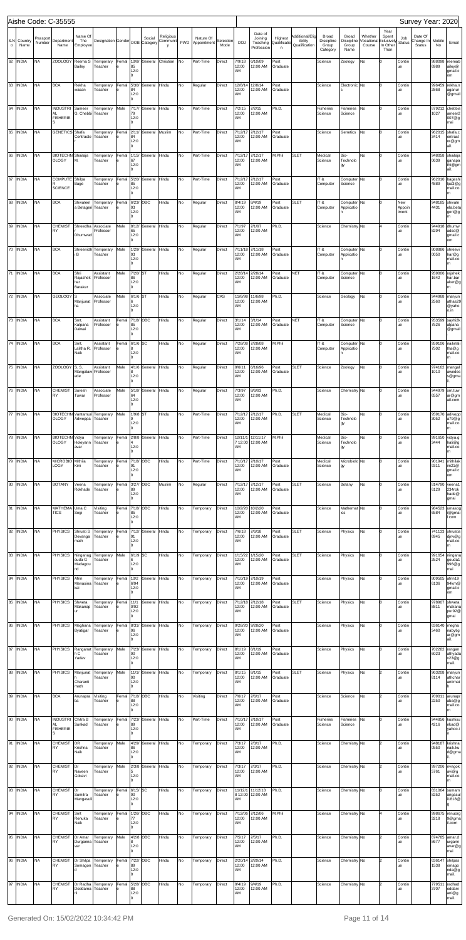|                     |                 |                    | Aishe Code: C-35555                             |                                    |                                                |             |                                 |                     |           |    |                          |                   |                               |                                              |                                         |                                             |                                          |                                      |                                 |                                                |                        | Survey Year: 2020                     |                |                                               |
|---------------------|-----------------|--------------------|-------------------------------------------------|------------------------------------|------------------------------------------------|-------------|---------------------------------|---------------------|-----------|----|--------------------------|-------------------|-------------------------------|----------------------------------------------|-----------------------------------------|---------------------------------------------|------------------------------------------|--------------------------------------|---------------------------------|------------------------------------------------|------------------------|---------------------------------------|----------------|-----------------------------------------------|
| S.N<br>$\mathsf{o}$ | Country<br>Name | Passport<br>Number | Department<br>Name                              | Name Of<br>The<br>Employee         | Designation Gender DOB Category Communit PWD   |             |                                 | Social              | Religious |    | Nature Of<br>Appointment | Selection<br>Mode | <b>DOJ</b>                    | Date of<br>Joining<br>Teaching<br>Profession | Highest<br>Qualificatio<br>$\mathsf{n}$ | Additional/Elig<br>ibility<br>Qualification | Broad<br>Discipline<br>Group<br>Category | Broad<br>Discipline<br>Group<br>Name | Whether<br>/ocational<br>Course | Year<br>Spent<br>clusively<br>In Other<br>Than | Job<br><b>Status</b>   | Date Of<br>Change In<br><b>Status</b> | Mobile<br>No   | Email                                         |
| 62                  | <b>INDIA</b>    | <b>NA</b>          | <b>ZOOLOGY</b>                                  | Reema S<br>Bailey                  | Temporary<br>Teacher                           | Femal       | 10/8/<br>85<br>12:0             | General Christian   |           | No | Part-Time                | Direct            | 7/9/18<br>12:00<br>AM         | 6/10/09<br>12:00 AM                          | Post<br>Graduate                        |                                             | Science                                  | Zoology                              | No                              | lo                                             | Contir<br>ue           |                                       | 988098<br>6989 | reemab<br>ailey@<br>gmail.c                   |
| 63                  | <b>INDIA</b>    | <b>NA</b>          | <b>BCA</b>                                      | Rekha<br>wasan                     | Temporary<br>Teacher                           | Femal       | l0<br>5/30/<br>84<br>12:0<br>l0 | General Hindu       |           | No | Regular                  | Direct            | 12/8/14<br>12:00<br>AM        | 12/8/14<br>12:00 AM                          | Post<br>Graduate                        |                                             | Science                                  | Electronic No                        |                                 | Iо                                             | Contir<br>ue           |                                       | 996459<br>2868 | om<br>rekha.n<br>aganur<br>@gmail             |
| 64                  | <b>INDIA</b>    | <b>NA</b>          | <b>INDUSTRI</b><br>AL<br><b>FISHERIE</b><br>S   | Sameer<br>G. Chebbi                | Temporary<br>Teacher                           | Male        | 7/17/<br>79<br>12:0<br>l0       | General Hindu       |           | No | Part-Time                | Direct            | 7/2/15<br>12:00<br>AM         | 7/2/15<br>12:00 AM                           | Ph.D.                                   |                                             | Fisheries<br>Science                     | Fisheries<br>Science                 | No                              | I٥                                             | Contir<br>ue           |                                       | 879212<br>1027 | chebbis<br>ameer <sub>2</sub><br>007@g<br>mai |
| 65                  | <b>INDIA</b>    | <b>NA</b>          | <b>GENETICS</b>                                 | Shafa<br>Contracto                 | Temporary<br>Teacher                           | Femal       | 2/11/<br>84<br>12:0<br>l0       | General Muslim      |           | No | Part-Time                | Direct            | 7/12/1<br>12:00<br>AM         | 7/12/17<br>12:00 AM                          | Post<br>Graduate                        |                                             | Science                                  | Genetics                             | No                              | I٥                                             | Contir<br>ue           |                                       | 962015<br>3414 | shafa.c<br>ontract<br>or@gm<br>ail.           |
| 66                  | <b>INDIA</b>    | <b>NA</b>          | BIOTECHN Shailaja<br><b>OLOGY</b>               | M.                                 | Temporary<br>Teacher                           | Femal       | 1/15/<br>67<br>12:0<br>l0       | General Hindu       |           | No | Part-Time                | Direct            | 7/12/17<br>12:00<br>AM        | 7/12/17<br>12:00 AM                          | M.Phil                                  | <b>SLET</b>                                 | Medical<br>Science                       | Bio-<br>Technolo<br>gy               | No                              | I٥                                             | Contir<br>ue           |                                       | 948058<br>0639 | shailaja<br>ganapa<br>thi@gm<br>ail.          |
| 67                  | <b>INDIA</b>    | <b>NA</b>          | COMPUTE Shilpa<br><b>SCIENCE</b>                | Bage                               | Temporary<br>Teacher                           | Femal       | 5/20/<br>85<br>12:0<br>l0       | General Hindu       |           | No | Part-Time                | Direct            | 7/12/1<br>12:00<br>AM         | 7/12/17<br>12:00 AM                          | Post<br>Graduate                        |                                             | IT&<br>Computer                          | Computer <sup>No</sup><br>Science    |                                 | lо                                             | Contir<br>ue           |                                       | 962010<br>4889 | bageshi<br>lpa3@g<br>mail.co<br>m             |
| 68                  | <b>INDIA</b>    | <b>NA</b>          | <b>BCA</b>                                      | Shivaleel<br>a Betageri            | Temporary<br>Teacher                           | Femal       | 6/23/<br>93<br>12:0<br>l0       | ОВС                 | Hindu     | No | Regular                  | Direct            | 8/4/19<br>12:00<br>AM         | 8/4/19<br>12:00 AM                           | Post<br>Graduate                        | <b>SLET</b>                                 | IT&<br>Computer                          | Computer No<br>Applicatio            |                                 | l٥                                             | New<br>Appoir<br>tment |                                       | 948185<br>4431 | shivale<br>ela.beta<br>geri@g<br>m            |
| 69                  | <b>INDIA</b>    | <b>NA</b>          | <b>CHEMIST</b><br>RY                            | Shreedha<br>Dhumwad                | Associate<br>Professor                         | Male        | 8/12/<br>65<br>12:0<br>l0       | General Hindu       |           | No | Regular                  | Direct            | 7/1/97<br>12:00<br>AM         | 7/1/97<br>12:00 AM                           | Ph.D.                                   |                                             | Science                                  | Chemistry No                         |                                 |                                                | Contir<br>ue           |                                       | 944918<br>8294 | dhumw<br>adsd@<br>gmail.c<br>om               |
| 70                  | <b>INDIA</b>    | <b>NA</b>          | <b>BCA</b>                                      | i B                                | Shreenidh Temporary<br>Teacher                 | Male        | 1/29/<br>93<br>12:0<br>l0       | General Hindu       |           | No | Regular                  | Direct            | 7/11/18<br>12:00<br><b>AM</b> | 7/11/18<br>12:00 AM                          | Post<br>Graduate                        |                                             | IT&<br>Computer                          | Computer No<br>Applicatio            |                                 | l٥                                             | Contir<br>ue           |                                       | 808886<br>0050 | shreevi<br>har@g<br>mail.co<br>m              |
| 71                  | <b>INDIA</b>    | <b>NA</b>          | <b>BCA</b>                                      | Shri<br>Rajashek<br>har<br>Baraker | Assistant<br>Professor                         | Male        | 7/20/<br>86<br>12:0<br>I٥       | ST                  | Hindu     | No | Regular                  | Direct            | 2/28/14<br>12:00<br>AM        | 2/28/14<br>12:00 AM                          | Post<br>Graduate                        | <b>NET</b>                                  | IT&<br>Computer                          | Computer No<br>Science               |                                 | Iо                                             | Contir<br>ue           |                                       | 959006<br>1642 | rajshek<br>har.bar<br>aker@g<br>m             |
| 72                  | <b>INDIA</b>    | <b>NA</b>          | <b>GEOLOGY</b>                                  | Manjunat<br>ha                     | Associate<br>Professor                         | Male        | 6/1/6 ST<br>12:0<br>l0          |                     | Hindu     | No | Regular                  | CAS               | 12:00<br><b>AM</b>            | 11/6/98 11/6/98<br>12:00 AM                  | Ph.D.                                   |                                             | Science                                  | Geology                              | No                              | I٥                                             | Contir<br>ue           |                                       | 944968<br>2560 | manjun<br>athas29<br>@yaho<br>o.in            |
| 73                  | <b>INDIA</b>    | <b>NA</b>          | <b>BCA</b>                                      | Smt.<br>Kalpana<br>Dalwai          | Assistant<br>Professor                         | Femal       | 7/18/<br>85<br>12:0<br>I٥       | OBC                 | Hindu     | No | Regular                  | Direct            | 3/1/14<br>12:00<br>AM         | 3/1/14<br>12:00 AM                           | Post<br>Graduate                        | <b>NET</b>                                  | IT&<br>Computer                          | Computer <sup>No</sup><br>Science    |                                 | Iо                                             | Contir<br>ue           |                                       | 953599<br>7526 | sayhi2k<br>alpana<br>@gmail                   |
|                     | 74 INDIA        | <b>NA</b>          | <b>BCA</b>                                      | Smt.<br>Lalitha R.<br>Naik         | Assistant<br>Professor                         | Femal       | 6/1/6 SC<br>12:0<br>l0          |                     | Hindu     | No | Regular                  | Direct            | 7/28/08<br>12:00<br>AM        | 7/28/08<br>12:00 AM                          | M.Phil                                  |                                             | IT&<br>Computer                          | Computer No<br>Applicatio            |                                 | lо                                             | Contir<br>ue           |                                       | 959106<br>7502 | naikrlali<br>tha@g<br>mail.co<br>m            |
|                     | 75 INDIA        | <b>NA</b>          | <b>ZOOLOGY</b>                                  | S. S.<br>ede                       | Assistant<br>Mangalaw Professor                | Male        | 8<br>12:0<br>l0.                | 4/1/6 General Hindu |           |    | Regular                  | Direct            | 9/6/11<br>12:00<br>AM         | 6/16/96<br>12:00 AM                          | Post<br>Graduate                        | SLET                                        | Science                                  | Zoology                              |                                 |                                                | Contin<br>ue           |                                       | 974162<br>1010 | mangal<br>awedes<br>s@gma                     |
|                     | 76 INDIA        | <b>NA</b>          | <b>CHEMIST</b><br>RY                            | Suresh<br>Tuwar                    | Associate<br>Professor                         | Male        | 5/18/<br>64<br>12:0<br>l0       | General Hindu       |           | No | Regular                  | Direct            | 7/3/97<br>12:00<br>AM         | 8/6/93<br>12:00 AM                           | Ph.D.                                   |                                             | Science                                  | Chemistry No                         |                                 | lо                                             | Contin<br>ue           |                                       | 944979<br>6557 | sm.tuw<br>ar@gm<br>ail.com                    |
|                     | 77 INDIA        | <b>NA</b>          | <b>OLOGY</b>                                    | Adiveppa Teacher                   | BIOTECHN Vantamuri Temporary                   | Male        | 1/9/8 ST<br>12:0<br>l0          |                     | Hindu     | No | Part-Time                | Direct            | 7/12/17<br>12:00<br>AM        | 7/12/17<br>12:00 AM                          | Ph.D.                                   | <b>SLET</b>                                 | Medical<br>Science                       | Bio-<br>Technolo<br>gy               | No                              | Iо                                             | Contin<br>ue           |                                       | 959170<br>3052 | adivepp<br>a79@g<br>mail.co<br>m              |
|                     | 78 INDIA        | <b>NA</b>          | BIOTECHN Vidya<br>OLOGY                         | Holeyann Teacher<br>avar           | Temporary                                      | Femal<br>le | 2/8/8<br>12:0<br>l0             | General Hindu       |           | No | Part-Time                | Direct            | AM                            | 12/11/1 12/11/17<br>7 12:00 12:00 AM         | M.Phil                                  |                                             | Medical<br>Science                       | Bio-<br>Technolo<br>gy               | No                              | I٥                                             | Contir<br>ue           |                                       | 991650<br>3444 | vidya.g<br>hali@g<br>mail.co<br>m             |
|                     | 79 INDIA        | <b>NA</b>          | MICROBIO Mithila<br>LOGY                        | Kini                               | Temporary<br>Teacher                           | Femal<br>le | 7/18/<br>91<br>12:0<br>l0.      | OBC                 | Hindu     | No | Part-Time                | Direct            | 7/10/17<br>12:00<br>AM        | 7/10/17<br>12:00 AM                          | Post<br>Graduate                        |                                             | Medical<br>Science                       | Microbiolo No<br>gy                  |                                 | I٥                                             | Contin<br>ue           |                                       | 901941<br>9311 | mithilak<br>ini21@<br>gmail.c<br>om           |
| 80                  | <b>INDIA</b>    | <b>NA</b>          | <b>BOTANY</b>                                   | Veena<br>Rokhade                   | Temporary<br>Teacher                           | Femal       | 3/27/<br>89<br>12:0<br>l0       | OBC                 | Muslim    | No | Regular                  | Direct            | 7/12/17<br>12:00<br>AM        | 7/12/17<br>12:00 AM                          | Post<br>Graduate                        | <b>SLET</b>                                 | Science                                  | Botany                               | No                              | I٥                                             | Contin<br>ue           |                                       | 814790<br>6129 | veena1<br>234rok<br>hade@<br>gmai             |
|                     | 81 INDIA        | <b>NA</b>          | MATHEMA Uma C<br><b>TICS</b>                    | Sogi                               | Visiting<br>Teacher                            | Femal<br>le | 7/18/<br>85<br>12:0<br>l0.      | OBC                 | Hindu     | No | Temporary                | Direct            | 12:00<br>AM                   | 10/2/20 10/2/20<br>12:00 AM                  | Post<br>Graduate                        |                                             | Science                                  | Mathemat No<br>ics                   |                                 | I٥                                             | Contin<br>ue           |                                       | 984523<br>6584 | umasog<br>i@gmai<br>l.com                     |
|                     | 82 INDIA        | <b>NA</b>          | <b>PHYSICS</b>                                  | Shrusti S<br>Devanga<br>math       | Temporary<br>Teacher                           | Femal<br>le | 7/12/<br>91<br>12:0<br>l0       | General Hindu       |           | No | Temporary                | Direct            | 7/6/18<br>12:00<br>AM         | 7/6/18<br>12:00 AM                           | Post<br>Graduate                        | <b>SLET</b>                                 | Science                                  | Physics                              | No                              | I٥                                             | Contin<br>ue           |                                       | 741133<br>6945 | shrustis<br>djnv@g<br>mail.co<br>m            |
|                     | 83 INDIA        | <b>NA</b>          | <b>PHYSICS</b>                                  | ouda G<br>Madagou<br>nd            | Ninganag Temporary<br>Teacher                  | Male        | 6/1/9 SC<br>12:0<br>l0.         |                     | Hindu     | No | Temporary                | Direct            | 12:00<br>AM                   | 1/15/22 1/15/20<br>12:00 AM                  | Post<br>Graduate                        | <b>SLET</b>                                 | Science                                  | Physics                              | No                              | I٥                                             | Contin<br>ue           |                                       | 991654<br>2524 | ningana<br>gouda1<br>996@g<br>mai             |
|                     | 84 INDIA        | <b>NA</b>          | <b>PHYSICS</b>                                  | Afrin<br>Menasina Teacher<br>kai   | Temporary                                      | Femal       | 10/2<br>6/94<br>12:0<br>l0      | General Hindu       |           | No | Temporary                | Direct            | 7/10/19<br>12:00<br>AM        | 7/10/19<br>12:00 AM                          | Post<br>Graduate                        |                                             | Science                                  | Physics                              | No                              | I٥                                             | Contin<br>ue           |                                       | 809505<br>6136 | afrin19<br>94km@<br>gmail.c<br>om             |
|                     | 85 INDIA        | <b>NA</b>          | <b>PHYSICS</b>                                  | Shweta<br>Makanap Teacher<br>ur    | Temporary                                      | Femal       | 11/1<br>0/92<br>12:0<br>l0      | General Hindu       |           | No | Temporary                | Direct            | 12:00<br>AM                   | 7/12/18 7/12/18<br>12:00 AM                  | Post<br>Graduate                        | <b>SLET</b>                                 | Science                                  | Physics                              | No                              | I٥                                             | Contin<br>ue           |                                       | 978907<br>8811 | shweta<br>makana<br>pur92@<br>gmai            |
|                     | 86 INDIA        | <b>NA</b>          | <b>PHYSICS</b>                                  | Byatigar                           | Meghana Temporary<br>Teacher                   | Femal<br>le | 8/31/<br>96<br>12:0<br>l0       | General Hindu       |           | No | Temporary                | Direct            | 9/28/20<br>12:00<br>AM        | 9/28/20<br>12:00 AM                          | Post<br>Graduate                        |                                             | Science                                  | Physics                              | No                              |                                                | Contin<br>ue           |                                       | 636140<br>5460 | megha<br>nabytig<br>ar@gm<br>ail.             |
|                     | 87 INDIA        | <b>NA</b>          | <b>PHYSICS</b>                                  | h C<br>Yadav                       | Ranganat Temporary<br>Teacher                  | Male        | 7/23/<br>90<br>12:0<br>l0       | General Hindu       |           | No | Temporary                | Direct            | 8/1/19<br>12:00<br>AM         | 8/1/19<br>12:00 AM                           | Post<br>Graduate                        |                                             | Science                                  | Physics                              | No                              | I٥                                             | Contin<br>ue           |                                       | 702282<br>6023 | rangan<br>athyada<br>v23@g<br>mail.           |
|                     | 88 INDIA        | <b>NA</b>          | <b>PHYSICS</b>                                  | Manjunat<br>Charanti<br>math       | Temporary<br>Teacher                           | Male        | 11/1/<br>90<br>12:0<br>ln.      | General Hindu       |           | No | Temporary                | Direct            | 8/1/15<br>12:00<br>AM         | 8/1/15<br>12:00 AM                           | Post<br>Graduate                        | <b>SLET</b>                                 | Science                                  | Physics                              | No                              |                                                | Contin<br>ue           |                                       | 963208<br>8114 | manjun<br>athchar<br>antimat                  |
|                     | 89 INDIA        | <b>NA</b>          | <b>BCA</b>                                      | Arunapra<br>ba                     | Visiting<br>Teacher                            | Femal       | 7/18/ OBC<br>88<br>12:0<br>lo.  |                     | Hindu     | No | Visiting                 | Direct            | 7/6/17<br>12:00<br>AM         | 7/6/17<br>12:00 AM                           | Post<br>Graduate                        |                                             | Science                                  | Science                              | No                              | l2                                             | Contin<br>ue           |                                       | 709011<br>2250 | arunapr<br>aba@g<br>mail.co<br>m              |
|                     | 90 INDIA        | <b>NA</b>          | INDUSTRI Chitra B<br>AL<br><b>FISHERIE</b><br>s | Sunkad                             | Temporary Femal 7/23/ General Hindu<br>Teacher | le.         | 89<br>12:0<br>l0.               |                     |           | No | Part-Time                | Direct            | 12:00<br>AM                   | 7/10/17 7/10/17<br>12:00 AM Graduate         | Post                                    |                                             | Fisheries<br>Science                     | Fisheries<br>Science                 | No                              |                                                | Contin<br>ue           |                                       | 944856<br>4216 | kushisu<br>nkad@<br>yahoo.i                   |
|                     | 91 INDIA        | <b>NA</b>          | CHEMIST<br>RY                                   | DR<br>Krishna<br>Naik              | Temporary<br>Teacher                           | Male        | 4/29/<br>86<br>12:0<br>l0       | General Hindu       |           | No | Temporary                | Direct            | 7/3/17<br>12:00<br>AM         | 7/3/17<br>12:00 AM                           | Ph.D.                                   |                                             | Science                                  | Chemistry No                         |                                 | 2                                              | Contin<br>ue           |                                       | 948187<br>0550 | krishna<br>naik.ku<br>d@gma                   |
|                     | 92 INDIA        | <b>NA</b>          | <b>CHEMIST</b><br>RY                            | Dr<br>Naveen<br>Gokavi             | Temporary<br>Teacher                           | Male        | 2/3/8<br>12:0<br>l0.            | General Hindu       |           | No | Temporary                | Direct            | 7/3/17<br>12:00<br>AM         | 7/3/17<br>12:00 AM                           | Ph.D.                                   |                                             | Science                                  | Chemistry No                         |                                 | $\overline{2}$                                 | Contin<br>ue           |                                       | 5761           | 997206 nvngok<br>avi@g<br>mail.co<br>m        |
|                     | 93 INDIA        | <b>NA</b>          | <b>CHEMIST</b><br>RY                            | Dr<br>Sumitra<br>Mangasuli         | Temporary<br>Teacher                           | Femal<br>e  | 6/15/ SC<br>90<br>12:0<br>l0    |                     | Hindu     | No | Temporary                | Direct            | AM                            | 11/12/1 11/12/18<br>8 12:00 12:00 AM         | Ph.D.                                   |                                             | Science                                  | Chemistry No                         |                                 | lо                                             | Contin<br>ue           |                                       | 831064<br>8252 | sumam<br>angasul<br>i1818@<br>lg.             |
|                     | 94 INDIA        | <b>NA</b>          | <b>CHEMIST</b><br>RY                            | Smt<br>Renuka<br>Naik              | Temporary<br>Teacher                           | Femal<br>e  | 1/26/<br>77<br>12:0<br>l0.      | OBC                 | Hindu     | No | Temporary                | Direct            | 12:00<br>AM                   | 7/12/06 7/12/06<br>12:00 AM                  | M.Phil                                  |                                             | Science                                  | Chemistry No                         |                                 | 4                                              | Contin<br>ue           |                                       | 3218           | 998675 renuorg<br>9@gma<br>il.com             |
|                     | 95 INDIA        | <b>NA</b>          | CHEMIST<br>RY                                   | Dr Amar<br>Durganna Teacher<br>var | Temporary                                      | Male        | 4/2/8 OBC<br>12:0<br>l0         |                     | Hindu     | No | Temporary                | Direct            | 7/5/17<br>12:00<br>AM         | 7/5/17<br>12:00 AM                           | Ph.D.                                   |                                             | Science                                  | Chemistry No                         |                                 | 2                                              | Contin<br>ue           |                                       | 8677           | 874785 amar.d<br>urgann<br>avar@g<br>mai      |
|                     | 96 INDIA        | <b>NA</b>          | CHEMIST<br>RY                                   | Somagon Teacher                    | Dr Shilpa Temporary                            | Femal       | 7/22/<br>89<br>12:0<br>l0.      | OBC                 | Hindu     | No | Temporary                | Direct            | 12:00<br>AM                   | 2/20/14 2/20/14<br>12:00 AM                  | Ph.D.                                   |                                             | Science                                  | Chemistry No                         |                                 | l2                                             | Contin<br>ue           |                                       | 1538           | 636147 shilpas<br>omago<br>nda@g<br>mail.     |
|                     | 97 INDIA        | <b>NA</b>          | CHEMIST<br>RY                                   | Doddama Teacher                    | Dr Radha Temporary                             | Femal       | 5/28/<br>88<br>12:0<br>o        | OBC                 | Hindu     | No | Temporary                | Direct            | 9/4/19<br>12:00<br>AM         | 9/4/19<br>12:00 AM                           | Ph.D.                                   |                                             | Science                                  | Chemistry No                         |                                 | 2                                              | Contin<br>ue           |                                       | 779511<br>3707 | radhad<br>oddam<br>ani@g<br>mail.             |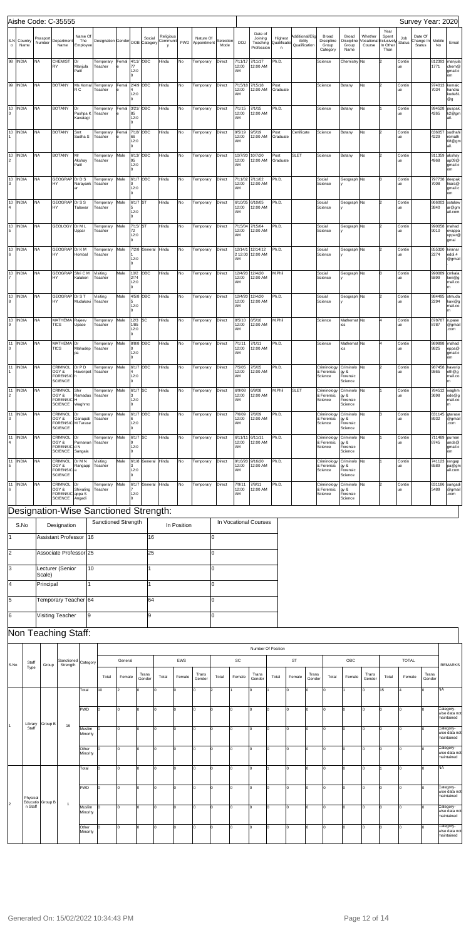|                      |                  |                     | Aishe Code: C-35555                                                |                                    |                                              |         |                      |                     |            |             |                          |                |                        |                                      |                            |                            |                                                   |                                             |                      |                            |                  | Survey Year: 2020    |                |                                       |
|----------------------|------------------|---------------------|--------------------------------------------------------------------|------------------------------------|----------------------------------------------|---------|----------------------|---------------------|------------|-------------|--------------------------|----------------|------------------------|--------------------------------------|----------------------------|----------------------------|---------------------------------------------------|---------------------------------------------|----------------------|----------------------------|------------------|----------------------|----------------|---------------------------------------|
|                      | S.N Country      | Passport            | Department                                                         | Name Of<br>The                     | Designation Gender DOB Category Communit PWD |         |                      | Social              | Religious  |             | Nature Of                | Selection      |                        | Date of<br>Joining                   | Highest                    | Additional/Elig<br>ibility | Broad<br>Discipline                               | Broad<br><b>Discipline</b>                  | Whether<br>Vocationa | Year<br>Spent<br>clusively | Job              | Date Of<br>Change In | Mobile         |                                       |
| $\circ$              | Name<br>98 INDIA | Number<br><b>NA</b> | Name<br><b>CHEMIST</b>                                             | Employee<br>Dr                     | Temporary                                    | Femal   | 4/11/ OBC            |                     | y<br>Hindu | No          | Appointment<br>Temporary | Mode<br>Direct | <b>DOJ</b><br>7/11/17  | Teaching<br>Profession<br>7/11/17    | Qualificatio<br>n<br>Ph.D. | Qualification              | Group<br>Category<br>Science                      | Group<br>Name<br>Chemistry No               | Course               | In Other<br>Than           | Status<br>Contin | Status               | No<br>812393   | Email<br>manjula                      |
|                      |                  |                     | <b>RY</b>                                                          | Manjula<br>Patil                   | Teacher                                      |         | 77<br>12:0           |                     |            |             |                          |                | 12:00<br>AM            | 12:00 AM                             |                            |                            |                                                   |                                             |                      |                            | ue               |                      | 1771           | chem@<br>gmail.c<br>om                |
|                      | 99 INDIA         | <b>NA</b>           | <b>BOTANY</b>                                                      | Ms Komal<br>R C                    | Temporary<br>Teacher                         | Femal   | 12:0                 | 2/4/9 OBC           | Hindu      | No          | Temporary                | Direct         | 7/15/18<br>12:00<br>AM | 7/15/18<br>12:00 AM                  | Post<br>Graduate           |                            | Science                                           | Botany                                      | No                   |                            | Contin<br>ue     |                      | 974013<br>7034 | komalc<br>handra<br>kude81<br>@g      |
| 0                    | 10 INDIA         | NA                  | <b>BOTANY</b>                                                      | Dr<br>Pushpa K Teacher<br>Kavatagi | Temporary                                    | Femal   | 85<br>12:0           | 3/21/ OBC           | Hindu      | No          | Temporary                | Direct         | 7/1/15<br>12:00<br>AM  | 7/1/15<br>12:00 AM                   | Ph.D.                      |                            | Science                                           | Botany                                      | No                   |                            | Contin<br>ue     |                      | 994528<br>4265 | puspak.<br>k2@gm<br>ail.              |
|                      | 10 INDIA         | <b>NA</b>           | <b>BOTANY</b>                                                      | Smt<br>Sudha <sub>S</sub>          | Temporary<br>Teacher                         | Femal   | 66<br>12:0           | 7/18/ OBC           | Hindu      | No          | Temporary                | Direct         | 9/5/19<br>12:00<br>AM  | 9/5/19<br>12:00 AM                   | Post<br>Graduate           | Certificate                | Science                                           | Botany                                      | No                   |                            | Contin<br>ue     |                      | 636057<br>4229 | sudhahi<br>remath<br>08@gm<br>ail.    |
| $\overline{2}$       | 10 INDIA         | NA                  | <b>BOTANY</b>                                                      | Mr<br>Akshay<br>Patil              | Temporary<br>Teacher                         | Male    | 95<br>12:0           | 6/13/ OBC           | Hindu      | No          | Temporary                | Direct         | 10/7/20<br>12:00<br>AM | 10/7/20<br>12:00 AM                  | Post<br>Graduate           | <b>SLET</b>                | Science                                           | Botany                                      | No                   | 2                          | Contin<br>ue     |                      | 911359<br>4968 | akshay<br>ap09@<br>gmail.c<br>om      |
| 3                    | 10 INDIA         | <b>NA</b>           | GEOGRAP Dr D S<br>HY                                               | Narayank                           | Temporary<br>Teacher                         | Male    | 12:0<br><sup>n</sup> | 6/1/7 OBC           | Hindu      | No          | Temporary                | Direct         | 7/11/02<br>12:00<br>AM | 7/11/02<br>12:00 AM                  | Ph.D.                      |                            | Social<br>Science                                 | Geograph No                                 |                      |                            | Contin<br>ue     |                      | 797738<br>7008 | deepak<br>hiara@<br>gmail.c           |
|                      | 10 INDIA         | <b>NA</b>           | GEOGRAP Dr S S<br>HY                                               | Talawar                            | Temporary<br>Teacher                         | Male    | 6/1/7 ST<br>12:0     |                     | Hindu      | No          | Temporary                | Direct         | 6/10/05<br>12:00<br>AM | 6/10/05<br>12:00 AM                  | Ph.D.                      |                            | Social<br>Science                                 | Geograph No                                 |                      |                            | Contin<br>ue     |                      | 866003<br>3840 | om<br>sstalaw<br>ar@gm<br>ail.com     |
| 5                    | 10 INDIA         | <b>NA</b>           | GEOLOGY Dr M L                                                     | Uppar                              | Temporary<br>Teacher                         | Male    | 7/15/<br>72<br>12:0  | ST                  | Hindu      | No          | Temporary                | Direct         | 7/15/04<br>12:00<br>AM | 7/15/04<br>12:00 AM                  | Ph.D.                      |                            | Social<br>Science                                 | Geograph No                                 |                      |                            | Contin<br>ue     |                      | 990058<br>9010 | mahad<br>evappa<br>uppar@             |
| 6                    | 10 INDIA         | <b>NA</b>           | GEOGRAP Dr K M<br>HY                                               | Hombal                             | Temporary<br>Teacher                         | Male    |                      | 7/2/8 General Hindu |            | No          | Temporary                | Direct         | AM                     | 12/14/1 12/14/12<br>2 12:00 12:00 AM | Ph.D.                      |                            | Social<br>Science                                 | Geograph No                                 |                      | 2                          | Contin<br>ue     |                      | 855320<br>2274 | gmai<br>kiranar<br>eddi.4             |
|                      | 10 INDIA         | <b>NA</b>           | GEOGRAP Shri C M<br>HY                                             | Kalakeri                           | Visiting<br>Teacher                          | Male    | 12:0<br>10/2<br>2/74 | OBC                 | Hindu      | No          | Temporary                | Direct         | 12/4/20<br>12:00       | 12/4/20<br>12:00 AM                  | M.Phil                     |                            | Social<br>Science                                 | Geograph No                                 |                      |                            | Contin<br>ue     |                      | 990089<br>5899 | @gmail<br>cmkala<br>keri@g<br>mail.co |
| 8                    | 10 INDIA         | <b>NA</b>           | GEOGRAP Dr S T<br>HY                                               | Mudakavi                           | Visiting<br>Teacher                          | Male    | 12:0                 | 4/5/8 OBC           | Hindu      | No          | Temporary                | Direct         | AM<br>12:00            | 12/4/20 12/4/20<br>12:00 AM          | Ph.D.                      |                            | Social<br>Science                                 | Geograph No                                 |                      | 2                          | Contin<br>ue     |                      | 984495<br>2294 | stmuda                                |
|                      | 10 INDIA         | <b>NA</b>           | MATHEMA Rajeev                                                     |                                    | Temporary                                    | Male    | 12:0<br>12/3         | SC                  | Hindu      | No          | Temporary                | Direct         | AM<br>8/5/10           | 8/5/10                               | M.Phil                     |                            | Science                                           | Mathemat No                                 |                      |                            | Contin           |                      | 878787         | kavi@g<br>mail.co<br>rupase           |
| 9                    | 11 INDIA         | NA                  | <b>TICS</b><br>MATHEMA Dr                                          | Upase                              | Teacher<br>Temporary                         | Male    | 1/85<br>12:0         | 8/8/8 OBC           | Hindu      | No          | Temporary                | Direct         | 12:00<br>AM<br>7/1/11  | 12:00 AM<br>7/1/11                   | Ph.D.                      |                            | Science                                           | ics<br>Mathemat No                          |                      |                            | ue<br>Contin     |                      | 8787<br>989898 | @gmail<br>.com<br>mahad               |
| 0                    |                  |                     | <b>TICS</b>                                                        | Mahadep<br>pa                      | Teacher                                      |         | 12:0                 |                     |            |             |                          |                | 12:00<br>AM            | 12:00 AM                             |                            |                            |                                                   | ics                                         |                      |                            | ue               |                      | 9825           | eppa@<br>gmail.c<br>om                |
| 1                    | 11 INDIA         | <b>NA</b>           | CRIMNOL Dr P D<br>OGY &<br>FORENSIC <sup>h</sup><br><b>SCIENCE</b> | Haveripet Teacher                  | Temporary Male                               |         | 6/1/7 OBC<br>12:0    |                     | Hindu      | No          | Temporary                | Direct         | 7/5/05<br>12:00<br>AM  | 7/5/05<br>12:00 AM                   | Ph.D.                      |                            | Criminology Criminolo No<br>& Forensic<br>Science | gy &<br>Forensic<br>Science                 |                      | $\vert$ <sub>2</sub>       | Contin<br>ue     |                      | 9865           | 987458 haverip<br>eth@g<br>mail.co    |
| 11<br>$\overline{2}$ | <b>INDIA</b>     | <b>NA</b>           | CRIMNOL<br>OGY &<br><b>FORENSIC</b> H<br><b>SCIENCE</b>            | Shir<br>Ramadas<br>Waghmo          | Temporary<br>Teacher                         | Male    | 6/1/7 SC<br>12:0     |                     | Hindu      | No          | Temporary                | Direct         | 6/9/08<br>12:00<br>AM  | 6/9/08<br>12:00 AM                   | M.Phil                     | <b>SLET</b>                | Criminology<br>& Forensic<br>Science              | Criminolo No<br>gy &<br>Forensic<br>Science |                      |                            | Contin<br>ue     |                      | 784512<br>3698 | waghm<br>ode@g<br>mail.co             |
| 11<br>3              | <b>INDIA</b>     | <b>NA</b>           | <b>CRIMNOL</b><br>OGY &<br>FORENSIC M Tarase<br><b>SCIENCE</b>     | Dr<br>Ganapati                     | Temporary<br>Teacher                         | Male    | 12:0                 | 6/1/7 OBC           | Hindu      | No          | Temporary                | Direct         | 7/6/09<br>12:00<br>AM  | 7/6/09<br>12:00 AM                   | Ph.D.                      |                            | Criminology<br>& Forensic<br>Science              | Criminolo No<br>gy &<br>Forensic<br>Science |                      |                            | Contin<br>ue     |                      | 631145<br>8932 | gtarase<br>@gmail<br>.com             |
| 11                   | <b>INDIA</b>     | NA                  | CRIMNOL<br>OGY &<br>FORENSIC dN<br><b>SCIENCE</b>                  | Dr<br>Purnanan<br>Sangala          | Temporary<br>Teacher                         | Male    | 6/1/7 SC<br>12:0     |                     | Hindu      | No          | Temporary                | Direct         | 6/11/1<br>12:00<br>AM  | 6/11/11<br>12:00 AM                  | Ph.D.                      |                            | Criminology<br>& Forensic<br>Science              | Criminolo No<br>gy &<br>Forensic<br>Science |                      |                            | Contin<br>ue     |                      | 711489<br>8745 | purnan<br>ands@<br>gmail.c<br>om      |
| 11<br>5              | <b>INDIA</b>     | NA                  | <b>CRIMNOL</b><br>OGY &<br>FORENSIC <sup>a</sup><br><b>SCIENCE</b> | Dr M N<br>Rangapp                  | Visiting<br>Teacher                          | Male    | 12:0                 | 6/1/8 General Hindu |            | No          | Temporary                | Direct         | 9/16/20<br>12:00<br>AM | 9/16/20<br>12:00 AM                  | Ph.D.                      |                            | Criminology<br>& Forensic<br>Science              | Criminolo No<br>gy &<br>Forensic<br>Science |                      |                            | Contin<br>ue     |                      | 741123<br>6589 | rangap<br>pa@gn<br>ail.com            |
| 11<br>6              | <b>INDIA</b>     | NA                  | CRIMNOL<br>OGY &<br>FORENSIC appa S<br><b>SCIENCE</b>              | Dr<br>Shivaling<br>Angadi          | Temporary<br>Teacher                         | Male    | 6/1/7<br>12:0        | General Hindu       |            | No          | Temporary                | Direct         | 7/9/11<br>12:00<br>AM  | 7/9/11<br>12:00 AM                   | Ph.D.                      |                            | Criminology<br>& Forensic<br>Science              | Criminolo No<br>gy &<br>Forensic<br>Science |                      |                            | Contin<br>ue     |                      | 631186<br>5489 | sangadi<br>@gmail<br>.com             |
|                      |                  |                     |                                                                    |                                    | Designation-Wise Sanctioned Strength:        |         |                      |                     |            |             |                          |                |                        |                                      |                            |                            |                                                   |                                             |                      |                            |                  |                      |                |                                       |
|                      | S.No             |                     | Designation                                                        |                                    | Sanctioned Strength                          |         |                      |                     |            | In Position |                          |                |                        | In Vocational Courses                |                            |                            |                                                   |                                             |                      |                            |                  |                      |                |                                       |
| 1                    |                  |                     | <b>Assistant Professor</b>                                         | 16                                 |                                              |         |                      | 16                  |            |             | IО                       |                |                        |                                      |                            |                            |                                                   |                                             |                      |                            |                  |                      |                |                                       |
| 2                    |                  |                     | Associate Professor 25                                             |                                    |                                              |         |                      | 25                  |            |             | 0                        |                |                        |                                      |                            |                            |                                                   |                                             |                      |                            |                  |                      |                |                                       |
| lз                   |                  | Scale)              | Lecturer (Senior                                                   | 10                                 |                                              |         |                      |                     |            |             | 0                        |                |                        |                                      |                            |                            |                                                   |                                             |                      |                            |                  |                      |                |                                       |
| l4                   |                  | Principal           |                                                                    | 1                                  |                                              |         |                      | 1                   |            |             | IО                       |                |                        |                                      |                            |                            |                                                   |                                             |                      |                            |                  |                      |                |                                       |
| 5                    |                  |                     | Temporary Teacher 64                                               |                                    |                                              |         |                      | 64                  |            |             | 0                        |                |                        |                                      |                            |                            |                                                   |                                             |                      |                            |                  |                      |                |                                       |
| 6                    |                  |                     | Visiting Teacher                                                   | 9                                  |                                              |         |                      | l9                  |            |             | 0                        |                |                        |                                      |                            |                            |                                                   |                                             |                      |                            |                  |                      |                |                                       |
|                      |                  |                     | Non Teaching Staff:                                                |                                    |                                              |         |                      |                     |            |             |                          |                |                        |                                      |                            |                            |                                                   |                                             |                      |                            |                  |                      |                |                                       |
|                      |                  |                     |                                                                    |                                    |                                              |         |                      |                     |            |             |                          |                |                        | Number Of Position                   |                            |                            |                                                   |                                             |                      |                            |                  |                      |                |                                       |
| S.No                 | Staff<br>Type    | Group               | Strength                                                           | Sanctioned Category                |                                              | General |                      |                     |            | EWS         |                          |                | SC                     |                                      |                            | ST                         |                                                   | OBC                                         |                      |                            | <b>TOTAL</b>     |                      |                | <b>REMARKS</b>                        |

| Library  | Group B          |                | PWD                | I٥ |          |    |    |    |     |          |     |        |        |    |            |    |        | Category-<br>wise data not<br>maintained |
|----------|------------------|----------------|--------------------|----|----------|----|----|----|-----|----------|-----|--------|--------|----|------------|----|--------|------------------------------------------|
| Staff    |                  | 16             | Muslim<br>Minority | I٥ | I٥       | I٥ | l٥ |    | in. | $\Omega$ | lo. | $\sim$ | I٥     | I٥ | $\sqrt{ }$ |    | $\sim$ | Category-<br>wise data not<br>maintained |
|          |                  |                | Other<br>Minority  |    | I٥       | ю  | l٥ |    |     |          | I٥  |        | I٥     | I٥ |            |    |        | Category-<br>wise data not<br>maintained |
|          |                  |                | Total              | I٥ | $\Omega$ |    |    |    |     |          | I٥  |        | I٥     | I٥ |            |    |        | <b>NA</b>                                |
| Physical | Educatio Group B | $\overline{1}$ | PWD                | I٥ | $\Omega$ | ı∩ | I٥ |    |     | $\sim$   | I∩  |        | I٥     | I٥ |            | ın |        | Category-<br>wise data not<br>maintained |
| n Staff  |                  |                | Muslim<br>Minority | I٥ | $\Omega$ |    |    |    |     |          | Ι٨  |        | $\sim$ | Ι٨ |            |    |        | Category-<br>wise data not<br>maintained |
|          |                  |                | Other<br>Minority  | I٥ | $\Omega$ | I٥ | l٥ | ١a | Iη  | n        | lo. |        | I٥     | I٥ | ln.        | In |        | Category-<br>wise data not<br>maintained |

Total Female  $\begin{bmatrix} 1 & 0 & 1 \\ 0 & 0 & 1 \end{bmatrix}$  Total Female Total Total Total Total Total Total Total Total Total Total Total Total Female

Total |10 |2 |0 |0 |0 |0 |2 |1 |0 |1 |0 |0 |0 |1 |0 |15 |4 |0 |NA

Trans Total Female Trans Total Female Trans Total Female Trans Total Female Total Trans Total Female Gender<br>Gender Total Female Gender Total Female Gender Total Female Gender Total Female Gender Total Female Gender

0 |0 |0 |2 |1 |0 |1 |0 |0 |1 |0 |15 |4 |0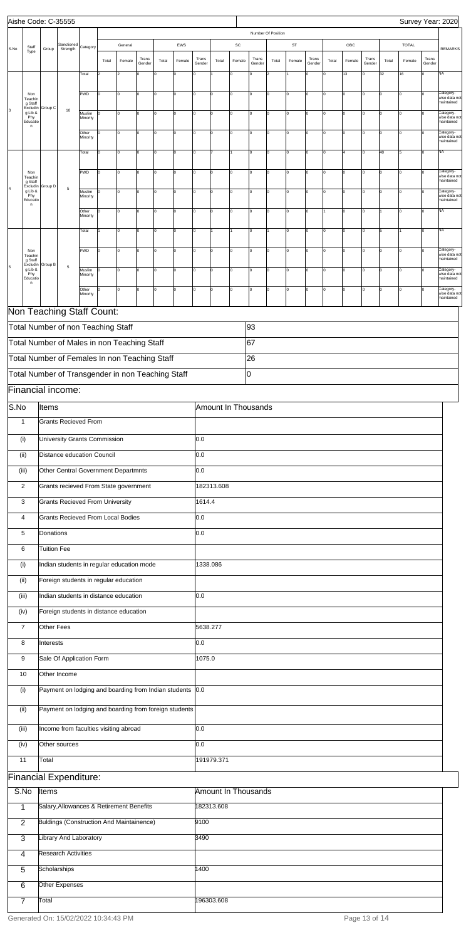|      |                                                  |                    | Aishe Code: C-35555                                                             |                    |                         |                |                       |             |             |                       |                     |                    |                       |                         |              |                       |              |                         |                 |             | Survey Year: 2020 |                             |                                          |
|------|--------------------------------------------------|--------------------|---------------------------------------------------------------------------------|--------------------|-------------------------|----------------|-----------------------|-------------|-------------|-----------------------|---------------------|--------------------|-----------------------|-------------------------|--------------|-----------------------|--------------|-------------------------|-----------------|-------------|-------------------|-----------------------------|------------------------------------------|
|      |                                                  |                    |                                                                                 |                    |                         |                |                       |             |             |                       |                     |                    |                       | Number Of Position      |              |                       |              |                         |                 |             |                   |                             |                                          |
| S.No | Staff                                            | Group              | Sanctioned<br>Strength                                                          | Category           |                         | General        |                       |             | EWS         |                       |                     | SC                 |                       |                         | ST           |                       |              | OBC                     |                 |             | <b>TOTAL</b>      |                             | <b>REMARKS</b>                           |
|      | Type                                             |                    |                                                                                 | Total              | Total<br>$\overline{2}$ | Female<br>2    | Trans<br>Gender<br>lo | Total<br>I٥ | Female      | Trans<br>Gender<br>l0 | Total               | Female<br>$\Omega$ | Trans<br>Gender<br>Iо | Total<br>$\overline{2}$ | Female       | Trans<br>Gender<br>Iо | Total<br>l0. | Female<br>13            | Trans<br>Gender | Total<br>32 | Female<br>16      | Trans<br>Gender<br>$\Omega$ | NA                                       |
|      |                                                  |                    |                                                                                 |                    |                         |                |                       |             |             |                       |                     |                    |                       |                         |              |                       |              |                         |                 |             |                   |                             |                                          |
|      | Non<br>Teachir<br>g Staff<br>Excludin            | Group C            |                                                                                 | <b>PWD</b>         | O                       | 0              | 0                     | I٥          | $\mathbf 0$ | O                     | lо                  | 0                  | I٥                    | $\Omega$                | $\mathsf 0$  | Iо                    | l0.          | $\mathbf 0$             |                 |             |                   |                             | Category-<br>wise data not<br>maintained |
|      | g Lib &<br>Phy<br>Educati                        |                    | 10                                                                              | Muslim<br>Minority | In                      | I٥             | lo                    | lо          | $\Omega$    | I٥                    | I٥                  | O                  | I٥                    | $\Omega$                | $\mathsf 0$  | Iо                    | l0.          | $\mathbf 0$             | $\Omega$        |             |                   |                             | Category-<br>wise data not<br>maintained |
|      | n                                                |                    |                                                                                 | Other<br>Minority  | l0.                     | $\overline{0}$ | I٥                    | lo          | l0          | I٥                    | lо                  | O                  | I٥                    | O                       | $\mathsf 0$  | lо                    | Iо           | $\mathbf 0$             | $\Omega$        | l٥          | I٥                | lo                          | Category-<br>wise data not<br>maintained |
|      |                                                  |                    |                                                                                 | Total              | O                       | l0             | 0                     | I٥          | $\mathbf 0$ | I٥                    |                     |                    | I٥                    | 0                       | $\mathsf 0$  | Iо                    | l0.          | $\overline{\mathbf{4}}$ | $\Omega$        | 40          | 5                 | lo                          | NA                                       |
|      | Non<br>Teachir<br>g Staff                        |                    |                                                                                 | <b>PWD</b>         | l0.                     | I٥             | O                     | I٥          | $\Omega$    | O                     | lо                  | 0                  | I٥                    | lo                      | $\mathsf 0$  | Iо                    |              | $\mathbf 0$             | $\Omega$        |             |                   |                             | Category-<br>wise data not<br>naintained |
|      | Excludir<br>g Lib &<br>Phy<br>Educati            | Group D            | $\,$ 5 $\,$                                                                     | Muslim<br>Minority | l0.                     | lo.            | O                     | I٥          | $\Omega$    | O                     | Ιo                  | O                  | I٥                    | $\Omega$                | $\mathsf{o}$ | Iо                    | I٥           | O                       |                 | l٥          | I٥                |                             | Category-<br>wise data not<br>maintained |
|      | n                                                |                    |                                                                                 | Other<br>Minority  | O                       | 0              | 0                     | I٥          | $\Omega$    | 0                     | lо                  | 0                  | I٥                    | $\Omega$                | $\mathsf 0$  | Iо                    |              | $\mathbf 0$             |                 |             |                   |                             | NA                                       |
|      |                                                  |                    |                                                                                 | Total              |                         | 0              | $\Omega$              | I٥          | $\Omega$    | l0                    |                     |                    | I٥                    |                         | $\mathsf 0$  | Iо                    |              | $\overline{0}$          |                 |             |                   | $\Omega$                    | <b>NA</b>                                |
|      | Non                                              |                    |                                                                                 | <b>PWD</b>         | I٥                      | $\overline{0}$ | O                     | lo          | $\Omega$    | I٥                    | lо                  | O                  | Iо                    | O                       | $\mathsf{o}$ | Iо                    | Iо           | $\mathbf 0$             | $\Omega$        | l٥          | I٥                | l٥                          | Category-<br>wise data not               |
| 5    | Teachir<br>g Staff<br>Excludin<br>g Lib &<br>Phy | Group B            | $\mathbf 5$                                                                     | Muslim             |                         | 0              | 0                     | I٥          | $\mathbf 0$ | I٥                    | lо                  | O                  | I٥                    | 0                       | $\mathsf 0$  | Iо                    | ١o           | $\mathbf 0$             | $\Omega$        | l٥          | O                 |                             | maintained<br>Category-<br>wise data not |
|      | Educati<br>n.                                    |                    |                                                                                 | Minority<br>Other  | ln.                     | lo.            | lo                    | I٥          | $\Omega$    | O                     | lо                  | lo                 | I٥                    | $\Omega$                | $\mathbf 0$  | Iо                    |              | $\overline{0}$          | $\Omega$        |             |                   |                             | naintained<br>category-                  |
|      |                                                  |                    |                                                                                 | Minority           |                         |                |                       |             |             |                       |                     |                    |                       |                         |              |                       |              |                         |                 |             |                   |                             | wise data not<br>maintained              |
|      |                                                  |                    | Non Teaching Staff Count:                                                       |                    |                         |                |                       |             |             |                       |                     |                    |                       |                         |              |                       |              |                         |                 |             |                   |                             |                                          |
|      |                                                  |                    | Total Number of non Teaching Staff                                              |                    |                         |                |                       |             |             |                       |                     |                    | 93                    |                         |              |                       |              |                         |                 |             |                   |                             |                                          |
|      |                                                  |                    | Total Number of Males in non Teaching Staff                                     |                    |                         |                |                       |             |             |                       |                     |                    | 67                    |                         |              |                       |              |                         |                 |             |                   |                             |                                          |
|      |                                                  |                    | Total Number of Females In non Teaching Staff                                   |                    |                         |                |                       |             |             |                       |                     |                    | 26                    |                         |              |                       |              |                         |                 |             |                   |                             |                                          |
|      |                                                  |                    | Total Number of Transgender in non Teaching Staff                               |                    |                         |                |                       |             |             |                       |                     |                    | Iо                    |                         |              |                       |              |                         |                 |             |                   |                             |                                          |
|      |                                                  |                    | Financial income:                                                               |                    |                         |                |                       |             |             |                       |                     |                    |                       |                         |              |                       |              |                         |                 |             |                   |                             |                                          |
| S.No |                                                  | Items              |                                                                                 |                    |                         |                |                       |             |             |                       | Amount In Thousands |                    |                       |                         |              |                       |              |                         |                 |             |                   |                             |                                          |
|      | $\mathbf{1}$                                     |                    | Grants Recieved From                                                            |                    |                         |                |                       |             |             |                       |                     |                    |                       |                         |              |                       |              |                         |                 |             |                   |                             |                                          |
|      | (i)                                              |                    | University Grants Commission                                                    |                    |                         |                |                       |             |             | 0.0                   |                     |                    |                       |                         |              |                       |              |                         |                 |             |                   |                             |                                          |
|      | (i)                                              |                    | Distance education Council                                                      |                    |                         |                |                       |             |             | 0.0                   |                     |                    |                       |                         |              |                       |              |                         |                 |             |                   |                             |                                          |
|      | (iii)<br>$\overline{2}$                          |                    | Other Central Government Departmnts<br>Grants recieved From State government    |                    |                         |                |                       |             |             | 0.0                   | 182313.608          |                    |                       |                         |              |                       |              |                         |                 |             |                   |                             |                                          |
|      | 3                                                |                    | <b>Grants Recieved From University</b>                                          |                    |                         |                |                       |             |             | 1614.4                |                     |                    |                       |                         |              |                       |              |                         |                 |             |                   |                             |                                          |
|      | 4                                                |                    | Grants Recieved From Local Bodies                                               |                    |                         |                |                       |             |             | 0.0                   |                     |                    |                       |                         |              |                       |              |                         |                 |             |                   |                             |                                          |
|      | 5                                                | Donations          |                                                                                 |                    |                         |                |                       |             |             | 0.0                   |                     |                    |                       |                         |              |                       |              |                         |                 |             |                   |                             |                                          |
|      | 6                                                | <b>Tuition Fee</b> |                                                                                 |                    |                         |                |                       |             |             |                       |                     |                    |                       |                         |              |                       |              |                         |                 |             |                   |                             |                                          |
|      | (i)                                              |                    | Indian students in regular education mode                                       |                    |                         |                |                       |             |             | 1338.086              |                     |                    |                       |                         |              |                       |              |                         |                 |             |                   |                             |                                          |
|      | (ii)                                             |                    | Foreign students in regular education                                           |                    |                         |                |                       |             |             |                       |                     |                    |                       |                         |              |                       |              |                         |                 |             |                   |                             |                                          |
|      | (iii)<br>(iv)                                    |                    | Indian students in distance education<br>Foreign students in distance education |                    |                         |                |                       |             |             | 0.0                   |                     |                    |                       |                         |              |                       |              |                         |                 |             |                   |                             |                                          |
|      | $\overline{7}$                                   | Other Fees         |                                                                                 |                    |                         |                |                       |             |             | 5638.277              |                     |                    |                       |                         |              |                       |              |                         |                 |             |                   |                             |                                          |
|      | 8                                                | Interests          |                                                                                 |                    |                         |                |                       |             |             | 0.0                   |                     |                    |                       |                         |              |                       |              |                         |                 |             |                   |                             |                                          |
|      | 9                                                |                    | Sale Of Application Form                                                        |                    |                         |                |                       |             |             | 1075.0                |                     |                    |                       |                         |              |                       |              |                         |                 |             |                   |                             |                                          |
|      | 10                                               |                    | Other Income                                                                    |                    |                         |                |                       |             |             |                       |                     |                    |                       |                         |              |                       |              |                         |                 |             |                   |                             |                                          |
|      | (i)                                              |                    | Payment on lodging and boarding from Indian students 0.0                        |                    |                         |                |                       |             |             |                       |                     |                    |                       |                         |              |                       |              |                         |                 |             |                   |                             |                                          |

| (i)            | Payment on lodging and boarding from foreign students |                     |
|----------------|-------------------------------------------------------|---------------------|
| (iii)          | Income from faculties visiting abroad                 | 0.0                 |
| (iv)           | Other sources                                         | 0.0                 |
|                |                                                       |                     |
| 11             | Total                                                 | 191979.371          |
|                | <b>Financial Expenditure:</b>                         |                     |
| S.No           | Items                                                 | Amount In Thousands |
| 1              | Salary, Allowances & Retirement Benefits              | 182313.608          |
| 2              | Buldings (Construction And Maintainence)              | 9100                |
| 3              | Library And Laboratory                                | 3490                |
| 4              | <b>Research Activities</b>                            |                     |
| $\overline{5}$ | Scholarships                                          | 1400                |
| 6              | Other Expenses                                        |                     |
| $\overline{7}$ | Total                                                 | 196303.608          |
|                |                                                       |                     |